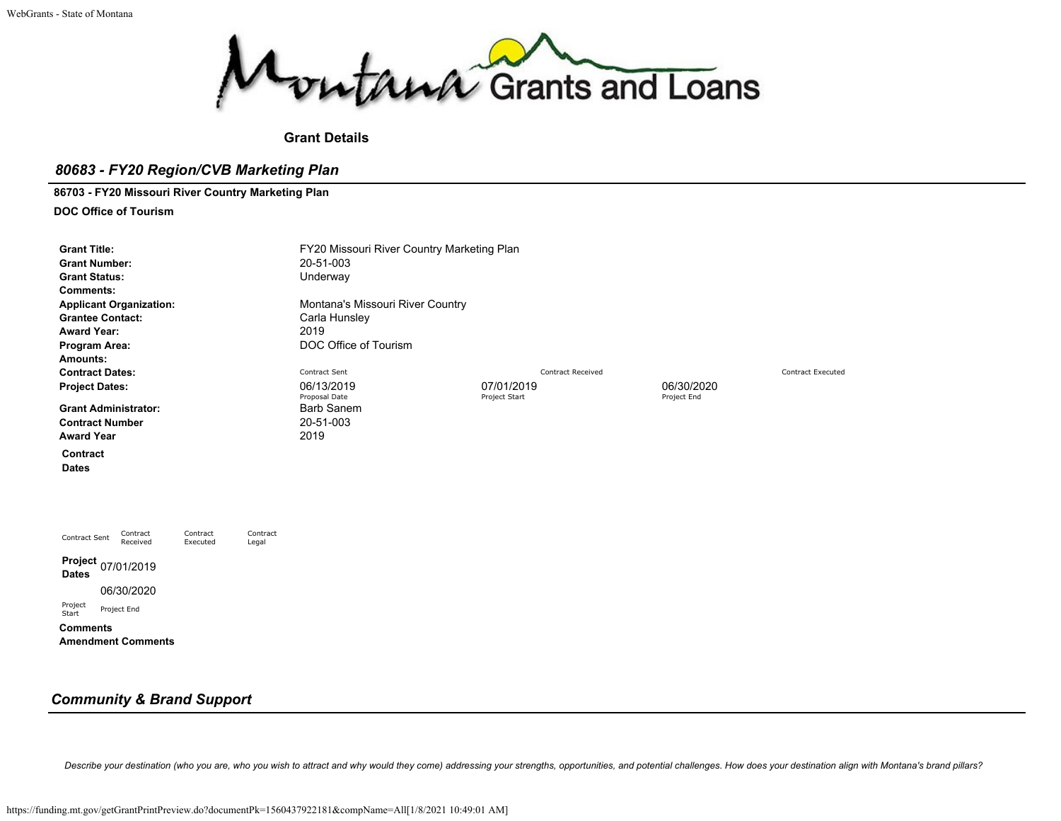

#### **Grant Details**

#### *80683 - FY20 Region/CVB Marketing Plan*

**86703 - FY20 Missouri River Country Marketing Plan**

**DOC Office of Tourism**

| <b>Grant Title:</b><br><b>Grant Number:</b><br><b>Grant Status:</b><br><b>Comments:</b><br><b>Applicant Organization:</b><br><b>Grantee Contact:</b><br><b>Award Year:</b><br>Program Area: |                      |                   | FY20 Missouri River Country Marketing Plan<br>20-51-003<br>Underway<br>Montana's Missouri River Country<br>Carla Hunsley<br>2019<br>DOC Office of Tourism |                             |                          |                           |                          |  |  |  |  |
|---------------------------------------------------------------------------------------------------------------------------------------------------------------------------------------------|----------------------|-------------------|-----------------------------------------------------------------------------------------------------------------------------------------------------------|-----------------------------|--------------------------|---------------------------|--------------------------|--|--|--|--|
| Amounts:<br><b>Contract Dates:</b>                                                                                                                                                          |                      |                   | Contract Sent                                                                                                                                             |                             | <b>Contract Received</b> |                           | <b>Contract Executed</b> |  |  |  |  |
| <b>Project Dates:</b>                                                                                                                                                                       |                      |                   | 06/13/2019<br>Proposal Date                                                                                                                               | 07/01/2019<br>Project Start |                          | 06/30/2020<br>Project End |                          |  |  |  |  |
| <b>Grant Administrator:</b><br><b>Contract Number</b><br><b>Award Year</b>                                                                                                                  |                      |                   | <b>Barb Sanem</b><br>20-51-003<br>2019                                                                                                                    |                             |                          |                           |                          |  |  |  |  |
| Contract<br><b>Dates</b>                                                                                                                                                                    |                      |                   |                                                                                                                                                           |                             |                          |                           |                          |  |  |  |  |
|                                                                                                                                                                                             |                      |                   |                                                                                                                                                           |                             |                          |                           |                          |  |  |  |  |
| Contract<br>Contract Sent<br>Received                                                                                                                                                       | Contract<br>Executed | Contract<br>Legal |                                                                                                                                                           |                             |                          |                           |                          |  |  |  |  |
| Project<br>07/01/2019<br><b>Dates</b>                                                                                                                                                       |                      |                   |                                                                                                                                                           |                             |                          |                           |                          |  |  |  |  |
| 06/30/2020                                                                                                                                                                                  |                      |                   |                                                                                                                                                           |                             |                          |                           |                          |  |  |  |  |
| Project<br>Project End<br>Start                                                                                                                                                             |                      |                   |                                                                                                                                                           |                             |                          |                           |                          |  |  |  |  |

**Comments Amendment Comments**

# *Community & Brand Support*

Describe your destination (who you are, who you wish to attract and why would they come) addressing your strengths, opportunities, and potential challenges. How does your destination align with Montana's brand pillars?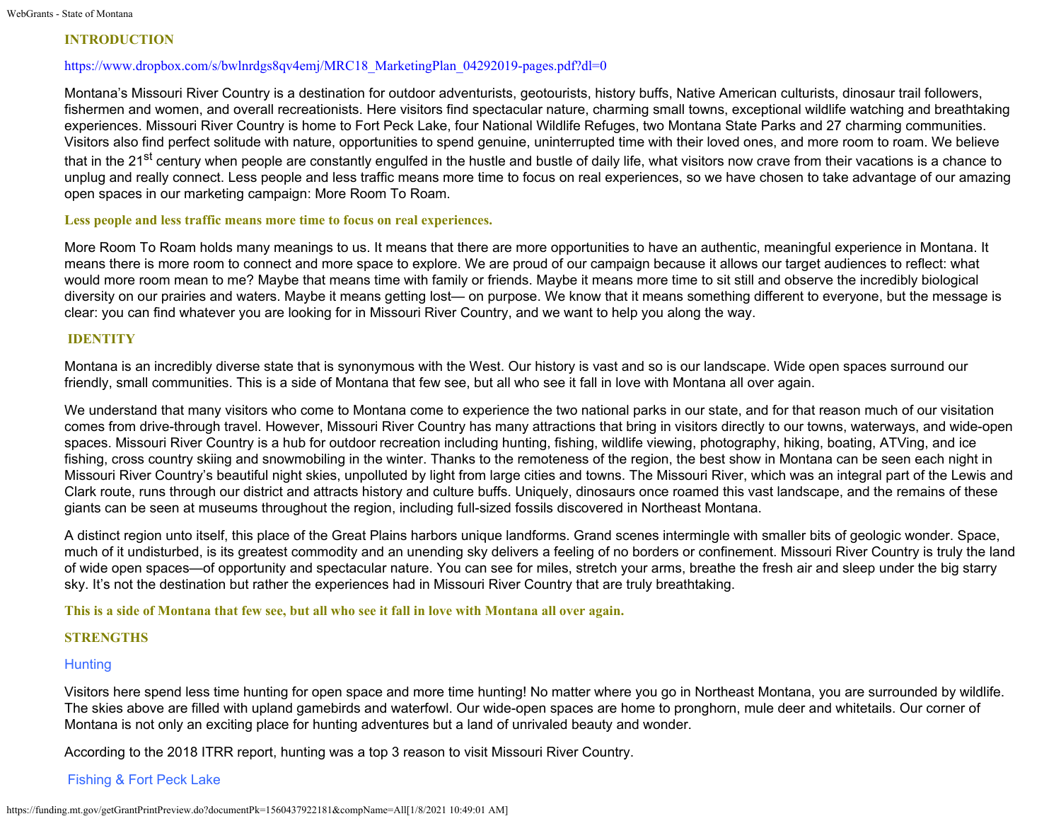### **INTRODUCTION**

#### [https://www.dropbox.com/s/bwlnrdgs8qv4emj/MRC18\\_MarketingPlan\\_04292019-pages.pdf?dl=0](https://www.dropbox.com/s/bwlnrdgs8qv4emj/MRC18_MarketingPlan_04292019-pages.pdf?dl=0)

Montana's Missouri River Country is a destination for outdoor adventurists, geotourists, history buffs, Native American culturists, dinosaur trail followers, fishermen and women, and overall recreationists. Here visitors find spectacular nature, charming small towns, exceptional wildlife watching and breathtaking experiences. Missouri River Country is home to Fort Peck Lake, four National Wildlife Refuges, two Montana State Parks and 27 charming communities. Visitors also find perfect solitude with nature, opportunities to spend genuine, uninterrupted time with their loved ones, and more room to roam. We believe that in the 21<sup>st</sup> century when people are constantly engulfed in the hustle and bustle of daily life, what visitors now crave from their vacations is a chance to unplug and really connect. Less people and less traffic means more time to focus on real experiences, so we have chosen to take advantage of our amazing open spaces in our marketing campaign: More Room To Roam.

#### **Less people and less traffic means more time to focus on real experiences.**

More Room To Roam holds many meanings to us. It means that there are more opportunities to have an authentic, meaningful experience in Montana. It means there is more room to connect and more space to explore. We are proud of our campaign because it allows our target audiences to reflect: what would more room mean to me? Maybe that means time with family or friends. Maybe it means more time to sit still and observe the incredibly biological diversity on our prairies and waters. Maybe it means getting lost— on purpose. We know that it means something different to everyone, but the message is clear: you can find whatever you are looking for in Missouri River Country, and we want to help you along the way.

### **IDENTITY**

Montana is an incredibly diverse state that is synonymous with the West. Our history is vast and so is our landscape. Wide open spaces surround our friendly, small communities. This is a side of Montana that few see, but all who see it fall in love with Montana all over again.

We understand that many visitors who come to Montana come to experience the two national parks in our state, and for that reason much of our visitation comes from drive-through travel. However, Missouri River Country has many attractions that bring in visitors directly to our towns, waterways, and wide-open spaces. Missouri River Country is a hub for outdoor recreation including hunting, fishing, wildlife viewing, photography, hiking, boating, ATVing, and ice fishing, cross country skiing and snowmobiling in the winter. Thanks to the remoteness of the region, the best show in Montana can be seen each night in Missouri River Country's beautiful night skies, unpolluted by light from large cities and towns. The Missouri River, which was an integral part of the Lewis and Clark route, runs through our district and attracts history and culture buffs. Uniquely, dinosaurs once roamed this vast landscape, and the remains of these giants can be seen at museums throughout the region, including full-sized fossils discovered in Northeast Montana.

A distinct region unto itself, this place of the Great Plains harbors unique landforms. Grand scenes intermingle with smaller bits of geologic wonder. Space, much of it undisturbed, is its greatest commodity and an unending sky delivers a feeling of no borders or confinement. Missouri River Country is truly the land of wide open spaces—of opportunity and spectacular nature. You can see for miles, stretch your arms, breathe the fresh air and sleep under the big starry sky. It's not the destination but rather the experiences had in Missouri River Country that are truly breathtaking.

**This is a side of Montana that few see, but all who see it fall in love with Montana all over again.**

#### **STRENGTHS**

# **Hunting**

Visitors here spend less time hunting for open space and more time hunting! No matter where you go in Northeast Montana, you are surrounded by wildlife. The skies above are filled with upland gamebirds and waterfowl. Our wide-open spaces are home to pronghorn, mule deer and whitetails. Our corner of Montana is not only an exciting place for hunting adventures but a land of unrivaled beauty and wonder.

According to the 2018 ITRR report, hunting was a top 3 reason to visit Missouri River Country.

# Fishing & Fort Peck Lake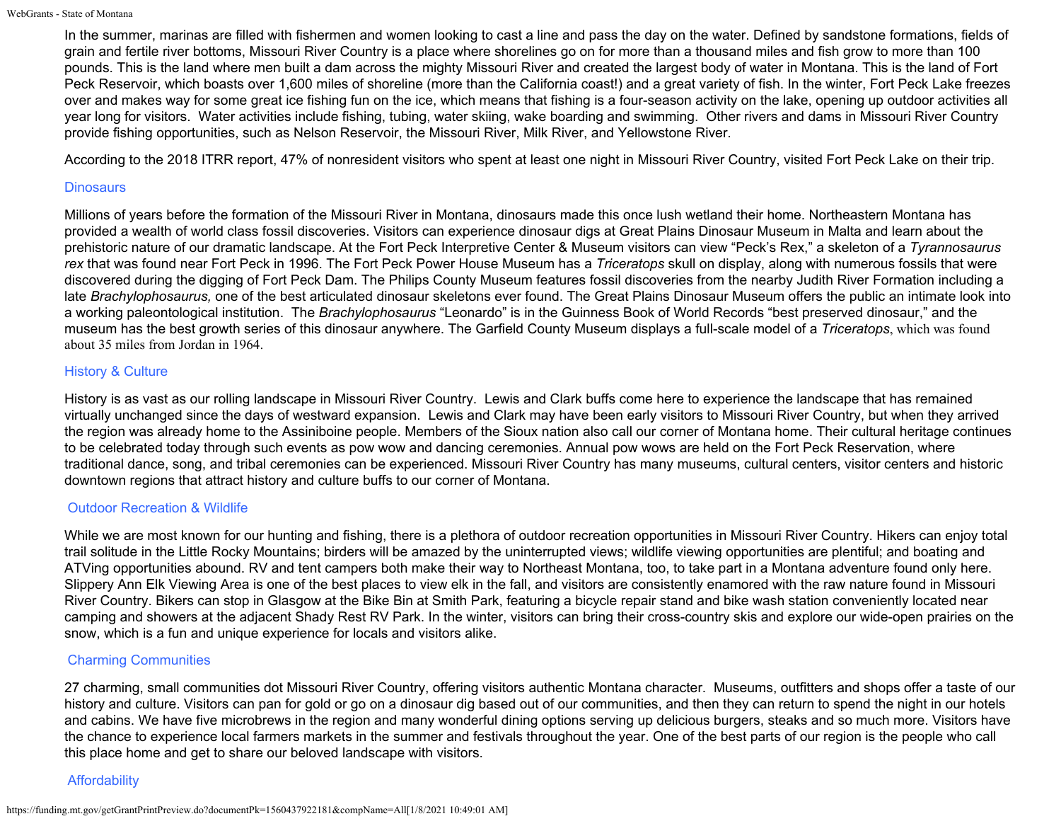In the summer, marinas are filled with fishermen and women looking to cast a line and pass the day on the water. Defined by sandstone formations, fields of grain and fertile river bottoms, Missouri River Country is a place where shorelines go on for more than a thousand miles and fish grow to more than 100 pounds. This is the land where men built a dam across the mighty Missouri River and created the largest body of water in Montana. This is the land of Fort Peck Reservoir, which boasts over 1,600 miles of shoreline (more than the California coast!) and a great variety of fish. In the winter, Fort Peck Lake freezes over and makes way for some great ice fishing fun on the ice, which means that fishing is a four-season activity on the lake, opening up outdoor activities all year long for visitors. Water activities include fishing, tubing, water skiing, wake boarding and swimming. Other rivers and dams in Missouri River Country provide fishing opportunities, such as Nelson Reservoir, the Missouri River, Milk River, and Yellowstone River.

According to the 2018 ITRR report, 47% of nonresident visitors who spent at least one night in Missouri River Country, visited Fort Peck Lake on their trip.

### **Dinosaurs**

Millions of years before the formation of the Missouri River in Montana, dinosaurs made this once lush wetland their home. Northeastern Montana has provided a wealth of world class fossil discoveries. Visitors can experience dinosaur digs at Great Plains Dinosaur Museum in Malta and learn about the prehistoric nature of our dramatic landscape. At the Fort Peck Interpretive Center & Museum visitors can view "Peck's Rex," a skeleton of a *Tyrannosaurus rex* that was found near Fort Peck in 1996. The Fort Peck Power House Museum has a *Triceratops* skull on display, along with numerous fossils that were discovered during the digging of Fort Peck Dam. The Philips County Museum features fossil discoveries from the nearby Judith River Formation including a late *Brachylophosaurus,* one of the best articulated dinosaur skeletons ever found. The Great Plains Dinosaur Museum offers the public an intimate look into a working paleontological institution. The *Brachylophosaurus* "Leonardo" is in the Guinness Book of World Records "best preserved dinosaur," and the museum has the best growth series of this dinosaur anywhere. The Garfield County Museum displays a full-scale model of a *Triceratops*, which was found about 35 miles from Jordan in 1964.

### History & Culture

History is as vast as our rolling landscape in Missouri River Country. Lewis and Clark buffs come here to experience the landscape that has remained virtually unchanged since the days of westward expansion. Lewis and Clark may have been early visitors to Missouri River Country, but when they arrived the region was already home to the Assiniboine people. Members of the Sioux nation also call our corner of Montana home. Their cultural heritage continues to be celebrated today through such events as pow wow and dancing ceremonies. Annual pow wows are held on the Fort Peck Reservation, where traditional dance, song, and tribal ceremonies can be experienced. Missouri River Country has many museums, cultural centers, visitor centers and historic downtown regions that attract history and culture buffs to our corner of Montana.

#### Outdoor Recreation & Wildlife

While we are most known for our hunting and fishing, there is a plethora of outdoor recreation opportunities in Missouri River Country. Hikers can enjoy total trail solitude in the Little Rocky Mountains; birders will be amazed by the uninterrupted views; wildlife viewing opportunities are plentiful; and boating and ATVing opportunities abound. RV and tent campers both make their way to Northeast Montana, too, to take part in a Montana adventure found only here. Slippery Ann Elk Viewing Area is one of the best places to view elk in the fall, and visitors are consistently enamored with the raw nature found in Missouri River Country. Bikers can stop in Glasgow at the Bike Bin at Smith Park, featuring a bicycle repair stand and bike wash station conveniently located near camping and showers at the adjacent Shady Rest RV Park. In the winter, visitors can bring their cross-country skis and explore our wide-open prairies on the snow, which is a fun and unique experience for locals and visitors alike.

# Charming Communities

27 charming, small communities dot Missouri River Country, offering visitors authentic Montana character. Museums, outfitters and shops offer a taste of our history and culture. Visitors can pan for gold or go on a dinosaur dig based out of our communities, and then they can return to spend the night in our hotels and cabins. We have five microbrews in the region and many wonderful dining options serving up delicious burgers, steaks and so much more. Visitors have the chance to experience local farmers markets in the summer and festivals throughout the year. One of the best parts of our region is the people who call this place home and get to share our beloved landscape with visitors.

# **Affordability**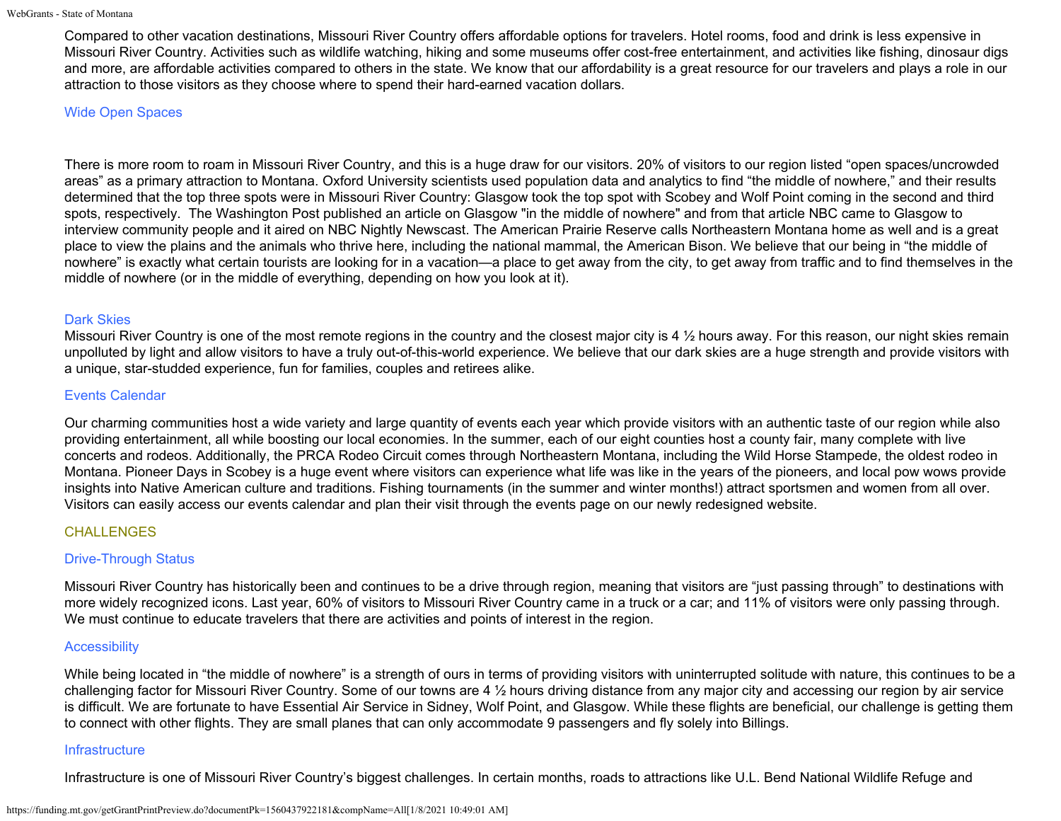Compared to other vacation destinations, Missouri River Country offers affordable options for travelers. Hotel rooms, food and drink is less expensive in Missouri River Country. Activities such as wildlife watching, hiking and some museums offer cost-free entertainment, and activities like fishing, dinosaur digs and more, are affordable activities compared to others in the state. We know that our affordability is a great resource for our travelers and plays a role in our attraction to those visitors as they choose where to spend their hard-earned vacation dollars.

### Wide Open Spaces

There is more room to roam in Missouri River Country, and this is a huge draw for our visitors. 20% of visitors to our region listed "open spaces/uncrowded areas" as a primary attraction to Montana. Oxford University scientists used population data and analytics to find "the middle of nowhere," and their results determined that the top three spots were in Missouri River Country: Glasgow took the top spot with Scobey and Wolf Point coming in the second and third spots, respectively. The Washington Post published an article on Glasgow "in the middle of nowhere" and from that article NBC came to Glasgow to interview community people and it aired on NBC Nightly Newscast. The American Prairie Reserve calls Northeastern Montana home as well and is a great place to view the plains and the animals who thrive here, including the national mammal, the American Bison. We believe that our being in "the middle of nowhere" is exactly what certain tourists are looking for in a vacation—a place to get away from the city, to get away from traffic and to find themselves in the middle of nowhere (or in the middle of everything, depending on how you look at it).

# Dark Skies

Missouri River Country is one of the most remote regions in the country and the closest major city is 4  $\frac{1}{2}$  hours away. For this reason, our night skies remain unpolluted by light and allow visitors to have a truly out-of-this-world experience. We believe that our dark skies are a huge strength and provide visitors with a unique, star-studded experience, fun for families, couples and retirees alike.

# Events Calendar

Our charming communities host a wide variety and large quantity of events each year which provide visitors with an authentic taste of our region while also providing entertainment, all while boosting our local economies. In the summer, each of our eight counties host a county fair, many complete with live concerts and rodeos. Additionally, the PRCA Rodeo Circuit comes through Northeastern Montana, including the Wild Horse Stampede, the oldest rodeo in Montana. Pioneer Days in Scobey is a huge event where visitors can experience what life was like in the years of the pioneers, and local pow wows provide insights into Native American culture and traditions. Fishing tournaments (in the summer and winter months!) attract sportsmen and women from all over. Visitors can easily access our events calendar and plan their visit through the events page on our newly redesigned website.

# **CHALLENGES**

# Drive-Through Status

Missouri River Country has historically been and continues to be a drive through region, meaning that visitors are "just passing through" to destinations with more widely recognized icons. Last year, 60% of visitors to Missouri River Country came in a truck or a car; and 11% of visitors were only passing through. We must continue to educate travelers that there are activities and points of interest in the region.

# **Accessibility**

While being located in "the middle of nowhere" is a strength of ours in terms of providing visitors with uninterrupted solitude with nature, this continues to be a challenging factor for Missouri River Country. Some of our towns are 4  $\frac{1}{2}$  hours driving distance from any major city and accessing our region by air service is difficult. We are fortunate to have Essential Air Service in Sidney, Wolf Point, and Glasgow. While these flights are beneficial, our challenge is getting them to connect with other flights. They are small planes that can only accommodate 9 passengers and fly solely into Billings.

# **Infrastructure**

Infrastructure is one of Missouri River Country's biggest challenges. In certain months, roads to attractions like U.L. Bend National Wildlife Refuge and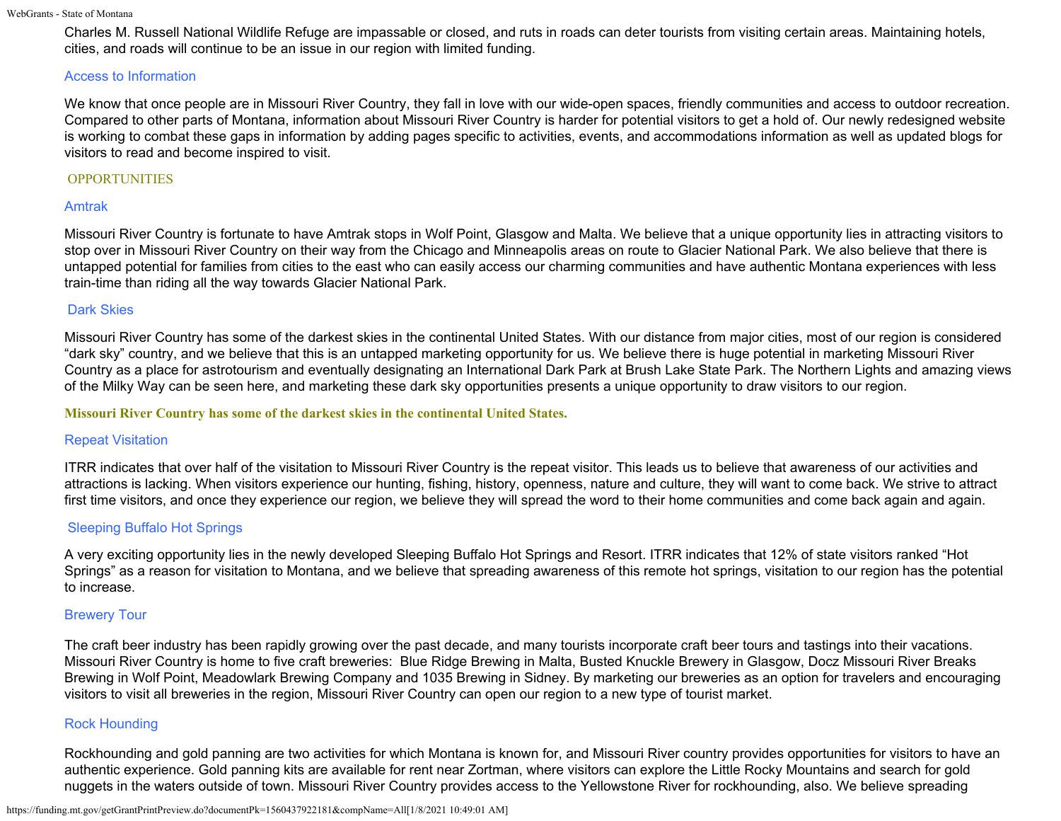```
WebGrants - State of Montana
```
Charles M. Russell National Wildlife Refuge are impassable or closed, and ruts in roads can deter tourists from visiting certain areas. Maintaining hotels, cities, and roads will continue to be an issue in our region with limited funding.

# Access to Information

We know that once people are in Missouri River Country, they fall in love with our wide-open spaces, friendly communities and access to outdoor recreation. Compared to other parts of Montana, information about Missouri River Country is harder for potential visitors to get a hold of. Our newly redesigned website is working to combat these gaps in information by adding pages specific to activities, events, and accommodations information as well as updated blogs for visitors to read and become inspired to visit.

# OPPORTUNITIES

# Amtrak

Missouri River Country is fortunate to have Amtrak stops in Wolf Point, Glasgow and Malta. We believe that a unique opportunity lies in attracting visitors to stop over in Missouri River Country on their way from the Chicago and Minneapolis areas on route to Glacier National Park. We also believe that there is untapped potential for families from cities to the east who can easily access our charming communities and have authentic Montana experiences with less train-time than riding all the way towards Glacier National Park.

# Dark Skies

Missouri River Country has some of the darkest skies in the continental United States. With our distance from major cities, most of our region is considered "dark sky" country, and we believe that this is an untapped marketing opportunity for us. We believe there is huge potential in marketing Missouri River Country as a place for astrotourism and eventually designating an International Dark Park at Brush Lake State Park. The Northern Lights and amazing views of the Milky Way can be seen here, and marketing these dark sky opportunities presents a unique opportunity to draw visitors to our region.

#### **Missouri River Country has some of the darkest skies in the continental United States.**

# Repeat Visitation

ITRR indicates that over half of the visitation to Missouri River Country is the repeat visitor. This leads us to believe that awareness of our activities and attractions is lacking. When visitors experience our hunting, fishing, history, openness, nature and culture, they will want to come back. We strive to attract first time visitors, and once they experience our region, we believe they will spread the word to their home communities and come back again and again.

# Sleeping Buffalo Hot Springs

A very exciting opportunity lies in the newly developed Sleeping Buffalo Hot Springs and Resort. ITRR indicates that 12% of state visitors ranked "Hot Springs" as a reason for visitation to Montana, and we believe that spreading awareness of this remote hot springs, visitation to our region has the potential to increase.

# Brewery Tour

The craft beer industry has been rapidly growing over the past decade, and many tourists incorporate craft beer tours and tastings into their vacations. Missouri River Country is home to five craft breweries: Blue Ridge Brewing in Malta, Busted Knuckle Brewery in Glasgow, Docz Missouri River Breaks Brewing in Wolf Point, Meadowlark Brewing Company and 1035 Brewing in Sidney. By marketing our breweries as an option for travelers and encouraging visitors to visit all breweries in the region, Missouri River Country can open our region to a new type of tourist market.

# Rock Hounding

Rockhounding and gold panning are two activities for which Montana is known for, and Missouri River country provides opportunities for visitors to have an authentic experience. Gold panning kits are available for rent near Zortman, where visitors can explore the Little Rocky Mountains and search for gold nuggets in the waters outside of town. Missouri River Country provides access to the Yellowstone River for rockhounding, also. We believe spreading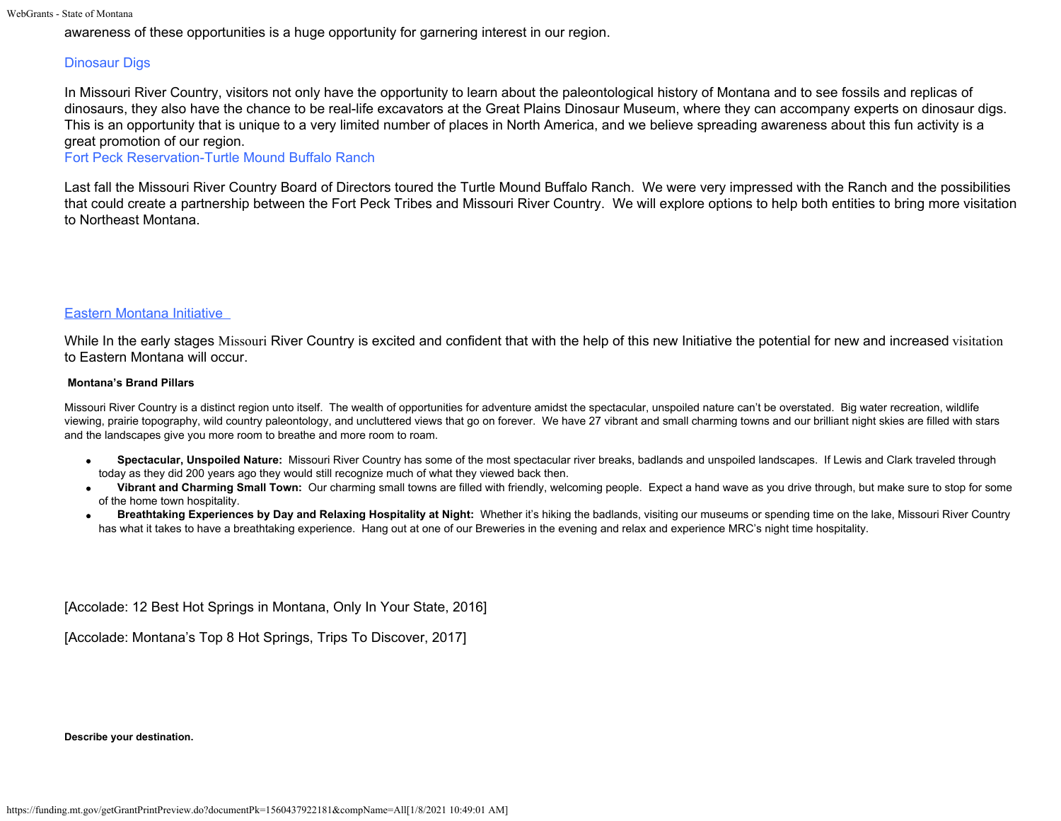awareness of these opportunities is a huge opportunity for garnering interest in our region.

# Dinosaur Digs

In Missouri River Country, visitors not only have the opportunity to learn about the paleontological history of Montana and to see fossils and replicas of dinosaurs, they also have the chance to be real-life excavators at the Great Plains Dinosaur Museum, where they can accompany experts on dinosaur digs. This is an opportunity that is unique to a very limited number of places in North America, and we believe spreading awareness about this fun activity is a great promotion of our region.

Fort Peck Reservation-Turtle Mound Buffalo Ranch

Last fall the Missouri River Country Board of Directors toured the Turtle Mound Buffalo Ranch. We were very impressed with the Ranch and the possibilities that could create a partnership between the Fort Peck Tribes and Missouri River Country. We will explore options to help both entities to bring more visitation to Northeast Montana.

#### Eastern Montana Initiative

While In the early stages Missouri River Country is excited and confident that with the help of this new Initiative the potential for new and increased visitation to Eastern Montana will occur.

#### **Montana's Brand Pillars**

Missouri River Country is a distinct region unto itself. The wealth of opportunities for adventure amidst the spectacular, unspoiled nature can't be overstated. Big water recreation, wildlife viewing, prairie topography, wild country paleontology, and uncluttered views that go on forever. We have 27 vibrant and small charming towns and our brilliant night skies are filled with stars and the landscapes give you more room to breathe and more room to roam.

- **Spectacular, Unspoiled Nature:** Missouri River Country has some of the most spectacular river breaks, badlands and unspoiled landscapes. If Lewis and Clark traveled through today as they did 200 years ago they would still recognize much of what they viewed back then.
- **Vibrant and Charming Small Town:** Our charming small towns are filled with friendly, welcoming people. Expect a hand wave as you drive through, but make sure to stop for some of the home town hospitality.
- **Breathtaking Experiences by Day and Relaxing Hospitality at Night:** Whether it's hiking the badlands, visiting our museums or spending time on the lake, Missouri River Country has what it takes to have a breathtaking experience. Hang out at one of our Breweries in the evening and relax and experience MRC's night time hospitality.

[Accolade: 12 Best Hot Springs in Montana, Only In Your State, 2016]

[Accolade: Montana's Top 8 Hot Springs, Trips To Discover, 2017]

**Describe your destination.**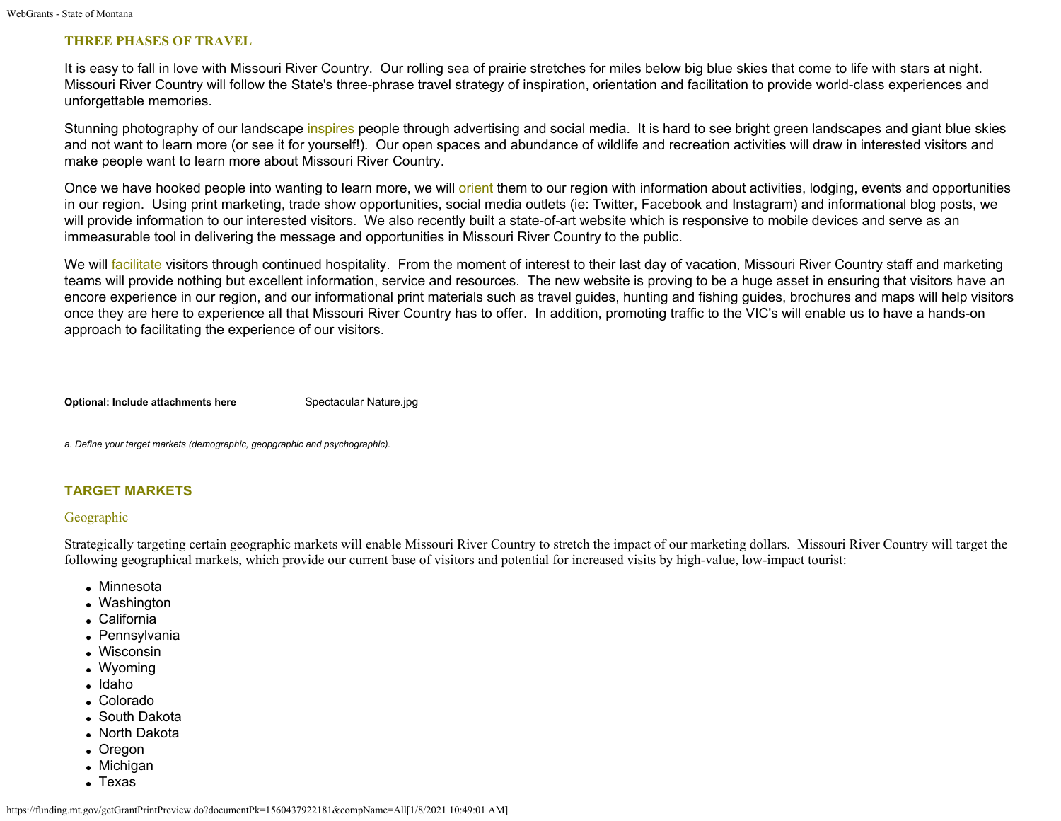#### **THREE PHASES OF TRAVEL**

It is easy to fall in love with Missouri River Country. Our rolling sea of prairie stretches for miles below big blue skies that come to life with stars at night. Missouri River Country will follow the State's three-phrase travel strategy of inspiration, orientation and facilitation to provide world-class experiences and unforgettable memories.

Stunning photography of our landscape inspires people through advertising and social media. It is hard to see bright green landscapes and giant blue skies and not want to learn more (or see it for yourself!). Our open spaces and abundance of wildlife and recreation activities will draw in interested visitors and make people want to learn more about Missouri River Country.

Once we have hooked people into wanting to learn more, we will orient them to our region with information about activities, lodging, events and opportunities in our region. Using print marketing, trade show opportunities, social media outlets (ie: Twitter, Facebook and Instagram) and informational blog posts, we will provide information to our interested visitors. We also recently built a state-of-art website which is responsive to mobile devices and serve as an immeasurable tool in delivering the message and opportunities in Missouri River Country to the public.

We will facilitate visitors through continued hospitality. From the moment of interest to their last day of vacation, Missouri River Country staff and marketing teams will provide nothing but excellent information, service and resources. The new website is proving to be a huge asset in ensuring that visitors have an encore experience in our region, and our informational print materials such as travel guides, hunting and fishing guides, brochures and maps will help visitors once they are here to experience all that Missouri River Country has to offer. In addition, promoting traffic to the VIC's will enable us to have a hands-on approach to facilitating the experience of our visitors.

**Optional: Include attachments here** [Spectacular Nature.jpg](https://funding.mt.gov/fileDownload.jsp?filename=1493076428482_Spectacular+Nature.jpg)

*a. Define your target markets (demographic, geopgraphic and psychographic).*

# **TARGET MARKETS**

#### Geographic

Strategically targeting certain geographic markets will enable Missouri River Country to stretch the impact of our marketing dollars. Missouri River Country will target the following geographical markets, which provide our current base of visitors and potential for increased visits by high-value, low-impact tourist:

- Minnesota
- Washington
- California
- Pennsylvania
- Wisconsin
- Wyoming
- Idaho
- Colorado
- South Dakota
- North Dakota
- Oregon
- Michigan
- Texas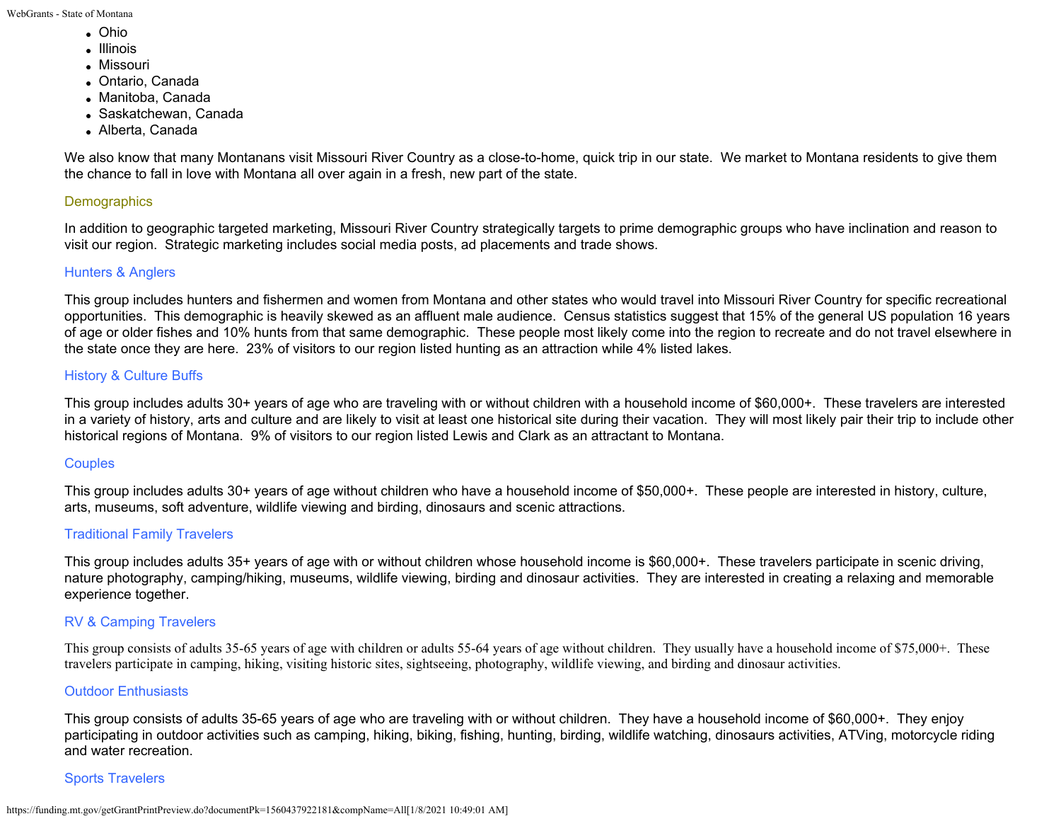- Ohio
- Illinois
- Missouri
- Ontario, Canada
- Manitoba, Canada
- Saskatchewan, Canada
- Alberta, Canada

We also know that many Montanans visit Missouri River Country as a close-to-home, quick trip in our state. We market to Montana residents to give them the chance to fall in love with Montana all over again in a fresh, new part of the state.

# **Demographics**

In addition to geographic targeted marketing, Missouri River Country strategically targets to prime demographic groups who have inclination and reason to visit our region. Strategic marketing includes social media posts, ad placements and trade shows.

# Hunters & Anglers

This group includes hunters and fishermen and women from Montana and other states who would travel into Missouri River Country for specific recreational opportunities. This demographic is heavily skewed as an affluent male audience. Census statistics suggest that 15% of the general US population 16 years of age or older fishes and 10% hunts from that same demographic. These people most likely come into the region to recreate and do not travel elsewhere in the state once they are here. 23% of visitors to our region listed hunting as an attraction while 4% listed lakes.

# History & Culture Buffs

This group includes adults 30+ years of age who are traveling with or without children with a household income of \$60,000+. These travelers are interested in a variety of history, arts and culture and are likely to visit at least one historical site during their vacation. They will most likely pair their trip to include other historical regions of Montana. 9% of visitors to our region listed Lewis and Clark as an attractant to Montana.

# **Couples**

This group includes adults 30+ years of age without children who have a household income of \$50,000+. These people are interested in history, culture, arts, museums, soft adventure, wildlife viewing and birding, dinosaurs and scenic attractions.

# Traditional Family Travelers

This group includes adults 35+ years of age with or without children whose household income is \$60,000+. These travelers participate in scenic driving, nature photography, camping/hiking, museums, wildlife viewing, birding and dinosaur activities. They are interested in creating a relaxing and memorable experience together.

# RV & Camping Travelers

This group consists of adults 35-65 years of age with children or adults 55-64 years of age without children. They usually have a household income of \$75,000+. These travelers participate in camping, hiking, visiting historic sites, sightseeing, photography, wildlife viewing, and birding and dinosaur activities.

# Outdoor Enthusiasts

This group consists of adults 35-65 years of age who are traveling with or without children. They have a household income of \$60,000+. They enjoy participating in outdoor activities such as camping, hiking, biking, fishing, hunting, birding, wildlife watching, dinosaurs activities, ATVing, motorcycle riding and water recreation.

# Sports Travelers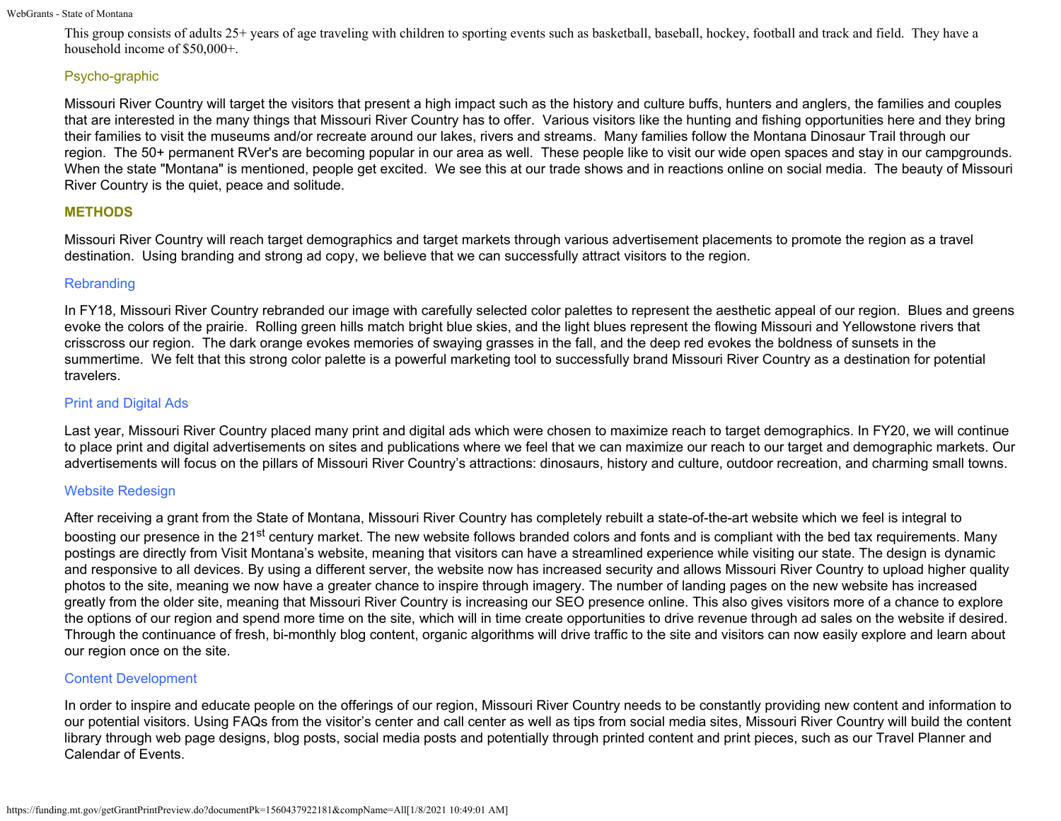This group consists of adults 25+ years of age traveling with children to sporting events such as basketball, baseball, hockey, football and track and field. They have a household income of \$50,000+.

# Psycho-graphic

Missouri River Country will target the visitors that present a high impact such as the history and culture buffs, hunters and anglers, the families and couples that are interested in the many things that Missouri River Country has to offer. Various visitors like the hunting and fishing opportunities here and they bring their families to visit the museums and/or recreate around our lakes, rivers and streams. Many families follow the Montana Dinosaur Trail through our region. The 50+ permanent RVer's are becoming popular in our area as well. These people like to visit our wide open spaces and stay in our campgrounds. When the state "Montana" is mentioned, people get excited. We see this at our trade shows and in reactions online on social media. The beauty of Missouri River Country is the quiet, peace and solitude.

# **METHODS**

Missouri River Country will reach target demographics and target markets through various advertisement placements to promote the region as a travel destination. Using branding and strong ad copy, we believe that we can successfully attract visitors to the region.

### **Rebranding**

In FY18, Missouri River Country rebranded our image with carefully selected color palettes to represent the aesthetic appeal of our region. Blues and greens evoke the colors of the prairie. Rolling green hills match bright blue skies, and the light blues represent the flowing Missouri and Yellowstone rivers that crisscross our region. The dark orange evokes memories of swaying grasses in the fall, and the deep red evokes the boldness of sunsets in the summertime. We felt that this strong color palette is a powerful marketing tool to successfully brand Missouri River Country as a destination for potential travelers.

# Print and Digital Ads

Last year, Missouri River Country placed many print and digital ads which were chosen to maximize reach to target demographics. In FY20, we will continue to place print and digital advertisements on sites and publications where we feel that we can maximize our reach to our target and demographic markets. Our advertisements will focus on the pillars of Missouri River Country's attractions: dinosaurs, history and culture, outdoor recreation, and charming small towns.

# Website Redesign

After receiving a grant from the State of Montana, Missouri River Country has completely rebuilt a state-of-the-art website which we feel is integral to boosting our presence in the 21<sup>st</sup> century market. The new website follows branded colors and fonts and is compliant with the bed tax requirements. Many postings are directly from Visit Montana's website, meaning that visitors can have a streamlined experience while visiting our state. The design is dynamic and responsive to all devices. By using a different server, the website now has increased security and allows Missouri River Country to upload higher quality photos to the site, meaning we now have a greater chance to inspire through imagery. The number of landing pages on the new website has increased greatly from the older site, meaning that Missouri River Country is increasing our SEO presence online. This also gives visitors more of a chance to explore the options of our region and spend more time on the site, which will in time create opportunities to drive revenue through ad sales on the website if desired. Through the continuance of fresh, bi-monthly blog content, organic algorithms will drive traffic to the site and visitors can now easily explore and learn about our region once on the site.

# Content Development

In order to inspire and educate people on the offerings of our region, Missouri River Country needs to be constantly providing new content and information to our potential visitors. Using FAQs from the visitor's center and call center as well as tips from social media sites, Missouri River Country will build the content library through web page designs, blog posts, social media posts and potentially through printed content and print pieces, such as our Travel Planner and Calendar of Events.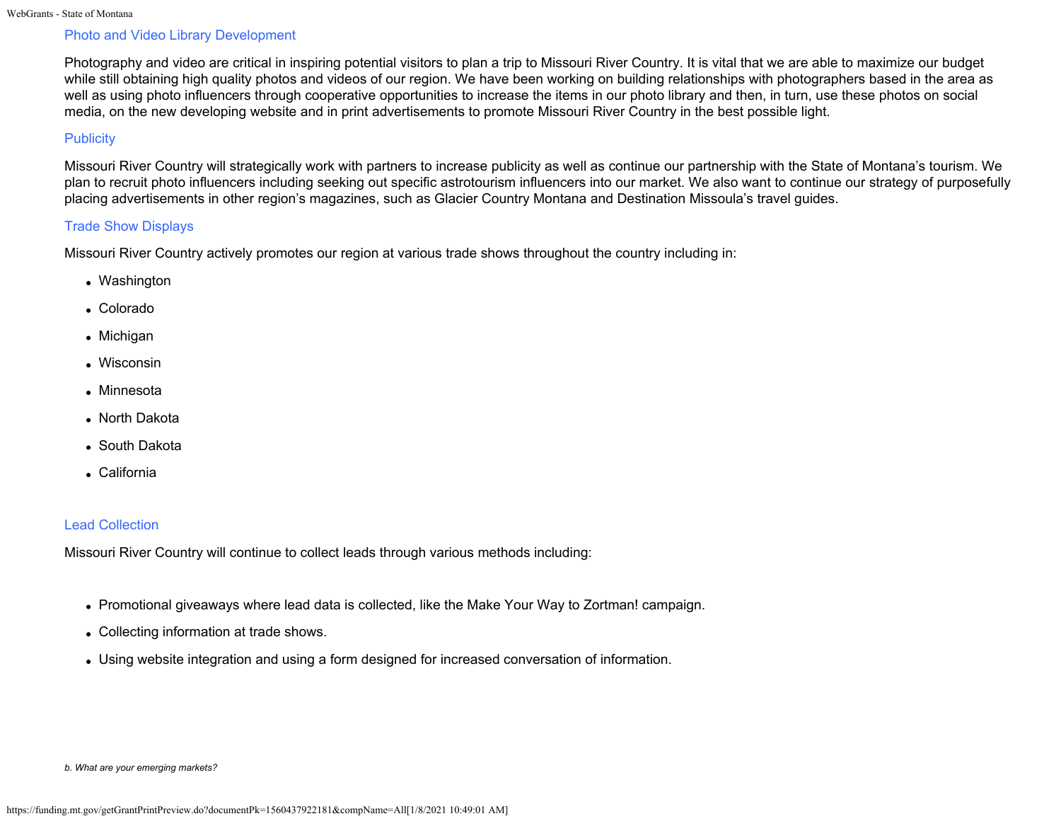# Photo and Video Library Development

Photography and video are critical in inspiring potential visitors to plan a trip to Missouri River Country. It is vital that we are able to maximize our budget while still obtaining high quality photos and videos of our region. We have been working on building relationships with photographers based in the area as well as using photo influencers through cooperative opportunities to increase the items in our photo library and then, in turn, use these photos on social media, on the new developing website and in print advertisements to promote Missouri River Country in the best possible light.

# **Publicity**

Missouri River Country will strategically work with partners to increase publicity as well as continue our partnership with the State of Montana's tourism. We plan to recruit photo influencers including seeking out specific astrotourism influencers into our market. We also want to continue our strategy of purposefully placing advertisements in other region's magazines, such as Glacier Country Montana and Destination Missoula's travel guides.

### Trade Show Displays

Missouri River Country actively promotes our region at various trade shows throughout the country including in:

- Washington
- Colorado
- Michigan
- Wisconsin
- Minnesota
- North Dakota
- South Dakota
- California

# Lead Collection

Missouri River Country will continue to collect leads through various methods including:

- Promotional giveaways where lead data is collected, like the Make Your Way to Zortman! campaign.
- Collecting information at trade shows.
- Using website integration and using a form designed for increased conversation of information.

*b. What are your emerging markets?*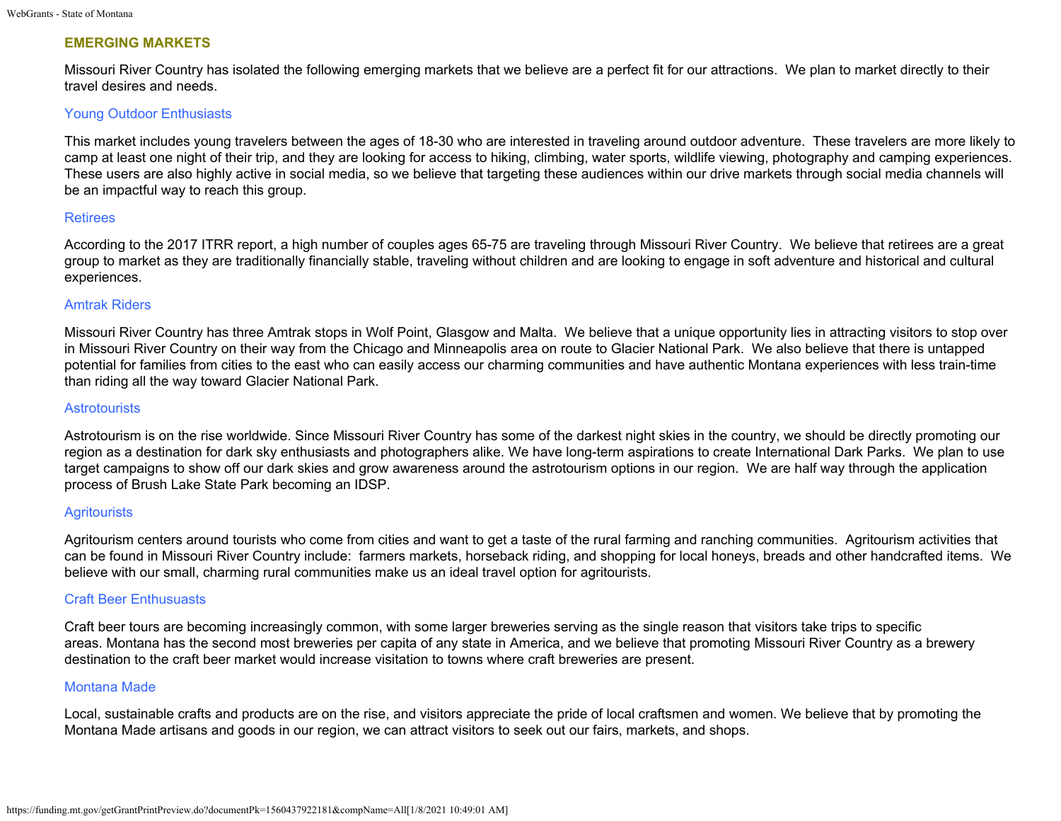# **EMERGING MARKETS**

Missouri River Country has isolated the following emerging markets that we believe are a perfect fit for our attractions. We plan to market directly to their travel desires and needs.

### Young Outdoor Enthusiasts

This market includes young travelers between the ages of 18-30 who are interested in traveling around outdoor adventure. These travelers are more likely to camp at least one night of their trip, and they are looking for access to hiking, climbing, water sports, wildlife viewing, photography and camping experiences. These users are also highly active in social media, so we believe that targeting these audiences within our drive markets through social media channels will be an impactful way to reach this group.

#### **Retirees**

According to the 2017 ITRR report, a high number of couples ages 65-75 are traveling through Missouri River Country. We believe that retirees are a great group to market as they are traditionally financially stable, traveling without children and are looking to engage in soft adventure and historical and cultural experiences.

### Amtrak Riders

Missouri River Country has three Amtrak stops in Wolf Point, Glasgow and Malta. We believe that a unique opportunity lies in attracting visitors to stop over in Missouri River Country on their way from the Chicago and Minneapolis area on route to Glacier National Park. We also believe that there is untapped potential for families from cities to the east who can easily access our charming communities and have authentic Montana experiences with less train-time than riding all the way toward Glacier National Park.

#### **Astrotourists**

Astrotourism is on the rise worldwide. Since Missouri River Country has some of the darkest night skies in the country, we should be directly promoting our region as a destination for dark sky enthusiasts and photographers alike. We have long-term aspirations to create International Dark Parks. We plan to use target campaigns to show off our dark skies and grow awareness around the astrotourism options in our region. We are half way through the application process of Brush Lake State Park becoming an IDSP.

# **Agritourists**

Agritourism centers around tourists who come from cities and want to get a taste of the rural farming and ranching communities. Agritourism activities that can be found in Missouri River Country include: farmers markets, horseback riding, and shopping for local honeys, breads and other handcrafted items. We believe with our small, charming rural communities make us an ideal travel option for agritourists.

#### Craft Beer Enthusuasts

Craft beer tours are becoming increasingly common, with some larger breweries serving as the single reason that visitors take trips to specific areas. Montana has the second most breweries per capita of any state in America, and we believe that promoting Missouri River Country as a brewery destination to the craft beer market would increase visitation to towns where craft breweries are present.

### Montana Made

Local, sustainable crafts and products are on the rise, and visitors appreciate the pride of local craftsmen and women. We believe that by promoting the Montana Made artisans and goods in our region, we can attract visitors to seek out our fairs, markets, and shops.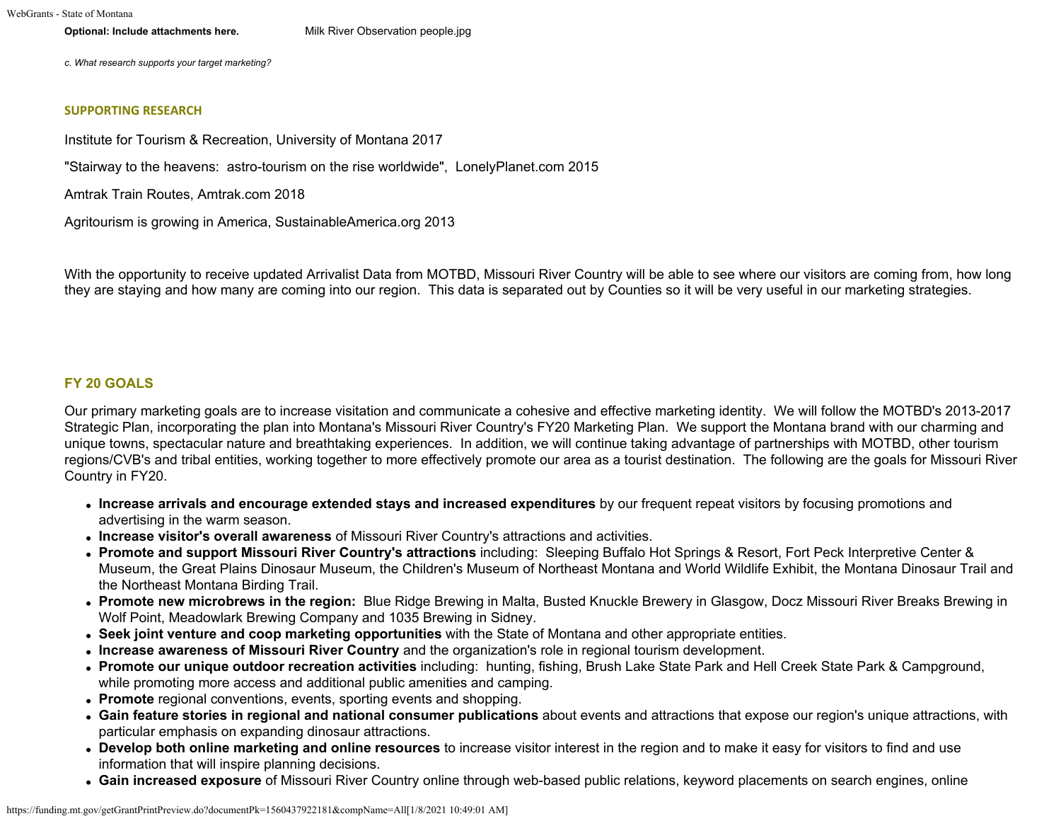**Optional: Include attachments here.** [Milk River Observation people.jpg](https://funding.mt.gov/fileDownload.jsp?filename=1493148521076_Milk+River+Observation+people.jpg)

*c. What research supports your target marketing?*

#### **SUPPORTING RESEARCH**

Institute for Tourism & Recreation, University of Montana 2017

"Stairway to the heavens: astro-tourism on the rise worldwide", LonelyPlanet.com 2015

Amtrak Train Routes, Amtrak.com 2018

Agritourism is growing in America, SustainableAmerica.org 2013

With the opportunity to receive updated Arrivalist Data from MOTBD, Missouri River Country will be able to see where our visitors are coming from, how long they are staying and how many are coming into our region. This data is separated out by Counties so it will be very useful in our marketing strategies.

#### **FY 20 GOALS**

Our primary marketing goals are to increase visitation and communicate a cohesive and effective marketing identity. We will follow the MOTBD's 2013-2017 Strategic Plan, incorporating the plan into Montana's Missouri River Country's FY20 Marketing Plan. We support the Montana brand with our charming and unique towns, spectacular nature and breathtaking experiences. In addition, we will continue taking advantage of partnerships with MOTBD, other tourism regions/CVB's and tribal entities, working together to more effectively promote our area as a tourist destination. The following are the goals for Missouri River Country in FY20.

- **Increase arrivals and encourage extended stays and increased expenditures** by our frequent repeat visitors by focusing promotions and advertising in the warm season.
- **Increase visitor's overall awareness** of Missouri River Country's attractions and activities.
- **Promote and support Missouri River Country's attractions** including: Sleeping Buffalo Hot Springs & Resort, Fort Peck Interpretive Center & Museum, the Great Plains Dinosaur Museum, the Children's Museum of Northeast Montana and World Wildlife Exhibit, the Montana Dinosaur Trail and the Northeast Montana Birding Trail.
- **Promote new microbrews in the region:** Blue Ridge Brewing in Malta, Busted Knuckle Brewery in Glasgow, Docz Missouri River Breaks Brewing in Wolf Point, Meadowlark Brewing Company and 1035 Brewing in Sidney.
- **Seek joint venture and coop marketing opportunities** with the State of Montana and other appropriate entities.
- **Increase awareness of Missouri River Country** and the organization's role in regional tourism development.
- **Promote our unique outdoor recreation activities** including: hunting, fishing, Brush Lake State Park and Hell Creek State Park & Campground, while promoting more access and additional public amenities and camping.
- **Promote** regional conventions, events, sporting events and shopping.
- **Gain feature stories in regional and national consumer publications** about events and attractions that expose our region's unique attractions, with particular emphasis on expanding dinosaur attractions.
- **Develop both online marketing and online resources** to increase visitor interest in the region and to make it easy for visitors to find and use information that will inspire planning decisions.
- **Gain increased exposure** of Missouri River Country online through web-based public relations, keyword placements on search engines, online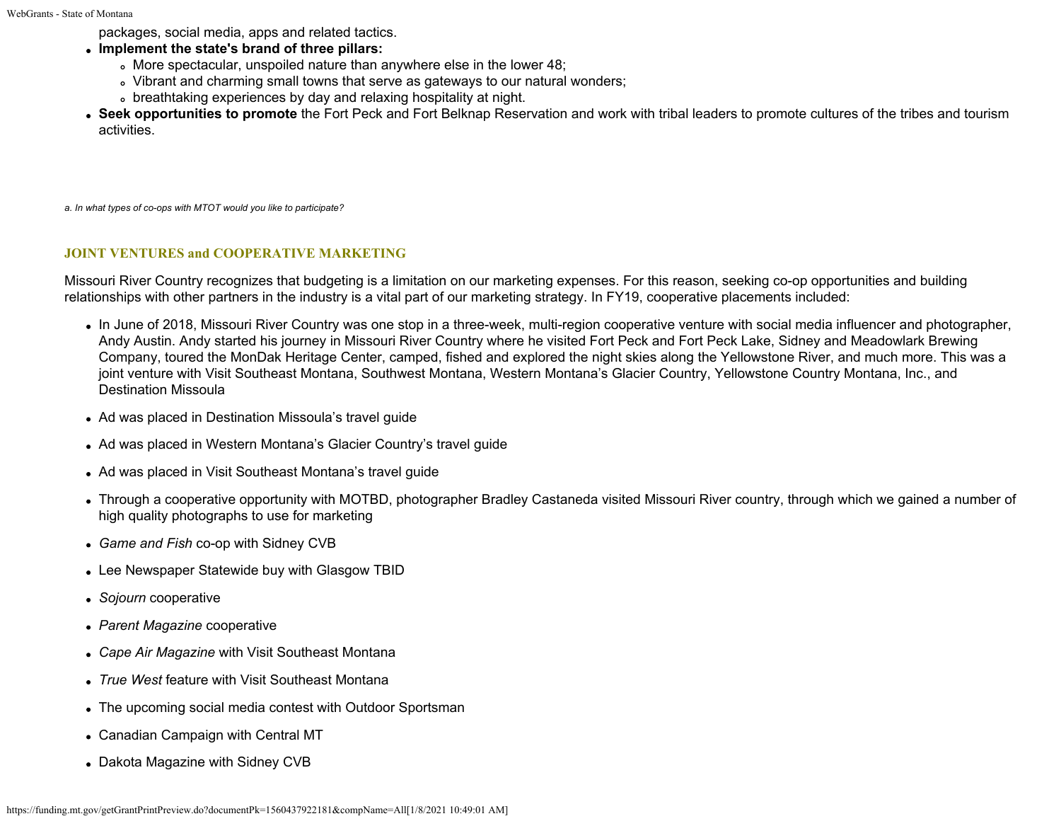packages, social media, apps and related tactics.

- **Implement the state's brand of three pillars:**
	- More spectacular, unspoiled nature than anywhere else in the lower 48;
	- Vibrant and charming small towns that serve as gateways to our natural wonders;
	- o breathtaking experiences by day and relaxing hospitality at night.
- **Seek opportunities to promote** the Fort Peck and Fort Belknap Reservation and work with tribal leaders to promote cultures of the tribes and tourism activities.

*a. In what types of co-ops with MTOT would you like to participate?*

### **JOINT VENTURES and COOPERATIVE MARKETING**

Missouri River Country recognizes that budgeting is a limitation on our marketing expenses. For this reason, seeking co-op opportunities and building relationships with other partners in the industry is a vital part of our marketing strategy. In FY19, cooperative placements included:

- In June of 2018, Missouri River Country was one stop in a three-week, multi-region cooperative venture with social media influencer and photographer, Andy Austin. Andy started his journey in Missouri River Country where he visited Fort Peck and Fort Peck Lake, Sidney and Meadowlark Brewing Company, toured the MonDak Heritage Center, camped, fished and explored the night skies along the Yellowstone River, and much more. This was a joint venture with Visit Southeast Montana, Southwest Montana, Western Montana's Glacier Country, Yellowstone Country Montana, Inc., and Destination Missoula
- Ad was placed in Destination Missoula's travel guide
- Ad was placed in Western Montana's Glacier Country's travel guide
- Ad was placed in Visit Southeast Montana's travel guide
- Through a cooperative opportunity with MOTBD, photographer Bradley Castaneda visited Missouri River country, through which we gained a number of high quality photographs to use for marketing
- *Game and Fish* co-op with Sidney CVB
- Lee Newspaper Statewide buy with Glasgow TBID
- *Sojourn* cooperative
- *Parent Magazine* cooperative
- *Cape Air Magazine* with Visit Southeast Montana
- *True West* feature with Visit Southeast Montana
- The upcoming social media contest with Outdoor Sportsman
- Canadian Campaign with Central MT
- Dakota Magazine with Sidney CVB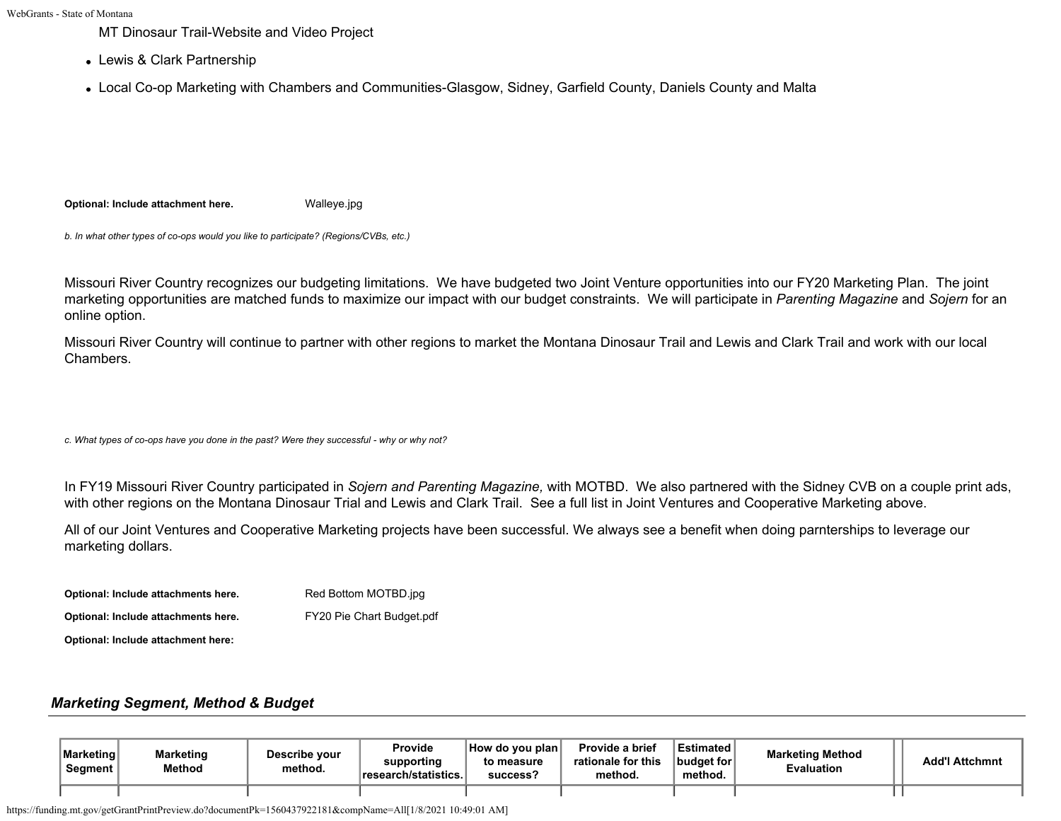MT Dinosaur Trail-Website and Video Project

- Lewis & Clark Partnership
- Local Co-op Marketing with Chambers and Communities-Glasgow, Sidney, Garfield County, Daniels County and Malta

**Optional: Include attachment here.** [Walleye.jpg](https://funding.mt.gov/fileDownload.jsp?filename=1493149581568_Walleye.jpg)

*b. In what other types of co-ops would you like to participate? (Regions/CVBs, etc.)*

Missouri River Country recognizes our budgeting limitations. We have budgeted two Joint Venture opportunities into our FY20 Marketing Plan. The joint marketing opportunities are matched funds to maximize our impact with our budget constraints. We will participate in *Parenting Magazine* and *Sojern* for an online option.

Missouri River Country will continue to partner with other regions to market the Montana Dinosaur Trail and Lewis and Clark Trail and work with our local Chambers.

*c. What types of co-ops have you done in the past? Were they successful - why or why not?*

In FY19 Missouri River Country participated in *Sojern and Parenting Magazine,* with MOTBD. We also partnered with the Sidney CVB on a couple print ads, with other regions on the Montana Dinosaur Trial and Lewis and Clark Trail. See a full list in Joint Ventures and Cooperative Marketing above.

All of our Joint Ventures and Cooperative Marketing projects have been successful. We always see a benefit when doing parnterships to leverage our marketing dollars.

| Optional: Include attachments here. | Red Bottom MOTBD.jpg      |
|-------------------------------------|---------------------------|
| Optional: Include attachments here. | FY20 Pie Chart Budget.pdf |
| Optional: Include attachment here:  |                           |

# *Marketing Segment, Method & Budget*

| Marketing<br>Segment | <b>Marketing</b><br><b>Method</b> | Describe your<br>method. | <b>Provide</b><br>supporting<br>research/statistics. | How do you plan<br>to measure<br>success? | Provide a brief<br>rationale for this<br>method. | <b>Estimated</b><br>budget for<br>method. | <b>Marketing Method</b><br>Evaluation | Add'I Attchmnt |
|----------------------|-----------------------------------|--------------------------|------------------------------------------------------|-------------------------------------------|--------------------------------------------------|-------------------------------------------|---------------------------------------|----------------|
|                      |                                   |                          |                                                      |                                           |                                                  |                                           |                                       |                |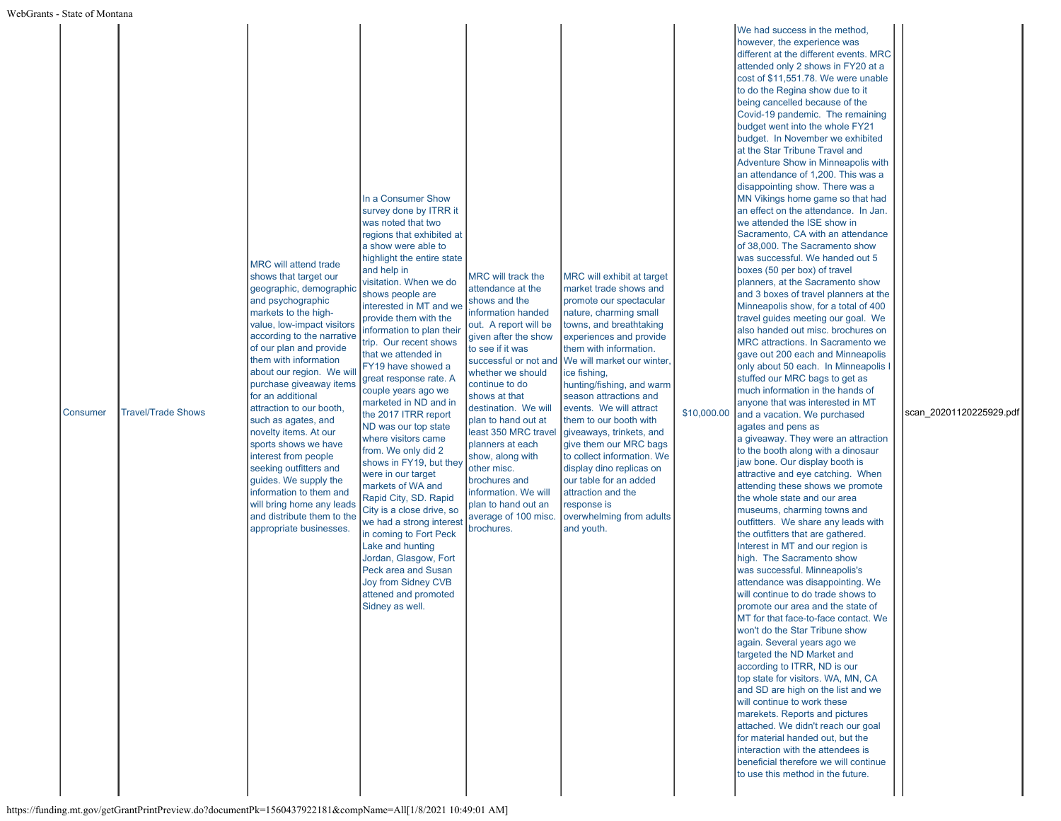| Consumer | <b>Travel/Trade Shows</b> | <b>MRC will attend trade</b><br>shows that target our<br>geographic, demographic<br>and psychographic<br>markets to the high-<br>value, low-impact visitors<br>according to the narrative<br>of our plan and provide<br>them with information<br>about our region. We wi<br>purchase giveaway items<br>for an additional<br>attraction to our booth,<br>such as agates, and<br>novelty items. At our<br>sports shows we have<br>interest from people<br>seeking outfitters and<br>guides. We supply the<br>information to them and<br>will bring home any leads<br>and distribute them to the<br>appropriate businesses. | In a Consumer Show<br>survey done by ITRR it<br>was noted that two<br>regions that exhibited at<br>a show were able to<br>highlight the entire state<br>and help in<br>visitation. When we do<br>shows people are<br>interested in MT and we<br>provide them with the<br>information to plan their<br>trip. Our recent shows<br>that we attended in<br>FY19 have showed a<br>great response rate. A<br>couple years ago we<br>marketed in ND and in<br>the 2017 ITRR report<br>ND was our top state<br>where visitors came<br>from. We only did 2<br>shows in FY19, but they<br>were in our target<br>markets of WA and<br>Rapid City, SD. Rapid<br>City is a close drive, so<br>we had a strong interest<br>in coming to Fort Peck<br>Lake and hunting<br>Jordan, Glasgow, Fort<br>Peck area and Susan<br>Joy from Sidney CVB<br>attened and promoted<br>Sidney as well. | MRC will track the<br>attendance at the<br>shows and the<br>information handed<br>out. A report will be<br>given after the show<br>to see if it was<br>successful or not and<br>whether we should<br>continue to do<br>shows at that<br>destination. We will<br>plan to hand out at<br>least 350 MRC travel<br>planners at each<br>show, along with<br>other misc.<br>brochures and<br>information. We will<br>plan to hand out an<br>average of 100 misc.<br>brochures. | MRC will exhibit at target<br>market trade shows and<br>promote our spectacular<br>nature, charming small<br>towns, and breathtaking<br>experiences and provide<br>them with information.<br>We will market our winter.<br>ice fishing,<br>hunting/fishing, and warm<br>season attractions and<br>events. We will attract<br>them to our booth with<br>giveaways, trinkets, and<br>give them our MRC bags<br>to collect information. We<br>display dino replicas on<br>our table for an added<br>attraction and the<br>response is<br>overwhelming from adults<br>and youth. | \$10,000.00 | We had success in the method,<br>however, the experience was<br>different at the different events. MRC<br>attended only 2 shows in FY20 at a<br>cost of \$11,551.78. We were unable<br>to do the Regina show due to it<br>being cancelled because of the<br>Covid-19 pandemic. The remaining<br>budget went into the whole FY21<br>budget. In November we exhibited<br>at the Star Tribune Travel and<br>Adventure Show in Minneapolis with<br>an attendance of 1,200. This was a<br>disappointing show. There was a<br>MN Vikings home game so that had<br>an effect on the attendance. In Jan.<br>we attended the ISE show in<br>Sacramento, CA with an attendance<br>of 38,000. The Sacramento show<br>was successful. We handed out 5<br>boxes (50 per box) of travel<br>planners, at the Sacramento show<br>and 3 boxes of travel planners at the<br>Minneapolis show, for a total of 400<br>travel guides meeting our goal. We<br>also handed out misc. brochures on<br>MRC attractions. In Sacramento we<br>gave out 200 each and Minneapolis<br>only about 50 each. In Minneapolis I<br>stuffed our MRC bags to get as<br>much information in the hands of<br>anyone that was interested in MT<br>and a vacation. We purchased<br>agates and pens as<br>a giveaway. They were an attraction<br>to the booth along with a dinosaur<br>jaw bone. Our display booth is<br>attractive and eye catching. When<br>attending these shows we promote<br>the whole state and our area<br>museums, charming towns and<br>outfitters. We share any leads with<br>the outfitters that are gathered.<br>Interest in MT and our region is<br>high. The Sacramento show<br>was successful. Minneapolis's<br>attendance was disappointing. We<br>will continue to do trade shows to<br>promote our area and the state of<br>MT for that face-to-face contact. We<br>won't do the Star Tribune show<br>again. Several years ago we<br>targeted the ND Market and<br>according to ITRR, ND is our<br>top state for visitors. WA, MN, CA<br>and SD are high on the list and we<br>will continue to work these<br>marekets. Reports and pictures<br>attached. We didn't reach our goal<br>for material handed out, but the<br>interaction with the attendees is<br>beneficial therefore we will continue<br>to use this method in the future. | scan 20201120225929.pdf |
|----------|---------------------------|--------------------------------------------------------------------------------------------------------------------------------------------------------------------------------------------------------------------------------------------------------------------------------------------------------------------------------------------------------------------------------------------------------------------------------------------------------------------------------------------------------------------------------------------------------------------------------------------------------------------------|---------------------------------------------------------------------------------------------------------------------------------------------------------------------------------------------------------------------------------------------------------------------------------------------------------------------------------------------------------------------------------------------------------------------------------------------------------------------------------------------------------------------------------------------------------------------------------------------------------------------------------------------------------------------------------------------------------------------------------------------------------------------------------------------------------------------------------------------------------------------------|--------------------------------------------------------------------------------------------------------------------------------------------------------------------------------------------------------------------------------------------------------------------------------------------------------------------------------------------------------------------------------------------------------------------------------------------------------------------------|------------------------------------------------------------------------------------------------------------------------------------------------------------------------------------------------------------------------------------------------------------------------------------------------------------------------------------------------------------------------------------------------------------------------------------------------------------------------------------------------------------------------------------------------------------------------------|-------------|-----------------------------------------------------------------------------------------------------------------------------------------------------------------------------------------------------------------------------------------------------------------------------------------------------------------------------------------------------------------------------------------------------------------------------------------------------------------------------------------------------------------------------------------------------------------------------------------------------------------------------------------------------------------------------------------------------------------------------------------------------------------------------------------------------------------------------------------------------------------------------------------------------------------------------------------------------------------------------------------------------------------------------------------------------------------------------------------------------------------------------------------------------------------------------------------------------------------------------------------------------------------------------------------------------------------------------------------------------------------------------------------------------------------------------------------------------------------------------------------------------------------------------------------------------------------------------------------------------------------------------------------------------------------------------------------------------------------------------------------------------------------------------------------------------------------------------------------------------------------------------------------------------------------------------------------------------------------------------------------------------------------------------------------------------------------------------------------------------------------------------------------------------------------------------------------------------------------------------------------------------------------------------------------------------------------------------------|-------------------------|
|----------|---------------------------|--------------------------------------------------------------------------------------------------------------------------------------------------------------------------------------------------------------------------------------------------------------------------------------------------------------------------------------------------------------------------------------------------------------------------------------------------------------------------------------------------------------------------------------------------------------------------------------------------------------------------|---------------------------------------------------------------------------------------------------------------------------------------------------------------------------------------------------------------------------------------------------------------------------------------------------------------------------------------------------------------------------------------------------------------------------------------------------------------------------------------------------------------------------------------------------------------------------------------------------------------------------------------------------------------------------------------------------------------------------------------------------------------------------------------------------------------------------------------------------------------------------|--------------------------------------------------------------------------------------------------------------------------------------------------------------------------------------------------------------------------------------------------------------------------------------------------------------------------------------------------------------------------------------------------------------------------------------------------------------------------|------------------------------------------------------------------------------------------------------------------------------------------------------------------------------------------------------------------------------------------------------------------------------------------------------------------------------------------------------------------------------------------------------------------------------------------------------------------------------------------------------------------------------------------------------------------------------|-------------|-----------------------------------------------------------------------------------------------------------------------------------------------------------------------------------------------------------------------------------------------------------------------------------------------------------------------------------------------------------------------------------------------------------------------------------------------------------------------------------------------------------------------------------------------------------------------------------------------------------------------------------------------------------------------------------------------------------------------------------------------------------------------------------------------------------------------------------------------------------------------------------------------------------------------------------------------------------------------------------------------------------------------------------------------------------------------------------------------------------------------------------------------------------------------------------------------------------------------------------------------------------------------------------------------------------------------------------------------------------------------------------------------------------------------------------------------------------------------------------------------------------------------------------------------------------------------------------------------------------------------------------------------------------------------------------------------------------------------------------------------------------------------------------------------------------------------------------------------------------------------------------------------------------------------------------------------------------------------------------------------------------------------------------------------------------------------------------------------------------------------------------------------------------------------------------------------------------------------------------------------------------------------------------------------------------------------------------|-------------------------|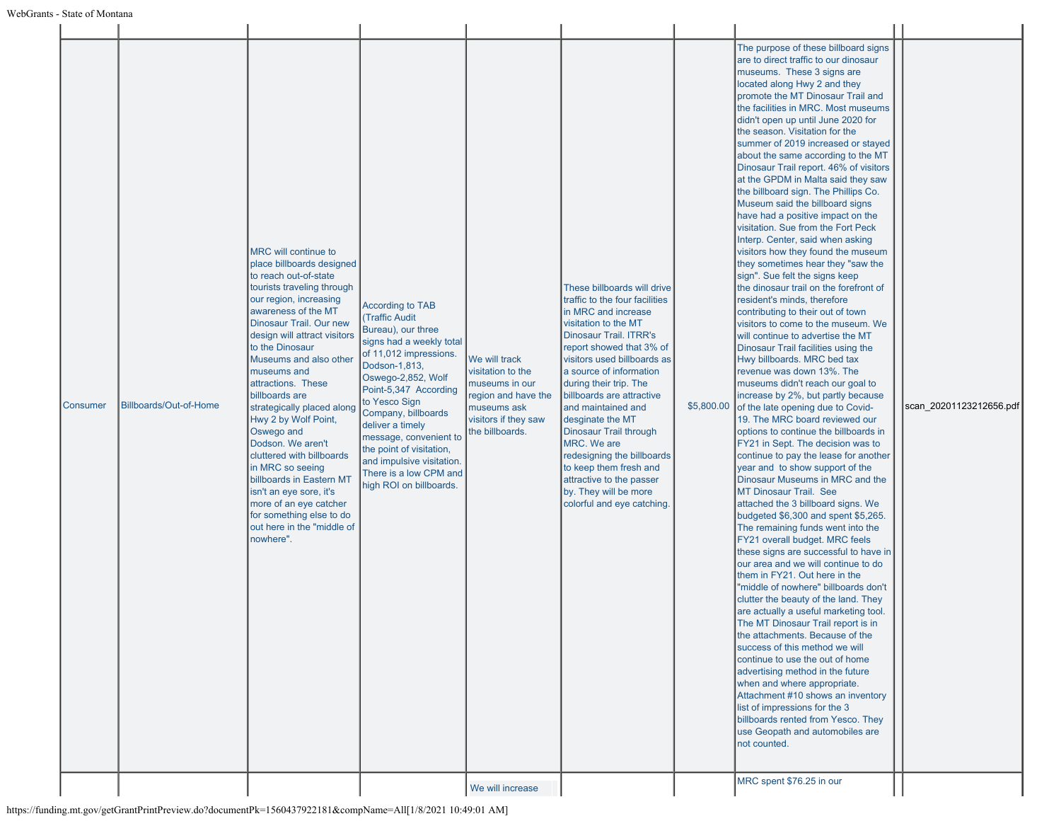| Consumer | Billboards/Out-of-Home | MRC will continue to<br>place billboards designed<br>to reach out-of-state<br>tourists traveling through<br>our region, increasing<br>awareness of the MT<br>Dinosaur Trail. Our new<br>design will attract visitors<br>to the Dinosaur<br>Museums and also other<br>museums and<br>attractions. These<br>billboards are<br>strategically placed along<br>Hwy 2 by Wolf Point,<br>Oswego and<br>Dodson. We aren't<br>cluttered with billboards<br>in MRC so seeing<br>billboards in Eastern MT<br>isn't an eye sore, it's<br>more of an eye catcher<br>for something else to do<br>out here in the "middle of<br>nowhere". | <b>According to TAB</b><br><b>(Traffic Audit</b><br>Bureau), our three<br>signs had a weekly total<br>of 11,012 impressions.<br>Dodson-1,813,<br>Oswego-2,852, Wolf<br>Point-5,347 According<br>to Yesco Sign<br>Company, billboards<br>deliver a timely<br>message, convenient to<br>the point of visitation,<br>and impulsive visitation.<br>There is a low CPM and<br>high ROI on billboards. | We will track<br>visitation to the<br>museums in our<br>region and have the<br>museums ask<br>visitors if they saw<br>the billboards.<br>We will increase | These billboards will drive<br>traffic to the four facilities<br>In MRC and increase<br>visitation to the MT<br>Dinosaur Trail. ITRR's<br>report showed that 3% of<br>visitors used billboards as<br>a source of information<br>during their trip. The<br>billboards are attractive<br>land maintained and<br>desginate the MT<br>Dinosaur Trail through<br>MRC. We are<br>redesigning the billboards<br>to keep them fresh and<br>attractive to the passer<br>by. They will be more<br>colorful and eye catching. | \$5,800.00 | The purpose of these billboard signs<br>are to direct traffic to our dinosaur<br>museums. These 3 signs are<br>located along Hwy 2 and they<br>promote the MT Dinosaur Trail and<br>the facilities in MRC. Most museums<br>didn't open up until June 2020 for<br>the season. Visitation for the<br>summer of 2019 increased or stayed<br>about the same according to the MT<br>Dinosaur Trail report. 46% of visitors<br>at the GPDM in Malta said they saw<br>the billboard sign. The Phillips Co.<br>Museum said the billboard signs<br>have had a positive impact on the<br>visitation. Sue from the Fort Peck<br>Interp. Center, said when asking<br>visitors how they found the museum<br>they sometimes hear they "saw the<br>sign". Sue felt the signs keep<br>the dinosaur trail on the forefront of<br>resident's minds, therefore<br>contributing to their out of town<br>visitors to come to the museum. We<br>will continue to advertise the MT<br>Dinosaur Trail facilities using the<br>Hwy billboards. MRC bed tax<br>revenue was down 13%. The<br>museums didn't reach our goal to<br>increase by 2%, but partly because<br>of the late opening due to Covid-<br>19. The MRC board reviewed our<br>options to continue the billboards in<br>FY21 in Sept. The decision was to<br>continue to pay the lease for another<br>year and to show support of the<br>Dinosaur Museums in MRC and the<br><b>MT Dinosaur Trail. See</b><br>attached the 3 billboard signs. We<br>budgeted \$6,300 and spent \$5,265.<br>The remaining funds went into the<br>FY21 overall budget. MRC feels<br>these signs are successful to have in<br>our area and we will continue to do<br>them in FY21. Out here in the<br>"middle of nowhere" billboards don't<br>clutter the beauty of the land. They<br>are actually a useful marketing tool.<br>The MT Dinosaur Trail report is in<br>the attachments. Because of the<br>success of this method we will<br>continue to use the out of home<br>advertising method in the future<br>when and where appropriate.<br>Attachment #10 shows an inventory<br>list of impressions for the 3<br>billboards rented from Yesco. They<br>use Geopath and automobiles are<br>not counted.<br>MRC spent \$76.25 in our | scan_20201123212656.pdf |
|----------|------------------------|----------------------------------------------------------------------------------------------------------------------------------------------------------------------------------------------------------------------------------------------------------------------------------------------------------------------------------------------------------------------------------------------------------------------------------------------------------------------------------------------------------------------------------------------------------------------------------------------------------------------------|--------------------------------------------------------------------------------------------------------------------------------------------------------------------------------------------------------------------------------------------------------------------------------------------------------------------------------------------------------------------------------------------------|-----------------------------------------------------------------------------------------------------------------------------------------------------------|--------------------------------------------------------------------------------------------------------------------------------------------------------------------------------------------------------------------------------------------------------------------------------------------------------------------------------------------------------------------------------------------------------------------------------------------------------------------------------------------------------------------|------------|---------------------------------------------------------------------------------------------------------------------------------------------------------------------------------------------------------------------------------------------------------------------------------------------------------------------------------------------------------------------------------------------------------------------------------------------------------------------------------------------------------------------------------------------------------------------------------------------------------------------------------------------------------------------------------------------------------------------------------------------------------------------------------------------------------------------------------------------------------------------------------------------------------------------------------------------------------------------------------------------------------------------------------------------------------------------------------------------------------------------------------------------------------------------------------------------------------------------------------------------------------------------------------------------------------------------------------------------------------------------------------------------------------------------------------------------------------------------------------------------------------------------------------------------------------------------------------------------------------------------------------------------------------------------------------------------------------------------------------------------------------------------------------------------------------------------------------------------------------------------------------------------------------------------------------------------------------------------------------------------------------------------------------------------------------------------------------------------------------------------------------------------------------------------------------------------------------------------------------------------------------|-------------------------|
|----------|------------------------|----------------------------------------------------------------------------------------------------------------------------------------------------------------------------------------------------------------------------------------------------------------------------------------------------------------------------------------------------------------------------------------------------------------------------------------------------------------------------------------------------------------------------------------------------------------------------------------------------------------------------|--------------------------------------------------------------------------------------------------------------------------------------------------------------------------------------------------------------------------------------------------------------------------------------------------------------------------------------------------------------------------------------------------|-----------------------------------------------------------------------------------------------------------------------------------------------------------|--------------------------------------------------------------------------------------------------------------------------------------------------------------------------------------------------------------------------------------------------------------------------------------------------------------------------------------------------------------------------------------------------------------------------------------------------------------------------------------------------------------------|------------|---------------------------------------------------------------------------------------------------------------------------------------------------------------------------------------------------------------------------------------------------------------------------------------------------------------------------------------------------------------------------------------------------------------------------------------------------------------------------------------------------------------------------------------------------------------------------------------------------------------------------------------------------------------------------------------------------------------------------------------------------------------------------------------------------------------------------------------------------------------------------------------------------------------------------------------------------------------------------------------------------------------------------------------------------------------------------------------------------------------------------------------------------------------------------------------------------------------------------------------------------------------------------------------------------------------------------------------------------------------------------------------------------------------------------------------------------------------------------------------------------------------------------------------------------------------------------------------------------------------------------------------------------------------------------------------------------------------------------------------------------------------------------------------------------------------------------------------------------------------------------------------------------------------------------------------------------------------------------------------------------------------------------------------------------------------------------------------------------------------------------------------------------------------------------------------------------------------------------------------------------------|-------------------------|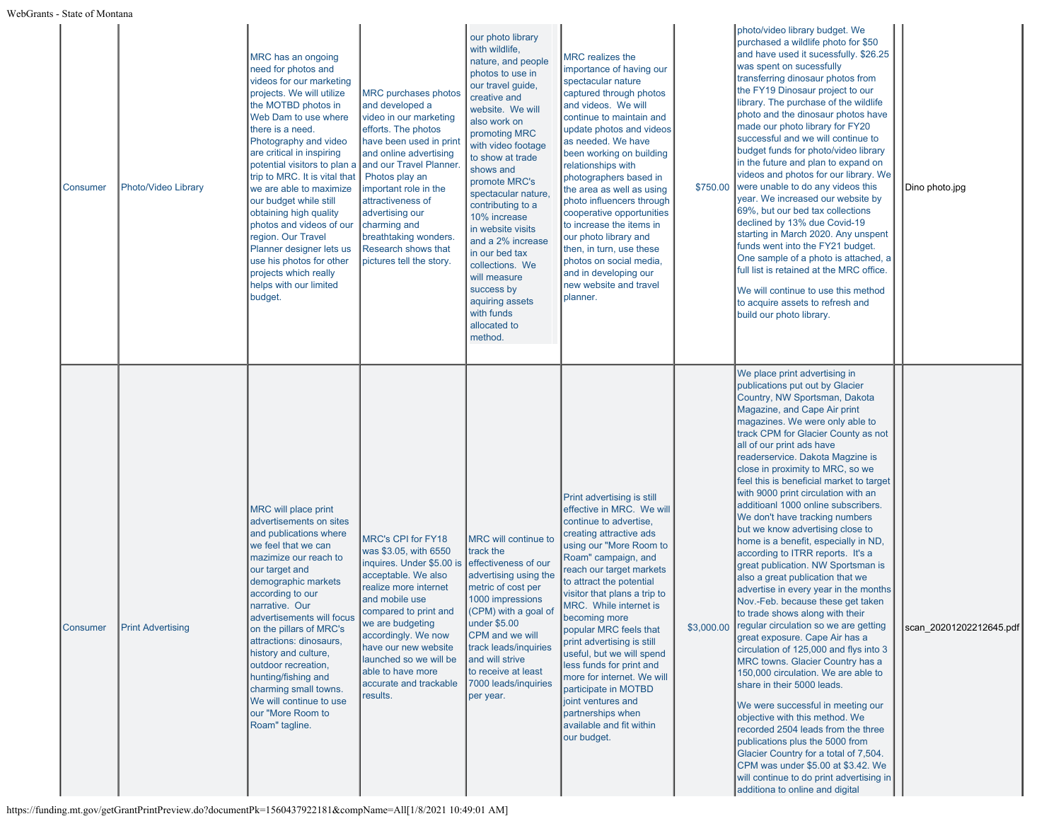| Consumer | Photo/Video Library      | MRC has an ongoing<br>need for photos and<br>videos for our marketing<br>projects. We will utilize<br>the MOTBD photos in<br>Web Dam to use where<br>there is a need.<br>Photography and video<br>are critical in inspiring<br>potential visitors to plan a<br>trip to MRC. It is vital that<br>we are able to maximize<br>our budget while still<br>obtaining high quality<br>photos and videos of our<br>region. Our Travel<br>Planner designer lets us<br>use his photos for other<br>projects which really<br>helps with our limited<br>budget. | <b>MRC</b> purchases photos<br>and developed a<br>video in our marketing<br>efforts. The photos<br>have been used in print<br>and online advertising<br>and our Travel Planner<br>Photos play an<br>important role in the<br>attractiveness of<br>advertising our<br>charming and<br>breathtaking wonders.<br>Research shows that<br>pictures tell the story. | our photo library<br>with wildlife,<br>nature, and people<br>photos to use in<br>our travel guide,<br>creative and<br>website. We will<br>also work on<br>promoting MRC<br>with video footage<br>to show at trade<br>shows and<br>promote MRC's<br>spectacular nature.<br>contributing to a<br>10% increase<br>in website visits<br>and a 2% increase<br>in our bed tax<br>collections. We<br>will measure<br>success by<br>aquiring assets<br>with funds<br>allocated to<br>method. | <b>MRC</b> realizes the<br>importance of having our<br>spectacular nature<br>captured through photos<br>and videos. We will<br>continue to maintain and<br>update photos and videos<br>as needed. We have<br>been working on building<br>relationships with<br>photographers based in<br>the area as well as using<br>photo influencers through<br>cooperative opportunities<br>to increase the items in<br>our photo library and<br>then, in turn, use these<br>photos on social media,<br>and in developing our<br>new website and travel<br>planner.        | \$750.00 | photo/video library budget. We<br>purchased a wildlife photo for \$50<br>and have used it sucessfully. \$26.25<br>was spent on sucessfully<br>transferring dinosaur photos from<br>the FY19 Dinosaur project to our<br>library. The purchase of the wildlife<br>photo and the dinosaur photos have<br>made our photo library for FY20<br>successful and we will continue to<br>budget funds for photo/video library<br>in the future and plan to expand on<br>videos and photos for our library. We<br>were unable to do any videos this<br>year. We increased our website by<br>69%, but our bed tax collections<br>declined by 13% due Covid-19<br>starting in March 2020. Any unspent<br>funds went into the FY21 budget.<br>One sample of a photo is attached, a<br>full list is retained at the MRC office.<br>We will continue to use this method<br>to acquire assets to refresh and<br>build our photo library.                                                                                                                                                                                                                                                                                                                                                                                                                         | Dino photo.jpg          |
|----------|--------------------------|-----------------------------------------------------------------------------------------------------------------------------------------------------------------------------------------------------------------------------------------------------------------------------------------------------------------------------------------------------------------------------------------------------------------------------------------------------------------------------------------------------------------------------------------------------|---------------------------------------------------------------------------------------------------------------------------------------------------------------------------------------------------------------------------------------------------------------------------------------------------------------------------------------------------------------|--------------------------------------------------------------------------------------------------------------------------------------------------------------------------------------------------------------------------------------------------------------------------------------------------------------------------------------------------------------------------------------------------------------------------------------------------------------------------------------|----------------------------------------------------------------------------------------------------------------------------------------------------------------------------------------------------------------------------------------------------------------------------------------------------------------------------------------------------------------------------------------------------------------------------------------------------------------------------------------------------------------------------------------------------------------|----------|-------------------------------------------------------------------------------------------------------------------------------------------------------------------------------------------------------------------------------------------------------------------------------------------------------------------------------------------------------------------------------------------------------------------------------------------------------------------------------------------------------------------------------------------------------------------------------------------------------------------------------------------------------------------------------------------------------------------------------------------------------------------------------------------------------------------------------------------------------------------------------------------------------------------------------------------------------------------------------------------------------------------------------------------------------------------------------------------------------------------------------------------------------------------------------------------------------------------------------------------------------------------------------------------------------------------------------------------------|-------------------------|
| Consumer | <b>Print Advertising</b> | MRC will place print<br>advertisements on sites<br>and publications where<br>we feel that we can<br>mazimize our reach to<br>our target and<br>demographic markets<br>according to our<br>narrative. Our<br>advertisements will focus<br>on the pillars of MRC's<br>attractions: dinosaurs,<br>history and culture,<br>outdoor recreation,<br>hunting/fishing and<br>charming small towns.<br>We will continue to use<br>our "More Room to<br>Roam" tagline.                                                                                        | <b>MRC's CPI for FY18</b><br>was \$3.05, with 6550<br>inquires. Under \$5.00 is<br>acceptable. We also<br>realize more internet<br>and mobile use<br>compared to print and<br>we are budgeting<br>accordingly. We now<br>have our new website<br>launched so we will be<br>able to have more<br>accurate and trackable<br>results.                            | MRC will continue to<br>track the<br>effectiveness of our<br>advertising using the<br>metric of cost per<br>1000 impressions<br>(CPM) with a goal of<br>under \$5.00 <br>CPM and we will<br>track leads/inquiries<br>and will strive<br>to receive at least<br>7000 leads/inquiries<br>per year.                                                                                                                                                                                     | Print advertising is still<br>effective in MRC. We will<br>continue to advertise,<br>creating attractive ads<br>using our "More Room to<br>Roam" campaign, and<br>reach our target markets<br>to attract the potential<br>visitor that plans a trip to<br>MRC. While internet is<br>becoming more<br>popular MRC feels that<br>print advertising is still<br>useful, but we will spend<br>less funds for print and<br>more for internet. We will<br>participate in MOTBD<br>joint ventures and<br>partnerships when<br>available and fit within<br>our budget. |          | We place print advertising in<br>publications put out by Glacier<br>Country, NW Sportsman, Dakota<br>Magazine, and Cape Air print<br>magazines. We were only able to<br>track CPM for Glacier County as not<br>all of our print ads have<br>readerservice. Dakota Magzine is<br>close in proximity to MRC, so we<br>feel this is beneficial market to target<br>with 9000 print circulation with an<br>additioanl 1000 online subscribers.<br>We don't have tracking numbers<br>but we know advertising close to<br>home is a benefit, especially in ND,<br>according to ITRR reports. It's a<br>great publication. NW Sportsman is<br>also a great publication that we<br>advertise in every year in the months<br>Nov.-Feb. because these get taken<br>to trade shows along with their<br>\$3,000.00 regular circulation so we are getting<br>great exposure. Cape Air has a<br>circulation of 125,000 and flys into 3<br>MRC towns. Glacier Country has a<br>150,000 circulation. We are able to<br>share in their 5000 leads.<br>We were successful in meeting our<br>objective with this method. We<br>recorded 2504 leads from the three<br>publications plus the 5000 from<br>Glacier Country for a total of 7,504.<br>CPM was under \$5.00 at \$3.42. We<br>will continue to do print advertising in<br>additiona to online and digital | scan_20201202212645.pdf |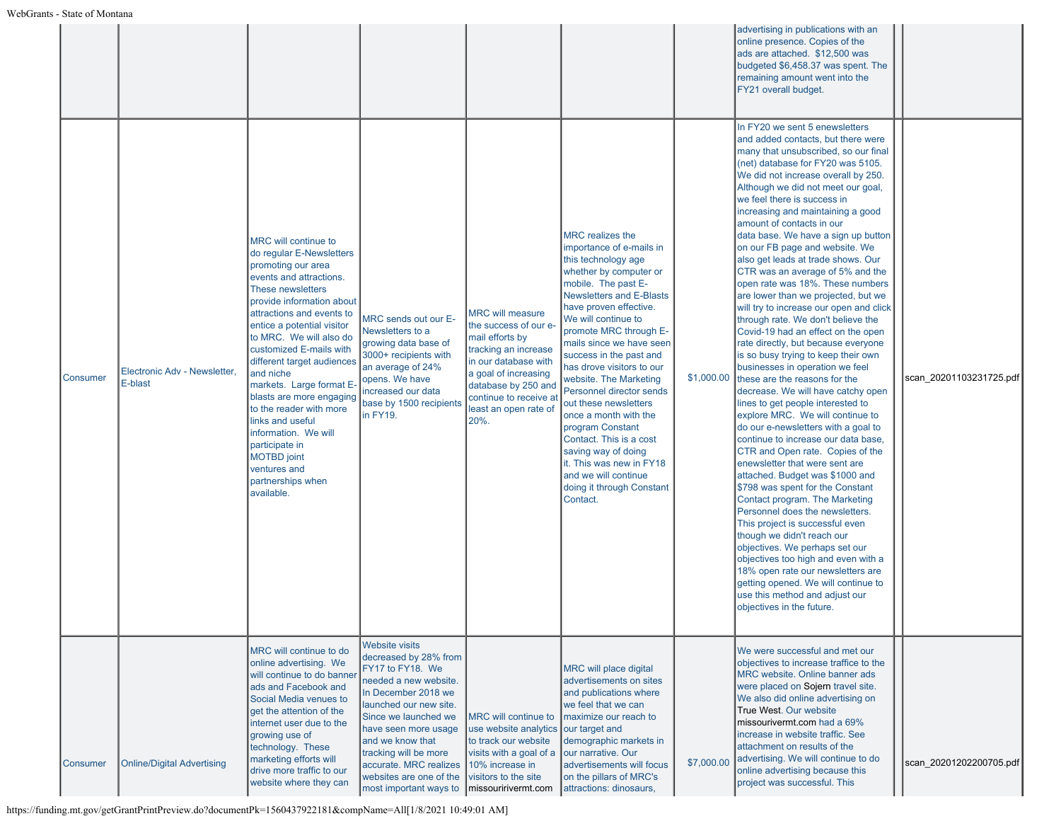|                 |                                         |                                                                                                                                                                                                                                                                                                                                                                                                                                                                                                                                           |                                                                                                                                                                                                                                                                                                                                                |                                                                                                                                                                                                                               |                                                                                                                                                                                                                                                                                                                                                                                                                                                                                                                                                                                                   |            | advertising in publications with an<br>online presence. Copies of the<br>ads are attached. \$12,500 was<br>budgeted \$6,458.37 was spent. The<br>remaining amount went into the<br>FY21 overall budget.                                                                                                                                                                                                                                                                                                                                                                                                                                                                                                                                                                                                                                                                                                                                                                                                                                                                                                                                                                                                                                                                                                                                                                                                                                                                                                                                    |                         |
|-----------------|-----------------------------------------|-------------------------------------------------------------------------------------------------------------------------------------------------------------------------------------------------------------------------------------------------------------------------------------------------------------------------------------------------------------------------------------------------------------------------------------------------------------------------------------------------------------------------------------------|------------------------------------------------------------------------------------------------------------------------------------------------------------------------------------------------------------------------------------------------------------------------------------------------------------------------------------------------|-------------------------------------------------------------------------------------------------------------------------------------------------------------------------------------------------------------------------------|---------------------------------------------------------------------------------------------------------------------------------------------------------------------------------------------------------------------------------------------------------------------------------------------------------------------------------------------------------------------------------------------------------------------------------------------------------------------------------------------------------------------------------------------------------------------------------------------------|------------|--------------------------------------------------------------------------------------------------------------------------------------------------------------------------------------------------------------------------------------------------------------------------------------------------------------------------------------------------------------------------------------------------------------------------------------------------------------------------------------------------------------------------------------------------------------------------------------------------------------------------------------------------------------------------------------------------------------------------------------------------------------------------------------------------------------------------------------------------------------------------------------------------------------------------------------------------------------------------------------------------------------------------------------------------------------------------------------------------------------------------------------------------------------------------------------------------------------------------------------------------------------------------------------------------------------------------------------------------------------------------------------------------------------------------------------------------------------------------------------------------------------------------------------------|-------------------------|
| <b>Consumer</b> | Electronic Adv - Newsletter.<br>E-blast | MRC will continue to<br>do regular E-Newsletters<br>promoting our area<br>events and attractions.<br>These newsletters<br>provide information about<br>attractions and events to<br>entice a potential visitor<br>to MRC. We will also do<br>customized E-mails with<br>different target audiences<br>and niche<br>markets. Large format E-<br>blasts are more engaging<br>to the reader with more<br>links and useful<br>information. We will<br>participate in<br><b>MOTBD</b> joint<br>ventures and<br>partnerships when<br>available. | MRC sends out our E-<br>Newsletters to a<br>growing data base of<br>3000+ recipients with<br>an average of 24%<br>opens. We have<br>increased our data<br>base by 1500 recipients<br>in FY19.                                                                                                                                                  | <b>MRC will measure</b><br>the success of our e-<br>mail efforts by<br>tracking an increase<br>in our database with<br>a goal of increasing<br>database by 250 and<br>continue to receive at<br>least an open rate of<br>20%. | <b>MRC</b> realizes the<br>importance of e-mails in<br>this technology age<br>whether by computer or<br>mobile. The past E-<br>Newsletters and E-Blasts<br>have proven effective.<br>We will continue to<br>promote MRC through E-<br>mails since we have seen<br>success in the past and<br>has drove visitors to our<br>website. The Marketing<br>Personnel director sends<br>out these newsletters<br>once a month with the<br>program Constant<br>Contact. This is a cost<br>saving way of doing<br>it. This was new in FY18<br>and we will continue<br>doing it through Constant<br>Contact. | \$1,000.00 | In FY20 we sent 5 enewsletters<br>and added contacts, but there were<br>many that unsubscribed, so our final<br>(net) database for FY20 was 5105.<br>We did not increase overall by 250.<br>Although we did not meet our goal,<br>we feel there is success in<br>increasing and maintaining a good<br>amount of contacts in our<br>data base. We have a sign up button<br>on our FB page and website. We<br>also get leads at trade shows. Our<br>CTR was an average of 5% and the<br>open rate was 18%. These numbers<br>are lower than we projected, but we<br>will try to increase our open and click<br>through rate. We don't believe the<br>Covid-19 had an effect on the open<br>rate directly, but because everyone<br>is so busy trying to keep their own<br>businesses in operation we feel<br>these are the reasons for the<br>decrease. We will have catchy open<br>lines to get people interested to<br>explore MRC. We will continue to<br>do our e-newsletters with a goal to<br>continue to increase our data base,<br>CTR and Open rate. Copies of the<br>enewsletter that were sent are<br>attached. Budget was \$1000 and<br>\$798 was spent for the Constant<br>Contact program. The Marketing<br>Personnel does the newsletters.<br>This project is successful even<br>though we didn't reach our<br>objectives. We perhaps set our<br>objectives too high and even with a<br>18% open rate our newsletters are<br>getting opened. We will continue to<br>use this method and adjust our<br>objectives in the future. | scan 20201103231725.pdf |
| Consumer        | Online/Digital Advertising              | MRC will continue to do<br>online advertising. We<br>will continue to do banner<br>ads and Facebook and<br>Social Media venues to<br>get the attention of the<br>internet user due to the<br>growing use of<br>technology. These<br>marketing efforts will<br>drive more traffic to our<br>website where they can                                                                                                                                                                                                                         | <b>Website visits</b><br>decreased by 28% from<br>FY17 to FY18. We<br>needed a new website.<br>In December 2018 we<br>launched our new site.<br>Since we launched we<br>have seen more usage<br>and we know that<br>tracking will be more<br>accurate. MRC realizes<br>websites are one of the<br>most important ways to   missouririvermt.com | MRC will continue to<br>use website analytics our target and<br>to track our website<br>visits with a goal of a<br>10% increase in<br>visitors to the site                                                                    | MRC will place digital<br>advertisements on sites<br>and publications where<br>we feel that we can<br>maximize our reach to<br>demographic markets in<br>our narrative. Our<br>advertisements will focus<br>on the pillars of MRC's<br>attractions: dinosaurs,                                                                                                                                                                                                                                                                                                                                    | \$7,000.00 | We were successful and met our<br>objectives to increase traffice to the<br>MRC website. Online banner ads<br>were placed on Sojern travel site.<br>We also did online advertising on<br>True West. Our website<br>missourivermt.com had a 69%<br>increase in website traffic. See<br>attachment on results of the<br>advertising. We will continue to do<br>online advertising because this<br>project was successful. This                                                                                                                                                                                                                                                                                                                                                                                                                                                                                                                                                                                                                                                                                                                                                                                                                                                                                                                                                                                                                                                                                                               | scan_20201202200705.pdf |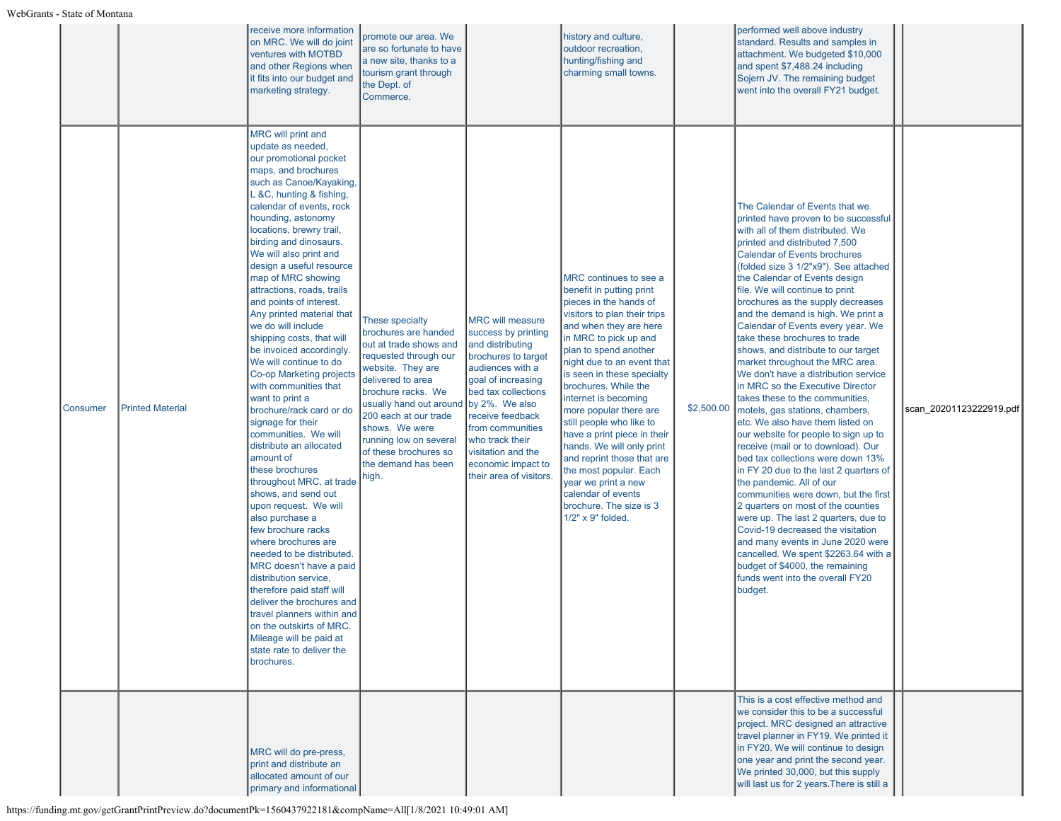|          |                         | receive more information<br>on MRC. We will do joint<br>ventures with MOTBD<br>and other Regions when<br>it fits into our budget and<br>marketing strategy.                                                                                                                                                                                                                                                                                                                                                                                                                                                                                                                                                                                                                                                                                                                                                                                                                                                                                                                                                                                                           | promote our area. We<br>are so fortunate to have<br>a new site, thanks to a<br>tourism grant through<br>the Dept. of<br>Commerce.                                                                                                                                                                                          |                                                                                                                                                                                                                                                                                                                | history and culture,<br>outdoor recreation,<br>hunting/fishing and<br>charming small towns.                                                                                                                                                                                                                                                                                                                                                                                                                                                                                 |            | performed well above industry<br>standard. Results and samples in<br>attachment. We budgeted \$10,000<br>and spent \$7,488.24 including<br>Sojern JV. The remaining budget<br>went into the overall FY21 budget.                                                                                                                                                                                                                                                                                                                                                                                                                                                                                                                                                                                                                                                                                                                                                                                                                                                                                                                                                                                                                    |                         |
|----------|-------------------------|-----------------------------------------------------------------------------------------------------------------------------------------------------------------------------------------------------------------------------------------------------------------------------------------------------------------------------------------------------------------------------------------------------------------------------------------------------------------------------------------------------------------------------------------------------------------------------------------------------------------------------------------------------------------------------------------------------------------------------------------------------------------------------------------------------------------------------------------------------------------------------------------------------------------------------------------------------------------------------------------------------------------------------------------------------------------------------------------------------------------------------------------------------------------------|----------------------------------------------------------------------------------------------------------------------------------------------------------------------------------------------------------------------------------------------------------------------------------------------------------------------------|----------------------------------------------------------------------------------------------------------------------------------------------------------------------------------------------------------------------------------------------------------------------------------------------------------------|-----------------------------------------------------------------------------------------------------------------------------------------------------------------------------------------------------------------------------------------------------------------------------------------------------------------------------------------------------------------------------------------------------------------------------------------------------------------------------------------------------------------------------------------------------------------------------|------------|-------------------------------------------------------------------------------------------------------------------------------------------------------------------------------------------------------------------------------------------------------------------------------------------------------------------------------------------------------------------------------------------------------------------------------------------------------------------------------------------------------------------------------------------------------------------------------------------------------------------------------------------------------------------------------------------------------------------------------------------------------------------------------------------------------------------------------------------------------------------------------------------------------------------------------------------------------------------------------------------------------------------------------------------------------------------------------------------------------------------------------------------------------------------------------------------------------------------------------------|-------------------------|
| Consumer | <b>Printed Material</b> | MRC will print and<br>update as needed,<br>our promotional pocket<br>maps, and brochures<br>such as Canoe/Kayaking,<br>L &C, hunting & fishing,<br>calendar of events, rock<br>hounding, astonomy<br>locations, brewry trail,<br>birding and dinosaurs.<br>We will also print and<br>design a useful resource<br>map of MRC showing<br>attractions, roads, trails<br>and points of interest.<br>Any printed material that<br>we do will include<br>shipping costs, that will<br>be invoiced accordingly.<br>We will continue to do<br>Co-op Marketing projects<br>with communities that<br>want to print a<br>brochure/rack card or do<br>signage for their<br>communities. We will<br>distribute an allocated<br>amount of<br>these brochures<br>throughout MRC, at trade<br>shows, and send out<br>upon request. We will<br>also purchase a<br>few brochure racks<br>where brochures are<br>needed to be distributed.<br>MRC doesn't have a paid<br>distribution service,<br>therefore paid staff will<br>deliver the brochures and<br>travel planners within and<br>on the outskirts of MRC.<br>Mileage will be paid at<br>state rate to deliver the<br>brochures. | <b>These specialty</b><br>brochures are handed<br>out at trade shows and<br>requested through our<br>website. They are<br>delivered to area<br>brochure racks. We<br>usually hand out around<br>200 each at our trade<br>shows. We were<br>running low on several<br>of these brochures so<br>the demand has been<br>high. | <b>MRC will measure</b><br>success by printing<br>and distributing<br>brochures to target<br>audiences with a<br>goal of increasing<br>bed tax collections<br>by 2%. We also<br>receive feedback<br>from communities<br>who track their<br>visitation and the<br>economic impact to<br>their area of visitors. | MRC continues to see a<br>benefit in putting print<br>pieces in the hands of<br>visitors to plan their trips<br>and when they are here<br>in MRC to pick up and<br>plan to spend another<br>night due to an event that<br>is seen in these specialty<br>brochures. While the<br>internet is becoming<br>more popular there are<br>still people who like to<br>have a print piece in their<br>hands. We will only print<br>and reprint those that are<br>the most popular. Each<br>year we print a new<br>calendar of events<br>brochure. The size is 3<br>1/2" x 9" folded. | \$2,500.00 | The Calendar of Events that we<br>printed have proven to be successful<br>with all of them distributed. We<br>printed and distributed 7,500<br><b>Calendar of Events brochures</b><br>(folded size 3 1/2"x9"). See attached<br>the Calendar of Events design<br>file. We will continue to print<br>brochures as the supply decreases<br>and the demand is high. We print a<br>Calendar of Events every year. We<br>take these brochures to trade<br>shows, and distribute to our target<br>market throughout the MRC area.<br>We don't have a distribution service<br>in MRC so the Executive Director<br>takes these to the communities,<br>motels, gas stations, chambers,<br>etc. We also have them listed on<br>our website for people to sign up to<br>receive (mail or to download). Our<br>bed tax collections were down 13%<br>in FY 20 due to the last 2 quarters of<br>the pandemic. All of our<br>communities were down, but the first<br>2 quarters on most of the counties<br>were up. The last 2 quarters, due to<br>Covid-19 decreased the visitation<br>and many events in June 2020 were<br>cancelled. We spent \$2263.64 with a<br>budget of \$4000, the remaining<br>funds went into the overall FY20<br>budget. | scan 20201123222919.pdf |
|          |                         | MRC will do pre-press,<br>print and distribute an<br>allocated amount of our<br>primary and informational                                                                                                                                                                                                                                                                                                                                                                                                                                                                                                                                                                                                                                                                                                                                                                                                                                                                                                                                                                                                                                                             |                                                                                                                                                                                                                                                                                                                            |                                                                                                                                                                                                                                                                                                                |                                                                                                                                                                                                                                                                                                                                                                                                                                                                                                                                                                             |            | This is a cost effective method and<br>we consider this to be a successful<br>project. MRC designed an attractive<br>travel planner in FY19. We printed it<br>in FY20. We will continue to design<br>one year and print the second year.<br>We printed 30,000, but this supply<br>will last us for 2 years. There is still a                                                                                                                                                                                                                                                                                                                                                                                                                                                                                                                                                                                                                                                                                                                                                                                                                                                                                                        |                         |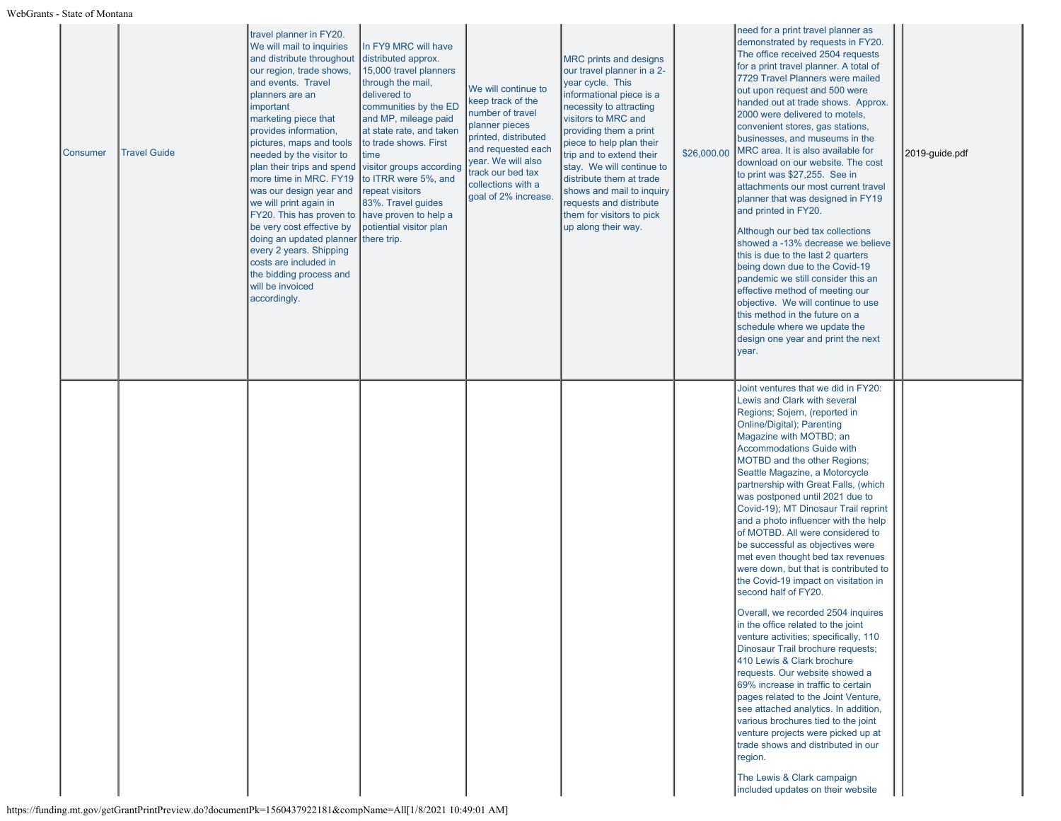| Consumer | <b>Travel Guide</b> | travel planner in FY20.<br>We will mail to inquiries<br>and distribute throughout<br>our region, trade shows,<br>and events. Travel<br>planners are an<br>important<br>marketing piece that<br>provides information,<br>pictures, maps and tools<br>needed by the visitor to<br>plan their trips and spend<br>more time in MRC. FY19<br>was our design year and<br>we will print again in<br>FY20. This has proven to<br>be very cost effective by<br>doing an updated planner<br>every 2 years. Shipping<br>costs are included in<br>the bidding process and<br>will be invoiced<br>accordingly. | In FY9 MRC will have<br>distributed approx.<br>15,000 travel planners<br>through the mail,<br>delivered to<br>communities by the ED<br>and MP, mileage paid<br>at state rate, and taken<br>to trade shows. First<br>time<br>visitor groups according<br>to ITRR were 5%, and<br>repeat visitors<br>83%. Travel guides<br>have proven to help a<br>potiential visitor plan<br>there trip. | We will continue to<br>keep track of the<br>number of travel<br>planner pieces<br>printed, distributed<br>and requested each<br>year. We will also<br>track our bed tax<br>collections with a<br>goal of 2% increase. | <b>MRC</b> prints and designs<br>our travel planner in a 2-<br>year cycle. This<br>informational piece is a<br>necessity to attracting<br>visitors to MRC and<br>providing them a print<br>piece to help plan their<br>trip and to extend their<br>stay. We will continue to<br>distribute them at trade<br>shows and mail to inquiry<br>requests and distribute<br>them for visitors to pick<br>up along their way. | \$26,000.00 | need for a print travel planner as<br>demonstrated by requests in FY20.<br>The office received 2504 requests<br>for a print travel planner. A total of<br>7729 Travel Planners were mailed<br>out upon request and 500 were<br>handed out at trade shows. Approx.<br>2000 were delivered to motels,<br>convenient stores, gas stations,<br>businesses, and museums in the<br>MRC area. It is also available for<br>download on our website. The cost<br>to print was \$27,255. See in<br>attachments our most current travel<br>planner that was designed in FY19<br>and printed in FY20.<br>Although our bed tax collections<br>showed a -13% decrease we believe<br>this is due to the last 2 quarters<br>being down due to the Covid-19<br>pandemic we still consider this an<br>effective method of meeting our<br>objective. We will continue to use<br>this method in the future on a<br>schedule where we update the<br>design one year and print the next<br>year.                                                                                                                                                                                                                           | 2019-guide.pdf |
|----------|---------------------|---------------------------------------------------------------------------------------------------------------------------------------------------------------------------------------------------------------------------------------------------------------------------------------------------------------------------------------------------------------------------------------------------------------------------------------------------------------------------------------------------------------------------------------------------------------------------------------------------|------------------------------------------------------------------------------------------------------------------------------------------------------------------------------------------------------------------------------------------------------------------------------------------------------------------------------------------------------------------------------------------|-----------------------------------------------------------------------------------------------------------------------------------------------------------------------------------------------------------------------|----------------------------------------------------------------------------------------------------------------------------------------------------------------------------------------------------------------------------------------------------------------------------------------------------------------------------------------------------------------------------------------------------------------------|-------------|------------------------------------------------------------------------------------------------------------------------------------------------------------------------------------------------------------------------------------------------------------------------------------------------------------------------------------------------------------------------------------------------------------------------------------------------------------------------------------------------------------------------------------------------------------------------------------------------------------------------------------------------------------------------------------------------------------------------------------------------------------------------------------------------------------------------------------------------------------------------------------------------------------------------------------------------------------------------------------------------------------------------------------------------------------------------------------------------------------------------------------------------------------------------------------------------------|----------------|
|          |                     |                                                                                                                                                                                                                                                                                                                                                                                                                                                                                                                                                                                                   |                                                                                                                                                                                                                                                                                                                                                                                          |                                                                                                                                                                                                                       |                                                                                                                                                                                                                                                                                                                                                                                                                      |             | Joint ventures that we did in FY20:<br>Lewis and Clark with several<br>Regions; Sojern, (reported in<br>Online/Digital); Parenting<br>Magazine with MOTBD; an<br><b>Accommodations Guide with</b><br>MOTBD and the other Regions;<br>Seattle Magazine, a Motorcycle<br>partnership with Great Falls, (which<br>was postponed until 2021 due to<br>Covid-19); MT Dinosaur Trail reprint<br>and a photo influencer with the help<br>of MOTBD. All were considered to<br>be successful as objectives were<br>met even thought bed tax revenues<br>were down, but that is contributed to<br>the Covid-19 impact on visitation in<br>second half of FY20.<br>Overall, we recorded 2504 inquires<br>in the office related to the joint<br>venture activities; specifically, 110<br>Dinosaur Trail brochure requests;<br>410 Lewis & Clark brochure<br>requests. Our website showed a<br>69% increase in traffic to certain<br>pages related to the Joint Venture,<br>see attached analytics. In addition,<br>various brochures tied to the joint<br>venture projects were picked up at<br>trade shows and distributed in our<br>region.<br>The Lewis & Clark campaign<br>included updates on their website |                |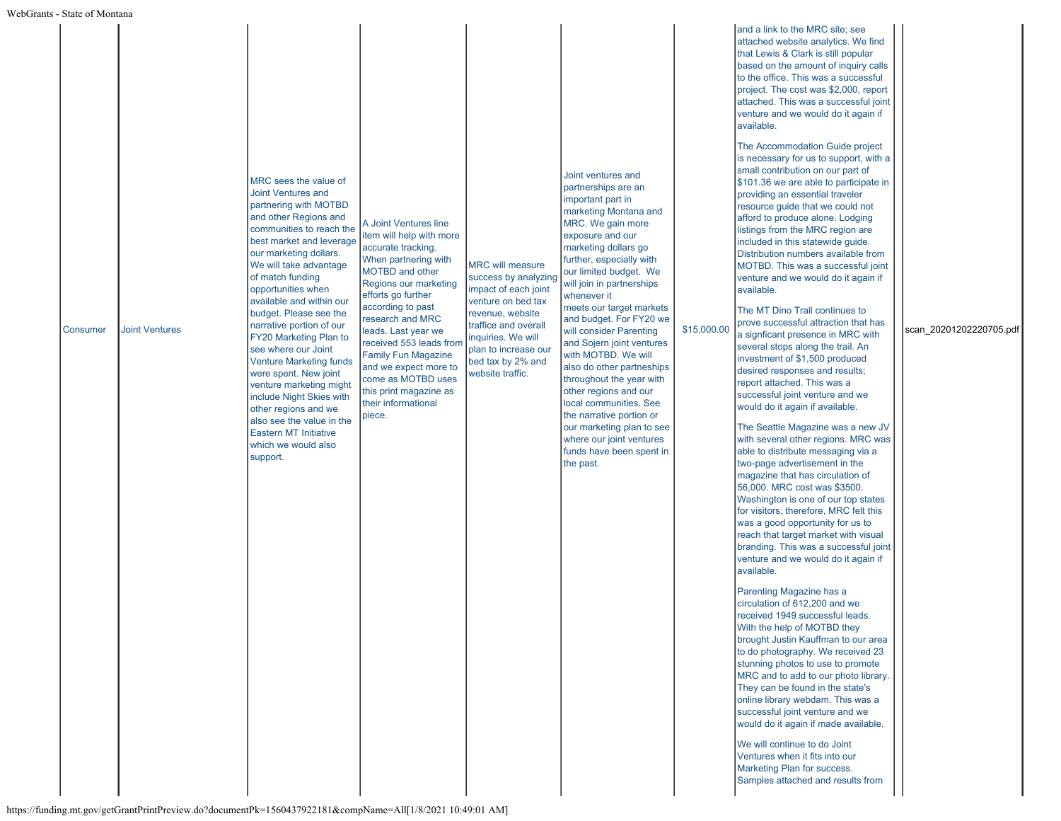| Consumer | <b>Joint Ventures</b><br>$\frac{1}{2}$ (funding mt gov/getGrantPrintPreview do?documentPk=1560437022181&compName=All[1/8/2021 10:40:01 AM] | MRC sees the value of<br>Joint Ventures and<br>partnering with MOTBD<br>and other Regions and<br>communities to reach the<br>best market and leverage<br>our marketing dollars.<br>We will take advantage<br>of match funding<br>opportunities when<br>available and within our<br>budget. Please see the<br>narrative portion of our<br>FY20 Marketing Plan to<br>see where our Joint<br><b>Venture Marketing funds</b><br>were spent. New joint<br>venture marketing might<br>include Night Skies with<br>other regions and we<br>also see the value in the<br><b>Eastern MT Initiative</b><br>which we would also<br>support. | A Joint Ventures line<br>item will help with more<br>accurate tracking.<br>When partnering with<br>MOTBD and other<br>Regions our marketing<br>efforts go further<br>according to past<br>research and MRC<br>leads. Last year we<br>received 553 leads from<br><b>Family Fun Magazine</b><br>and we expect more to<br>come as MOTBD uses<br>this print magazine as<br>their informational<br>piece. | <b>MRC</b> will measure<br>success by analyzing<br>impact of each joint<br>venture on bed tax<br>revenue, website<br>traffice and overall<br>inquiries. We will<br>plan to increase our<br>bed tax by 2% and<br>website traffic. | Joint ventures and<br>partnerships are an<br>important part in<br>marketing Montana and<br>MRC. We gain more<br>exposure and our<br>marketing dollars go<br>further, especially with<br>our limited budget. We<br>will join in partnerships<br>whenever it<br>meets our target markets<br>and budget. For FY20 we<br>will consider Parenting<br>and Sojern joint ventures<br>with MOTBD. We will<br>also do other partneships<br>throughout the year with<br>other regions and our<br>local communities. See<br>the narrative portion or<br>our marketing plan to see<br>where our joint ventures<br>funds have been spent in<br>the past. | \$15,000.00 | attached website analytics. We find<br>that Lewis & Clark is still popular<br>based on the amount of inquiry calls<br>to the office. This was a successful<br>project. The cost was \$2,000, report<br>attached. This was a successful joint<br>venture and we would do it again if<br>available.<br>The Accommodation Guide project<br>is necessary for us to support, with a<br>small contribution on our part of<br>\$101.36 we are able to participate in<br>providing an essential traveler<br>resource guide that we could not<br>afford to produce alone. Lodging<br>listings from the MRC region are<br>included in this statewide guide.<br>Distribution numbers available from<br>MOTBD. This was a successful joint<br>venture and we would do it again if<br>available.<br>The MT Dino Trail continues to<br>prove successful attraction that has<br>a signficant presence in MRC with<br>several stops along the trail. An<br>investment of \$1,500 produced<br>desired responses and results;<br>report attached. This was a<br>successful joint venture and we<br>would do it again if available.<br>The Seattle Magazine was a new JV<br>with several other regions. MRC was<br>able to distribute messaging via a<br>two-page advertisement in the<br>magazine that has circulation of<br>56,000. MRC cost was \$3500.<br>Washington is one of our top states<br>for visitors, therefore, MRC felt this<br>was a good opportunity for us to<br>reach that target market with visual<br>branding. This was a successful joint<br>venture and we would do it again if<br>available.<br>Parenting Magazine has a<br>circulation of 612,200 and we<br>received 1949 successful leads.<br>With the help of MOTBD they<br>brought Justin Kauffman to our area<br>to do photography. We received 23<br>stunning photos to use to promote<br>MRC and to add to our photo library.<br>They can be found in the state's<br>online library webdam. This was a<br>successful joint venture and we<br>would do it again if made available.<br>We will continue to do Joint<br>Ventures when it fits into our<br>Marketing Plan for success.<br>Samples attached and results from | scan 20201202220705.pdf |
|----------|--------------------------------------------------------------------------------------------------------------------------------------------|----------------------------------------------------------------------------------------------------------------------------------------------------------------------------------------------------------------------------------------------------------------------------------------------------------------------------------------------------------------------------------------------------------------------------------------------------------------------------------------------------------------------------------------------------------------------------------------------------------------------------------|------------------------------------------------------------------------------------------------------------------------------------------------------------------------------------------------------------------------------------------------------------------------------------------------------------------------------------------------------------------------------------------------------|----------------------------------------------------------------------------------------------------------------------------------------------------------------------------------------------------------------------------------|--------------------------------------------------------------------------------------------------------------------------------------------------------------------------------------------------------------------------------------------------------------------------------------------------------------------------------------------------------------------------------------------------------------------------------------------------------------------------------------------------------------------------------------------------------------------------------------------------------------------------------------------|-------------|--------------------------------------------------------------------------------------------------------------------------------------------------------------------------------------------------------------------------------------------------------------------------------------------------------------------------------------------------------------------------------------------------------------------------------------------------------------------------------------------------------------------------------------------------------------------------------------------------------------------------------------------------------------------------------------------------------------------------------------------------------------------------------------------------------------------------------------------------------------------------------------------------------------------------------------------------------------------------------------------------------------------------------------------------------------------------------------------------------------------------------------------------------------------------------------------------------------------------------------------------------------------------------------------------------------------------------------------------------------------------------------------------------------------------------------------------------------------------------------------------------------------------------------------------------------------------------------------------------------------------------------------------------------------------------------------------------------------------------------------------------------------------------------------------------------------------------------------------------------------------------------------------------------------------------------------------------------------------------------------------------------------------------------------------------------------------------------------------------------------------------------------------------------------------------------|-------------------------|
|----------|--------------------------------------------------------------------------------------------------------------------------------------------|----------------------------------------------------------------------------------------------------------------------------------------------------------------------------------------------------------------------------------------------------------------------------------------------------------------------------------------------------------------------------------------------------------------------------------------------------------------------------------------------------------------------------------------------------------------------------------------------------------------------------------|------------------------------------------------------------------------------------------------------------------------------------------------------------------------------------------------------------------------------------------------------------------------------------------------------------------------------------------------------------------------------------------------------|----------------------------------------------------------------------------------------------------------------------------------------------------------------------------------------------------------------------------------|--------------------------------------------------------------------------------------------------------------------------------------------------------------------------------------------------------------------------------------------------------------------------------------------------------------------------------------------------------------------------------------------------------------------------------------------------------------------------------------------------------------------------------------------------------------------------------------------------------------------------------------------|-------------|--------------------------------------------------------------------------------------------------------------------------------------------------------------------------------------------------------------------------------------------------------------------------------------------------------------------------------------------------------------------------------------------------------------------------------------------------------------------------------------------------------------------------------------------------------------------------------------------------------------------------------------------------------------------------------------------------------------------------------------------------------------------------------------------------------------------------------------------------------------------------------------------------------------------------------------------------------------------------------------------------------------------------------------------------------------------------------------------------------------------------------------------------------------------------------------------------------------------------------------------------------------------------------------------------------------------------------------------------------------------------------------------------------------------------------------------------------------------------------------------------------------------------------------------------------------------------------------------------------------------------------------------------------------------------------------------------------------------------------------------------------------------------------------------------------------------------------------------------------------------------------------------------------------------------------------------------------------------------------------------------------------------------------------------------------------------------------------------------------------------------------------------------------------------------------------|-------------------------|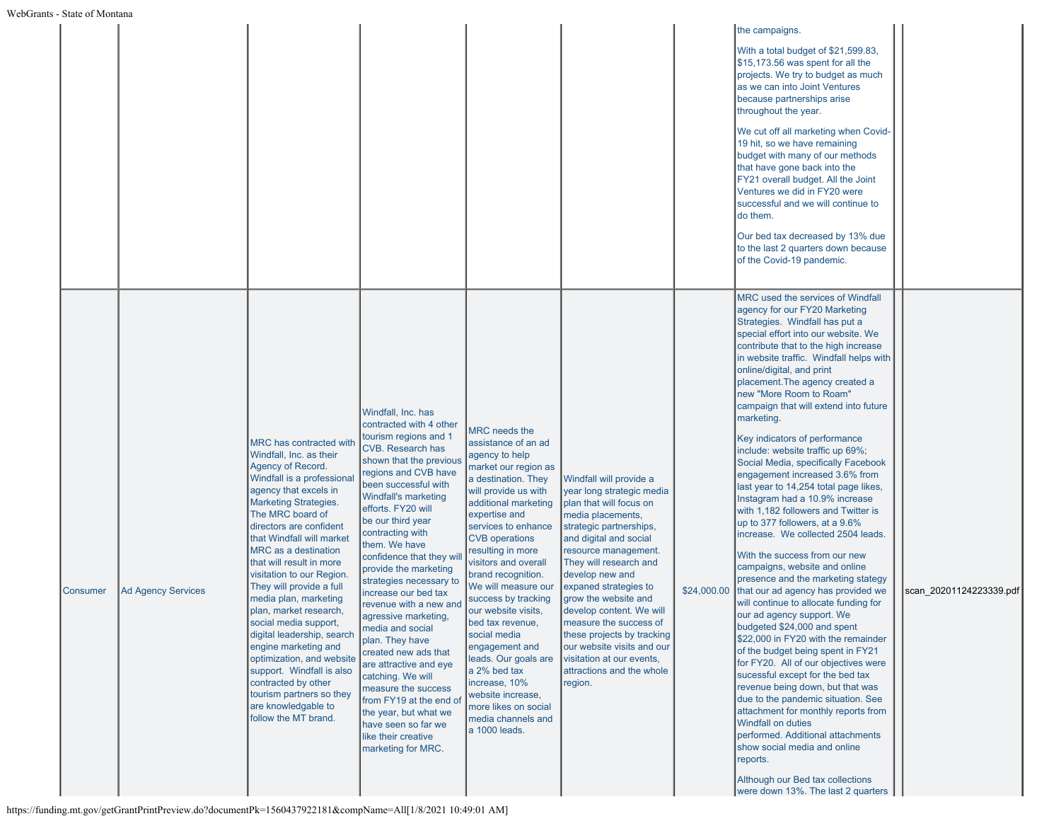|                 |                           |                                                                                                                                                                                                                                                                                                                                                                                                                                                                                                                                                                                                                                                             |                                                                                                                                                                                                                                                                                                                                                                                                                                                                                                                                                                                                                                                                                                      |                                                                                                                                                                                                                                                                                                                                                                                                                                                                                                                                                                   |                                                                                                                                                                                                                                                                                                                                                                                                                                                                        |             | the campaigns.<br>With a total budget of \$21,599.83,<br>$\frac{1}{3}$ 15,173.56 was spent for all the<br>projects. We try to budget as much<br>as we can into Joint Ventures<br>because partnerships arise<br>throughout the year.<br>We cut off all marketing when Covid-<br>19 hit, so we have remaining<br>budget with many of our methods<br>that have gone back into the<br>FY21 overall budget. All the Joint<br>Ventures we did in FY20 were<br>successful and we will continue to<br>do them.<br>Our bed tax decreased by 13% due<br>to the last 2 quarters down because<br>of the Covid-19 pandemic.                                                                                                                                                                                                                                                                                                                                                                                                                                                                                                                                                                                                                                                                                                                                                                                                                                      |                         |  |
|-----------------|---------------------------|-------------------------------------------------------------------------------------------------------------------------------------------------------------------------------------------------------------------------------------------------------------------------------------------------------------------------------------------------------------------------------------------------------------------------------------------------------------------------------------------------------------------------------------------------------------------------------------------------------------------------------------------------------------|------------------------------------------------------------------------------------------------------------------------------------------------------------------------------------------------------------------------------------------------------------------------------------------------------------------------------------------------------------------------------------------------------------------------------------------------------------------------------------------------------------------------------------------------------------------------------------------------------------------------------------------------------------------------------------------------------|-------------------------------------------------------------------------------------------------------------------------------------------------------------------------------------------------------------------------------------------------------------------------------------------------------------------------------------------------------------------------------------------------------------------------------------------------------------------------------------------------------------------------------------------------------------------|------------------------------------------------------------------------------------------------------------------------------------------------------------------------------------------------------------------------------------------------------------------------------------------------------------------------------------------------------------------------------------------------------------------------------------------------------------------------|-------------|-----------------------------------------------------------------------------------------------------------------------------------------------------------------------------------------------------------------------------------------------------------------------------------------------------------------------------------------------------------------------------------------------------------------------------------------------------------------------------------------------------------------------------------------------------------------------------------------------------------------------------------------------------------------------------------------------------------------------------------------------------------------------------------------------------------------------------------------------------------------------------------------------------------------------------------------------------------------------------------------------------------------------------------------------------------------------------------------------------------------------------------------------------------------------------------------------------------------------------------------------------------------------------------------------------------------------------------------------------------------------------------------------------------------------------------------------------|-------------------------|--|
| <b>Consumer</b> | <b>Ad Agency Services</b> | <b>MRC</b> has contracted with<br>Windfall, Inc. as their<br>Agency of Record.<br>Windfall is a professiona<br>agency that excels in<br><b>Marketing Strategies.</b><br>The MRC board of<br>directors are confident<br>that Windfall will market<br>MRC as a destination<br>that will result in more<br>visitation to our Region.<br>They will provide a full<br>media plan, marketing<br>plan, market research,<br>social media support,<br>digital leadership, search<br>engine marketing and<br>optimization, and website<br>support. Windfall is also<br>contracted by other<br>tourism partners so they<br>are knowledgable to<br>follow the MT brand. | Windfall, Inc. has<br>contracted with 4 other<br>tourism regions and 1<br>CVB. Research has<br>shown that the previous<br>regions and CVB have<br>been successful with<br>Windfall's marketing<br>efforts. FY20 will<br>be our third year<br>contracting with<br>them. We have<br>confidence that they wi<br>provide the marketing<br>strategies necessary to<br>increase our bed tax<br>revenue with a new and<br>agressive marketing,<br>media and social<br>plan. They have<br>created new ads that<br>are attractive and eye<br>catching. We will<br>measure the success<br>from FY19 at the end of<br>the year, but what we<br>have seen so far we<br>like their creative<br>marketing for MRC. | MRC needs the<br>assistance of an ad<br>agency to help<br>market our region as<br>a destination. They<br>will provide us with<br>additional marketing<br>expertise and<br>services to enhance<br><b>CVB</b> operations<br>resulting in more<br>visitors and overall<br>brand recognition.<br>We will measure our<br>success by tracking<br>our website visits,<br>bed tax revenue,<br>social media<br>engagement and<br>leads. Our goals are<br>a 2% bed tax<br>increase, 10%<br>website increase,<br>more likes on social<br>media channels and<br>a 1000 leads. | Windfall will provide a<br>year long strategic media<br>plan that will focus on<br>media placements,<br>strategic partnerships,<br>and digital and social<br>resource management.<br>They will research and<br>develop new and<br>expaned strategies to<br>grow the website and<br>develop content. We will<br>measure the success of<br>these projects by tracking<br>our website visits and our<br>visitation at our events.<br>attractions and the whole<br>region. | \$24,000.00 | <b>MRC</b> used the services of Windfall<br>agency for our FY20 Marketing<br>Strategies. Windfall has put a<br>special effort into our website. We<br>contribute that to the high increase<br>in website traffic. Windfall helps with<br>online/digital, and print<br>placement. The agency created a<br>new "More Room to Roam"<br>campaign that will extend into future<br>marketing.<br>Key indicators of performance<br>include: website traffic up 69%;<br>Social Media, specifically Facebook<br>engagement increased 3.6% from<br>last year to 14,254 total page likes,<br>Instagram had a 10.9% increase<br>with 1,182 followers and Twitter is<br>up to 377 followers, at a 9.6%<br>increase. We collected 2504 leads.<br>With the success from our new<br>campaigns, website and online<br>presence and the marketing stategy<br>that our ad agency has provided we<br>will continue to allocate funding for<br>our ad agency support. We<br>budgeted \$24,000 and spent<br>\$22,000 in FY20 with the remainder<br>of the budget being spent in FY21<br>for FY20. All of our objectives were<br>sucessful except for the bed tax<br>revenue being down, but that was<br>due to the pandemic situation. See<br>attachment for monthly reports from<br><b>Windfall on duties</b><br>performed. Additional attachments<br>show social media and online<br>reports.<br>Although our Bed tax collections<br>were down 13%. The last 2 quarters | scan 20201124223339.pdf |  |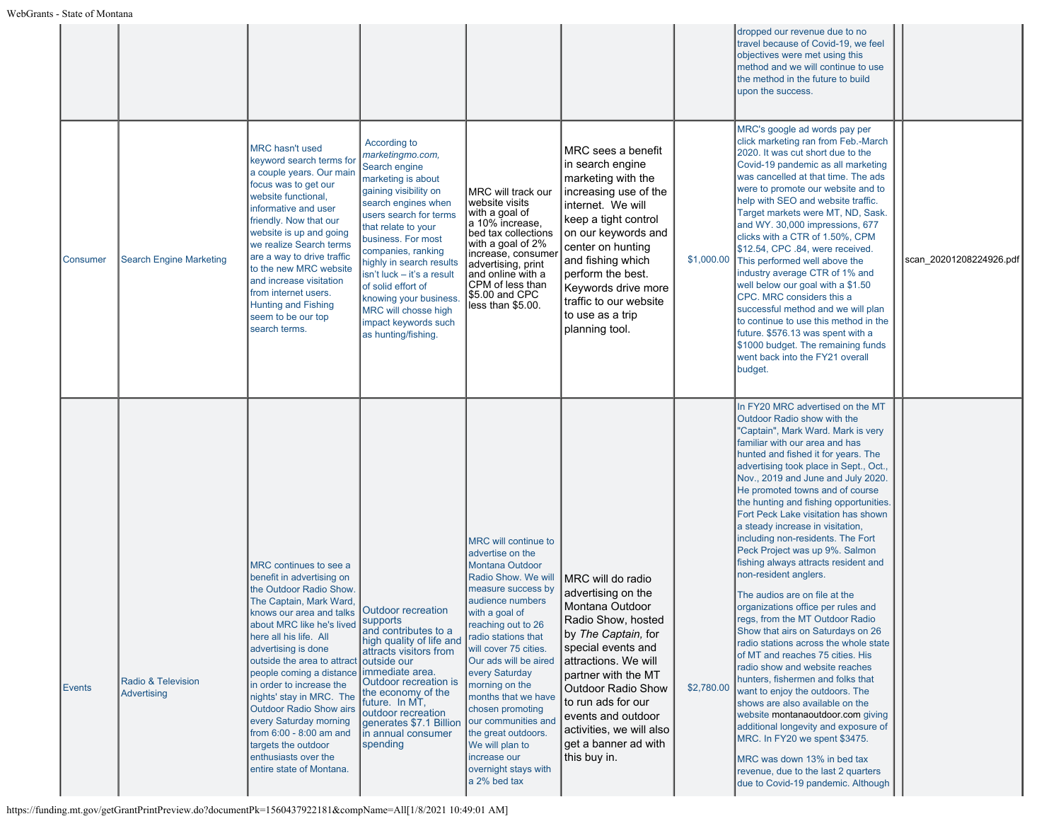|                 |                                   |                                                                                                                                                                                                                                                                                                                                                                                                                                                                                                                        |                                                                                                                                                                                                                                                                                                                                                                                                       |                                                                                                                                                                                                                                                                                                                                                                                                                                                              |                                                                                                                                                                                                                                                                                                                           |            | dropped our revenue due to no<br>travel because of Covid-19, we feel<br>objectives were met using this<br>method and we will continue to use<br>the method in the future to build<br>upon the success.                                                                                                                                                                                                                                                                                                                                                                                                                                                                                                                                                                                                                                                                                                                                                                                                                                                                                                                                                            |                         |
|-----------------|-----------------------------------|------------------------------------------------------------------------------------------------------------------------------------------------------------------------------------------------------------------------------------------------------------------------------------------------------------------------------------------------------------------------------------------------------------------------------------------------------------------------------------------------------------------------|-------------------------------------------------------------------------------------------------------------------------------------------------------------------------------------------------------------------------------------------------------------------------------------------------------------------------------------------------------------------------------------------------------|--------------------------------------------------------------------------------------------------------------------------------------------------------------------------------------------------------------------------------------------------------------------------------------------------------------------------------------------------------------------------------------------------------------------------------------------------------------|---------------------------------------------------------------------------------------------------------------------------------------------------------------------------------------------------------------------------------------------------------------------------------------------------------------------------|------------|-------------------------------------------------------------------------------------------------------------------------------------------------------------------------------------------------------------------------------------------------------------------------------------------------------------------------------------------------------------------------------------------------------------------------------------------------------------------------------------------------------------------------------------------------------------------------------------------------------------------------------------------------------------------------------------------------------------------------------------------------------------------------------------------------------------------------------------------------------------------------------------------------------------------------------------------------------------------------------------------------------------------------------------------------------------------------------------------------------------------------------------------------------------------|-------------------------|
| <b>Consumer</b> | <b>Search Engine Marketing</b>    | <b>MRC</b> hasn't used<br>keyword search terms for<br>a couple years. Our main<br>focus was to get our<br>website functional,<br>informative and user<br>friendly. Now that our<br>website is up and going<br>we realize Search terms<br>are a way to drive traffic<br>to the new MRC website<br>and increase visitation<br>from internet users.<br><b>Hunting and Fishing</b><br>seem to be our top<br>search terms.                                                                                                  | According to<br>marketingmo.com,<br>Search engine<br>marketing is about<br>gaining visibility on<br>search engines when<br>users search for terms<br>that relate to your<br>business. For most<br>companies, ranking<br>highly in search results<br>isn't luck - it's a result<br>of solid effort of<br>knowing your business.<br>MRC will chosse high<br>impact keywords such<br>as hunting/fishing. | MRC will track our<br>website visits<br>∣with a goal of<br>∣a 10% increase,<br>bed tax collections<br>with a goal of 2%<br>increase, consumer<br>advertising, print<br>and online with a<br>CPM of less than<br>\$5.00 and CPC<br>less than \$5.00.                                                                                                                                                                                                          | MRC sees a benefit<br>in search engine<br>marketing with the<br>increasing use of the<br>internet. We will<br>keep a tight control<br>on our keywords and<br>center on hunting<br>and fishing which<br>perform the best.<br>Keywords drive more<br>traffic to our website<br>to use as a trip<br>planning tool.           | \$1,000.00 | MRC's google ad words pay per<br>click marketing ran from Feb.-March<br>2020. It was cut short due to the<br>Covid-19 pandemic as all marketing<br>was cancelled at that time. The ads<br>were to promote our website and to<br>help with SEO and website traffic.<br>Target markets were MT, ND, Sask.<br>and WY. 30,000 impressions, 677<br>clicks with a CTR of 1.50%, CPM<br>\$12.54, CPC .84, were received.<br>This performed well above the<br>industry average CTR of 1% and<br>well below our goal with a \$1.50<br>CPC. MRC considers this a<br>successful method and we will plan<br>to continue to use this method in the<br>future. \$576.13 was spent with a<br>\$1000 budget. The remaining funds<br>went back into the FY21 overall<br>budget.                                                                                                                                                                                                                                                                                                                                                                                                    | scan 20201208224926.pdf |
| Events          | Radio & Television<br>Advertising | MRC continues to see a<br>benefit in advertising on<br>the Outdoor Radio Show.<br>The Captain, Mark Ward,<br>knows our area and talks Outdoor recreation<br>about MRC like he's lived<br>here all his life. All<br>advertising is done<br>outside the area to attract<br>people coming a distance<br>in order to increase the<br>nights' stay in MRC. The<br>Outdoor Radio Show airs<br>every Saturday morning<br>from $6:00 - 8:00$ am and<br>targets the outdoor<br>enthusiasts over the<br>entire state of Montana. | <b>Supports</b><br>and contributes to a<br>high quality of life and<br>attracts visitors from<br>outside our<br>immediate area.<br>Outdoor recreation is<br>the economy of the<br>future. In MT,<br>outdoor recreation<br>generates \$7.1 Billion<br>in annual consumer<br>spending                                                                                                                   | MRC will continue to<br>advertise on the<br><b>Montana Outdoor</b><br>Radio Show. We will<br>measure success by<br>audience numbers<br>with a goal of<br>reaching out to 26<br>radio stations that<br>will cover 75 cities.<br>Our ads will be aired<br>every Saturday<br>morning on the<br>months that we have<br>chosen promoting<br>our communities and<br>the great outdoors.<br>We will plan to<br>increase our<br>overnight stays with<br>a 2% bed tax | MRC will do radio<br>advertising on the<br>Montana Outdoor<br>Radio Show, hosted<br>by The Captain, for<br>special events and<br>attractions. We will<br>partner with the MT<br><b>Outdoor Radio Show</b><br>to run ads for our<br>events and outdoor<br>activities, we will also<br>get a banner ad with<br>this buy in. | \$2,780.00 | In FY20 MRC advertised on the MT<br>Outdoor Radio show with the<br>"Captain", Mark Ward. Mark is very<br>familiar with our area and has<br>hunted and fished it for years. The<br>advertising took place in Sept., Oct.,<br>Nov., 2019 and June and July 2020.<br>He promoted towns and of course<br>the hunting and fishing opportunities.<br>Fort Peck Lake visitation has shown<br>a steady increase in visitation,<br>including non-residents. The Fort<br>Peck Project was up 9%. Salmon<br>fishing always attracts resident and<br>non-resident anglers.<br>The audios are on file at the<br>organizations office per rules and<br>regs, from the MT Outdoor Radio<br>Show that airs on Saturdays on 26<br>radio stations across the whole state<br>of MT and reaches 75 cities. His<br>radio show and website reaches<br>hunters, fishermen and folks that<br>want to enjoy the outdoors. The<br>shows are also available on the<br>website montanaoutdoor.com giving<br>additional longevity and exposure of<br>MRC. In FY20 we spent \$3475.<br>MRC was down 13% in bed tax<br>revenue, due to the last 2 quarters<br>due to Covid-19 pandemic. Although |                         |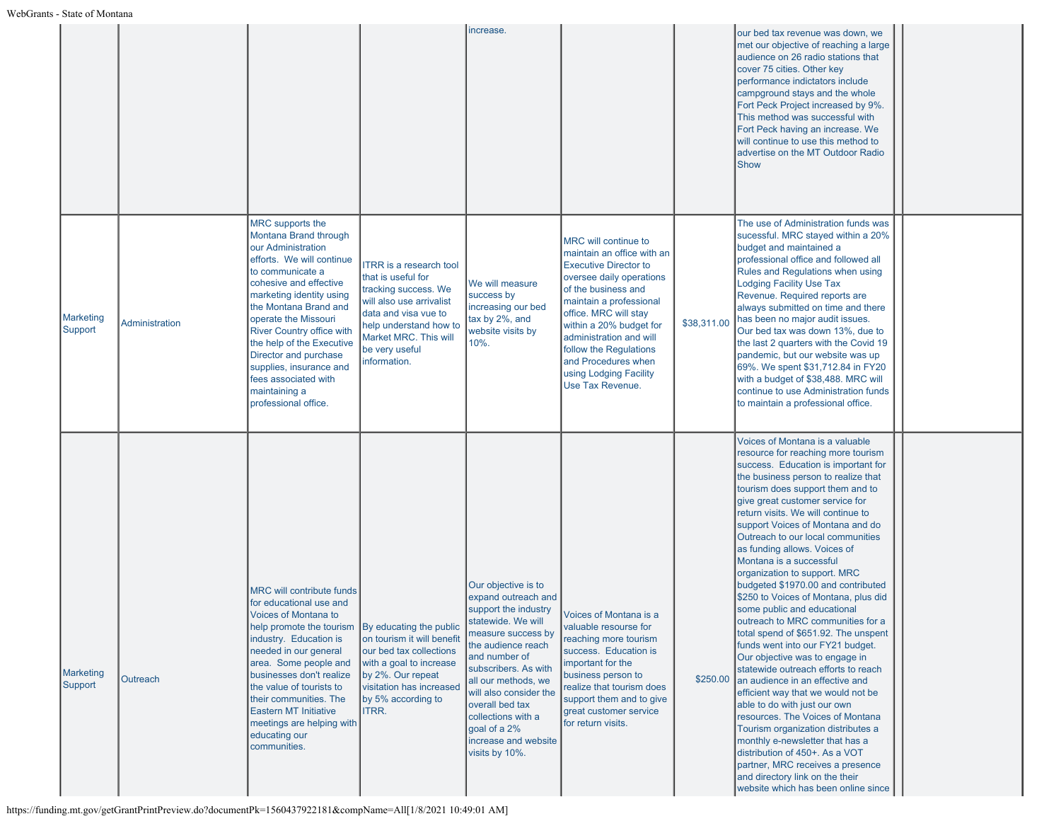|                      |                |                                                                                                                                                                                                                                                                                                                                                                                                               |                                                                                                                                                                                                                       | increase.                                                                                                                                                                                                                                                                                                                         |                                                                                                                                                                                                                                                                                                                                                |             | our bed tax revenue was down, we<br>met our objective of reaching a large<br>audience on 26 radio stations that<br>cover 75 cities. Other key<br>performance indictators include<br>campground stays and the whole<br>Fort Peck Project increased by 9%.<br>This method was successful with<br>Fort Peck having an increase. We<br>will continue to use this method to<br>advertise on the MT Outdoor Radio<br>Show                                                                                                                                                                                                                                                                                                                                                                                                                                                                                                                                                                                                                                                                                               |  |
|----------------------|----------------|---------------------------------------------------------------------------------------------------------------------------------------------------------------------------------------------------------------------------------------------------------------------------------------------------------------------------------------------------------------------------------------------------------------|-----------------------------------------------------------------------------------------------------------------------------------------------------------------------------------------------------------------------|-----------------------------------------------------------------------------------------------------------------------------------------------------------------------------------------------------------------------------------------------------------------------------------------------------------------------------------|------------------------------------------------------------------------------------------------------------------------------------------------------------------------------------------------------------------------------------------------------------------------------------------------------------------------------------------------|-------------|-------------------------------------------------------------------------------------------------------------------------------------------------------------------------------------------------------------------------------------------------------------------------------------------------------------------------------------------------------------------------------------------------------------------------------------------------------------------------------------------------------------------------------------------------------------------------------------------------------------------------------------------------------------------------------------------------------------------------------------------------------------------------------------------------------------------------------------------------------------------------------------------------------------------------------------------------------------------------------------------------------------------------------------------------------------------------------------------------------------------|--|
| Marketing<br>Support | Administration | MRC supports the<br>Montana Brand through<br>our Administration<br>efforts. We will continue<br>to communicate a<br>cohesive and effective<br>marketing identity using<br>the Montana Brand and<br>operate the Missouri<br><b>River Country office with</b><br>the help of the Executive<br>Director and purchase<br>supplies, insurance and<br>fees associated with<br>maintaining a<br>professional office. | <b>ITRR</b> is a research tool<br>that is useful for<br>tracking success. We<br>will also use arrivalist<br>data and visa vue to<br>help understand how to<br>Market MRC. This will<br>be very useful<br>information. | We will measure<br>success by<br>increasing our bed<br>tax by 2%, and<br>website visits by<br>10%.                                                                                                                                                                                                                                | MRC will continue to<br>maintain an office with an<br><b>Executive Director to</b><br>oversee daily operations<br>of the business and<br>maintain a professional<br>office. MRC will stay<br>within a 20% budget for<br>administration and will<br>follow the Regulations<br>and Procedures when<br>using Lodging Facility<br>Use Tax Revenue. | \$38,311.00 | The use of Administration funds was<br>sucessful. MRC stayed within a 20%<br>budget and maintained a<br>professional office and followed all<br><b>Rules and Regulations when using</b><br><b>Lodging Facility Use Tax</b><br>Revenue. Required reports are<br>always submitted on time and there<br>has been no major audit issues.<br>Our bed tax was down 13%, due to<br>the last 2 quarters with the Covid 19<br>pandemic, but our website was up<br>69%. We spent \$31,712.84 in FY20<br>with a budget of \$38,488. MRC will<br>continue to use Administration funds<br>to maintain a professional office.                                                                                                                                                                                                                                                                                                                                                                                                                                                                                                   |  |
| Marketing<br>Support | Outreach       | <b>MRC will contribute funds</b><br>for educational use and<br>Voices of Montana to<br>help promote the tourism   By educating the public<br>industry. Education is<br>needed in our general<br>area. Some people and<br>businesses don't realize<br>the value of tourists to<br>their communities. The<br><b>Eastern MT Initiative</b><br>meetings are helping with<br>educating our<br>communities.         | on tourism it will benefit<br>our bed tax collections<br>with a goal to increase<br>by 2%. Our repeat<br>visitation has increased<br>by 5% according to<br>ITRR.                                                      | Our objective is to<br>expand outreach and<br>support the industry<br>statewide. We will<br>measure success by<br>the audience reach<br>and number of<br>subscribers. As with<br>all our methods, we<br>will also consider the<br>overall bed tax<br>collections with a<br>goal of a 2%<br>increase and website<br>visits by 10%. | Voices of Montana is a<br>valuable resourse for<br>reaching more tourism<br>success. Education is<br>important for the<br>business person to<br>realize that tourism does<br>support them and to give<br>great customer service<br>for return visits.                                                                                          | \$250.00    | Voices of Montana is a valuable<br>resource for reaching more tourism<br>success. Education is important for<br>the business person to realize that<br>tourism does support them and to<br>give great customer service for<br>return visits. We will continue to<br>support Voices of Montana and do<br>Outreach to our local communities<br>as funding allows. Voices of<br>Montana is a successful<br>organization to support. MRC<br>budgeted \$1970.00 and contributed<br>\$250 to Voices of Montana, plus did<br>some public and educational<br>outreach to MRC communities for a<br>total spend of \$651.92. The unspent<br>funds went into our FY21 budget.<br>Our objective was to engage in<br>statewide outreach efforts to reach<br>an audience in an effective and<br>efficient way that we would not be<br>able to do with just our own<br>resources. The Voices of Montana<br>Tourism organization distributes a<br>monthly e-newsletter that has a<br>distribution of 450+. As a VOT<br>partner, MRC receives a presence<br>and directory link on the their<br>website which has been online since |  |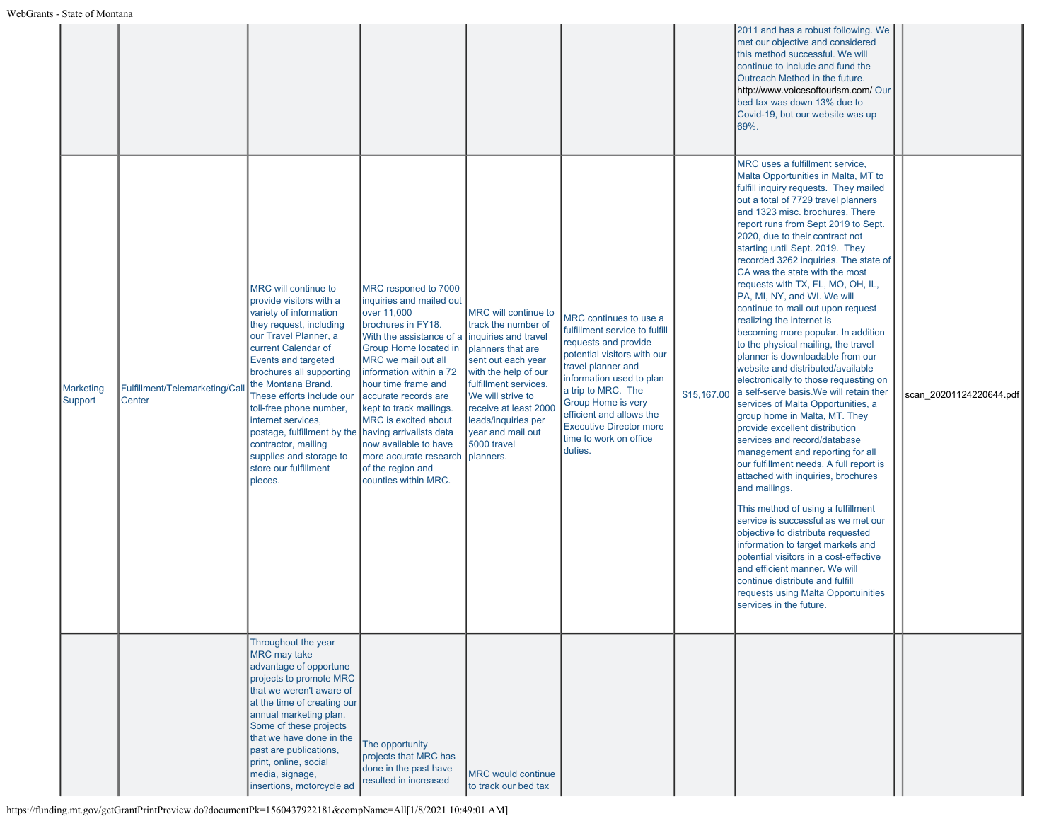|                      |                                         |                                                                                                                                                                                                                                                                                                                                                                                                                                                          |                                                                                                                                                                                                                                                                                                                                                                                                |                                                                                                                                                                                                                                                                                       |                                                                                                                                                                                                                                                                                                                         |             | 2011 and has a robust following. We<br>met our objective and considered<br>this method successful. We will<br>continue to include and fund the<br>Outreach Method in the future.<br>http://www.voicesoftourism.com/ Our<br>bed tax was down 13% due to<br>Covid-19, but our website was up<br>69%.                                                                                                                                                                                                                                                                                                                                                                                                                                                                                                                                                                                                                                                                                                                                                                                                                                                                                                                                                                                                                                                                                      |                         |
|----------------------|-----------------------------------------|----------------------------------------------------------------------------------------------------------------------------------------------------------------------------------------------------------------------------------------------------------------------------------------------------------------------------------------------------------------------------------------------------------------------------------------------------------|------------------------------------------------------------------------------------------------------------------------------------------------------------------------------------------------------------------------------------------------------------------------------------------------------------------------------------------------------------------------------------------------|---------------------------------------------------------------------------------------------------------------------------------------------------------------------------------------------------------------------------------------------------------------------------------------|-------------------------------------------------------------------------------------------------------------------------------------------------------------------------------------------------------------------------------------------------------------------------------------------------------------------------|-------------|-----------------------------------------------------------------------------------------------------------------------------------------------------------------------------------------------------------------------------------------------------------------------------------------------------------------------------------------------------------------------------------------------------------------------------------------------------------------------------------------------------------------------------------------------------------------------------------------------------------------------------------------------------------------------------------------------------------------------------------------------------------------------------------------------------------------------------------------------------------------------------------------------------------------------------------------------------------------------------------------------------------------------------------------------------------------------------------------------------------------------------------------------------------------------------------------------------------------------------------------------------------------------------------------------------------------------------------------------------------------------------------------|-------------------------|
| Marketing<br>Support | Fulfillment/Telemarketing/Cal<br>Center | MRC will continue to<br>provide visitors with a<br>variety of information<br>they request, including<br>our Travel Planner, a<br>current Calendar of<br>Events and targeted<br>brochures all supporting<br>the Montana Brand.<br>These efforts include our<br>toll-free phone number,<br>internet services,<br>postage, fulfillment by the having arrivalists data<br>contractor, mailing<br>supplies and storage to<br>store our fulfillment<br>pieces. | MRC responed to 7000<br>inquiries and mailed out<br>over 11,000<br>brochures in FY18.<br>With the assistance of a<br>Group Home located in<br>MRC we mail out all<br>information within a 72<br>hour time frame and<br>accurate records are<br>kept to track mailings.<br>MRC is excited about<br>now available to have<br>more accurate research<br>of the region and<br>counties within MRC. | MRC will continue to<br>track the number of<br>inquiries and travel<br>planners that are<br>sent out each year<br>with the help of our<br>fulfillment services.<br>We will strive to<br>receive at least 2000<br>leads/inquiries per<br>year and mail out<br>5000 travel<br>planners. | MRC continues to use a<br>fulfillment service to fulfill<br>requests and provide<br>potential visitors with our<br>travel planner and<br>information used to plan<br>a trip to MRC. The<br><b>Group Home is very</b><br>efficient and allows the<br><b>Executive Director more</b><br>time to work on office<br>duties. | \$15,167.00 | MRC uses a fulfillment service,<br>Malta Opportunities in Malta, MT to<br>fulfill inquiry requests. They mailed<br>out a total of 7729 travel planners<br>and 1323 misc. brochures. There<br>report runs from Sept 2019 to Sept.<br>2020, due to their contract not<br>starting until Sept. 2019. They<br>recorded 3262 inquiries. The state of<br>CA was the state with the most<br>requests with TX, FL, MO, OH, IL,<br>PA, MI, NY, and WI. We will<br>continue to mail out upon request<br>realizing the internet is<br>becoming more popular. In addition<br>to the physical mailing, the travel<br>planner is downloadable from our<br>website and distributed/available<br>electronically to those requesting on<br>a self-serve basis. We will retain ther<br>services of Malta Opportunities, a<br>group home in Malta, MT. They<br>provide excellent distribution<br>services and record/database<br>management and reporting for all<br>our fulfillment needs. A full report is<br>attached with inquiries, brochures<br>and mailings.<br>This method of using a fulfillment<br>service is successful as we met our<br>objective to distribute requested<br>information to target markets and<br>potential visitors in a cost-effective<br>and efficient manner. We will<br>continue distribute and fulfill<br>requests using Malta Opportuinities<br>services in the future. | scan 20201124220644.pdf |
|                      |                                         | Throughout the year<br>MRC may take<br>advantage of opportune<br>projects to promote MRC<br>that we weren't aware of<br>at the time of creating our<br>annual marketing plan.<br>Some of these projects<br>that we have done in the<br>past are publications,<br>print, online, social<br>media, signage,<br>insertions, motorcycle ad                                                                                                                   | The opportunity<br>projects that MRC has<br>done in the past have<br>resulted in increased                                                                                                                                                                                                                                                                                                     | <b>MRC</b> would continue<br>to track our bed tax                                                                                                                                                                                                                                     |                                                                                                                                                                                                                                                                                                                         |             |                                                                                                                                                                                                                                                                                                                                                                                                                                                                                                                                                                                                                                                                                                                                                                                                                                                                                                                                                                                                                                                                                                                                                                                                                                                                                                                                                                                         |                         |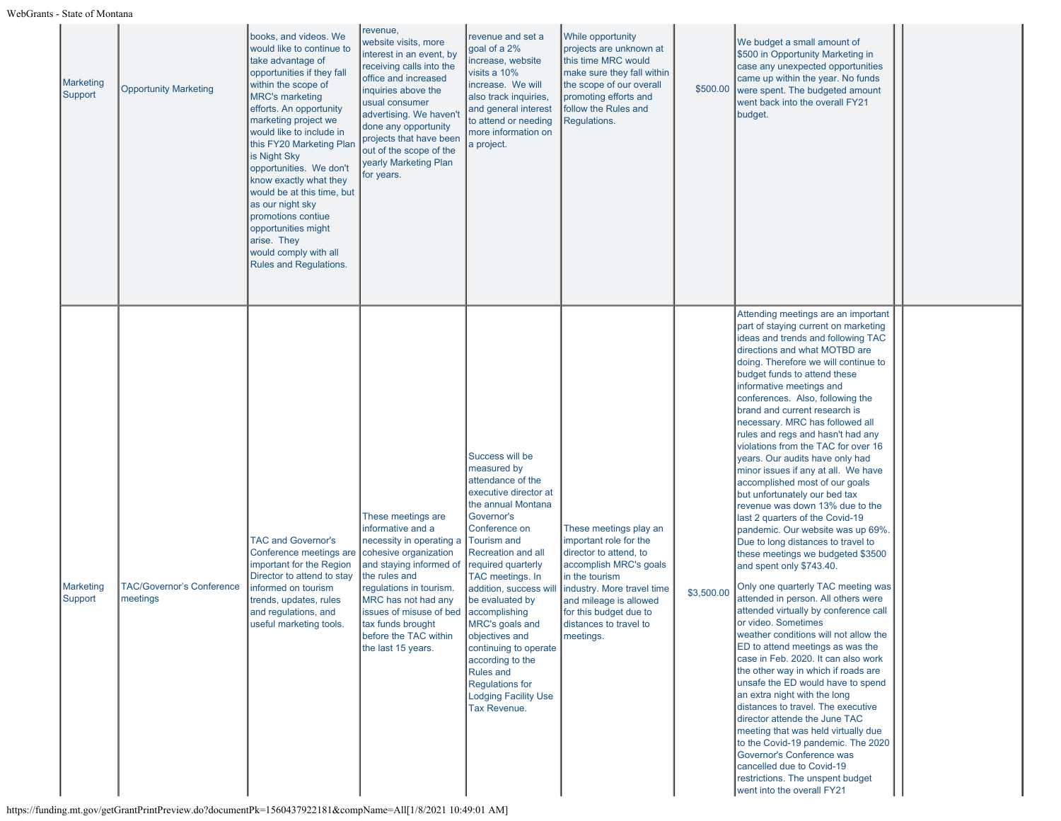| Marketing<br>Support | <b>Opportunity Marketing</b>                 | books, and videos. We<br>would like to continue to<br>take advantage of<br>opportunities if they fall<br>within the scope of<br><b>MRC's marketing</b><br>efforts. An opportunity<br>marketing project we<br>would like to include in<br>this FY20 Marketing Plan<br>is Night Sky<br>opportunities. We don't<br>know exactly what they<br>would be at this time, but<br>as our night sky<br>promotions contiue<br>opportunities might<br>arise. They<br>would comply with all<br><b>Rules and Regulations.</b> | revenue,<br>website visits, more<br>interest in an event, by<br>receiving calls into the<br>office and increased<br>inquiries above the<br>usual consumer<br>advertising. We haven'<br>done any opportunity<br>projects that have been<br>out of the scope of the<br>yearly Marketing Plan<br>for years.  | revenue and set a<br>goal of a 2%<br>increase, website<br>visits a 10%<br>increase. We will<br>also track inquiries,<br>and general interest<br>to attend or needing<br>more information on<br>a project.                                                                                                                                                                                                                                    | <b>While opportunity</b><br>projects are unknown at<br>this time MRC would<br>make sure they fall within<br>the scope of our overall<br>promoting efforts and<br>follow the Rules and<br>Regulations.                                           | \$500.00   | We budget a small amount of<br>\$500 in Opportunity Marketing in<br>case any unexpected opportunities<br>came up within the year. No funds<br>were spent. The budgeted amount<br>went back into the overall FY21<br>budget.                                                                                                                                                                                                                                                                                                                                                                                                                                                                                                                                                                                                                                                                                                                                                                                                                                                                                                                                                                                                                                                                                                                                                                                                                                            |  |
|----------------------|----------------------------------------------|----------------------------------------------------------------------------------------------------------------------------------------------------------------------------------------------------------------------------------------------------------------------------------------------------------------------------------------------------------------------------------------------------------------------------------------------------------------------------------------------------------------|-----------------------------------------------------------------------------------------------------------------------------------------------------------------------------------------------------------------------------------------------------------------------------------------------------------|----------------------------------------------------------------------------------------------------------------------------------------------------------------------------------------------------------------------------------------------------------------------------------------------------------------------------------------------------------------------------------------------------------------------------------------------|-------------------------------------------------------------------------------------------------------------------------------------------------------------------------------------------------------------------------------------------------|------------|------------------------------------------------------------------------------------------------------------------------------------------------------------------------------------------------------------------------------------------------------------------------------------------------------------------------------------------------------------------------------------------------------------------------------------------------------------------------------------------------------------------------------------------------------------------------------------------------------------------------------------------------------------------------------------------------------------------------------------------------------------------------------------------------------------------------------------------------------------------------------------------------------------------------------------------------------------------------------------------------------------------------------------------------------------------------------------------------------------------------------------------------------------------------------------------------------------------------------------------------------------------------------------------------------------------------------------------------------------------------------------------------------------------------------------------------------------------------|--|
| Marketing<br>Support | <b>TAC/Governor's Conference</b><br>meetings | <b>TAC and Governor's</b><br>Conference meetings are<br>important for the Region<br>Director to attend to stay<br>informed on tourism<br>trends, updates, rules<br>and regulations, and<br>useful marketing tools.                                                                                                                                                                                                                                                                                             | These meetings are<br>informative and a<br>necessity in operating a<br>cohesive organization<br>and staying informed of<br>the rules and<br>regulations in tourism.<br>MRC has not had any<br>issues of misuse of bed   accomplishing<br>tax funds brought<br>before the TAC within<br>the last 15 years. | Success will be<br>measured by<br>attendance of the<br>executive director at<br>the annual Montana<br>Governor's<br>Conference on<br>Tourism and<br>Recreation and all<br>required quarterly<br>TAC meetings. In<br>addition, success will<br>be evaluated by<br>MRC's goals and<br>objectives and<br>continuing to operate<br>according to the<br><b>Rules and</b><br><b>Regulations for</b><br><b>Lodging Facility Use</b><br>Tax Revenue. | These meetings play an<br>important role for the<br>director to attend, to<br>accomplish MRC's goals<br>in the tourism<br>industry. More travel time<br>and mileage is allowed<br>for this budget due to<br>distances to travel to<br>meetings. | \$3,500.00 | Attending meetings are an important<br>part of staying current on marketing<br>ideas and trends and following TAC<br>directions and what MOTBD are<br>doing. Therefore we will continue to<br>budget funds to attend these<br>informative meetings and<br>conferences. Also, following the<br>brand and current research is<br>necessary. MRC has followed all<br>rules and regs and hasn't had any<br>violations from the TAC for over 16<br>years. Our audits have only had<br>minor issues if any at all. We have<br>accomplished most of our goals<br>but unfortunately our bed tax<br>revenue was down 13% due to the<br>last 2 quarters of the Covid-19<br>pandemic. Our website was up 69%.<br>Due to long distances to travel to<br>these meetings we budgeted \$3500<br>and spent only \$743.40.<br>Only one quarterly TAC meeting was<br>attended in person. All others were<br>attended virtually by conference call<br>or video. Sometimes<br>weather conditions will not allow the<br>ED to attend meetings as was the<br>case in Feb. 2020. It can also work<br>the other way in which if roads are<br>unsafe the ED would have to spend<br>an extra night with the long<br>distances to travel. The executive<br>director attende the June TAC<br>meeting that was held virtually due<br>to the Covid-19 pandemic. The 2020<br>Governor's Conference was<br>cancelled due to Covid-19<br>restrictions. The unspent budget<br>went into the overall FY21 |  |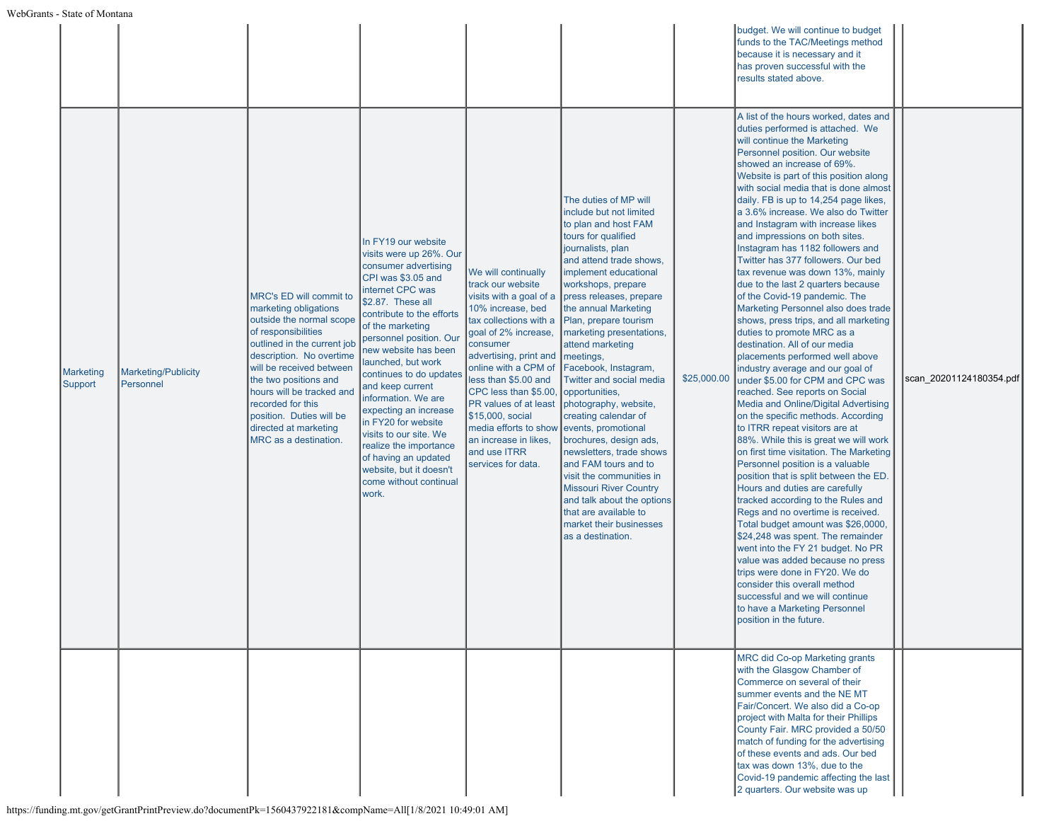|                      |                                  |                                                                                                                                                                                                                                                                                                                                                     |                                                                                                                                                                                                                                                                                                                                                                                                                                                                                                                                 |                                                                                                                                                                                                                                                                                                                                                                                                |                                                                                                                                                                                                                                                                                                                                                                                                                                                                                                                                                                                                                                                                                                                                             |             | budget. We will continue to budget<br>funds to the TAC/Meetings method<br>because it is necessary and it<br>has proven successful with the<br>results stated above.                                                                                                                                                                                                                                                                                                                                                                                                                                                                                                                                                                                                                                                                                                                                                                                                                                                                                                                                                                                                                                                                                                                                                                                                                                                                                                                                                                                                                                                      |                         |
|----------------------|----------------------------------|-----------------------------------------------------------------------------------------------------------------------------------------------------------------------------------------------------------------------------------------------------------------------------------------------------------------------------------------------------|---------------------------------------------------------------------------------------------------------------------------------------------------------------------------------------------------------------------------------------------------------------------------------------------------------------------------------------------------------------------------------------------------------------------------------------------------------------------------------------------------------------------------------|------------------------------------------------------------------------------------------------------------------------------------------------------------------------------------------------------------------------------------------------------------------------------------------------------------------------------------------------------------------------------------------------|---------------------------------------------------------------------------------------------------------------------------------------------------------------------------------------------------------------------------------------------------------------------------------------------------------------------------------------------------------------------------------------------------------------------------------------------------------------------------------------------------------------------------------------------------------------------------------------------------------------------------------------------------------------------------------------------------------------------------------------------|-------------|--------------------------------------------------------------------------------------------------------------------------------------------------------------------------------------------------------------------------------------------------------------------------------------------------------------------------------------------------------------------------------------------------------------------------------------------------------------------------------------------------------------------------------------------------------------------------------------------------------------------------------------------------------------------------------------------------------------------------------------------------------------------------------------------------------------------------------------------------------------------------------------------------------------------------------------------------------------------------------------------------------------------------------------------------------------------------------------------------------------------------------------------------------------------------------------------------------------------------------------------------------------------------------------------------------------------------------------------------------------------------------------------------------------------------------------------------------------------------------------------------------------------------------------------------------------------------------------------------------------------------|-------------------------|
| Marketing<br>Support | Marketing/Publicity<br>Personnel | MRC's ED will commit to<br>marketing obligations<br>outside the normal scope<br>of responsibilities<br>outlined in the current job<br>description. No overtime<br>will be received between<br>the two positions and<br>hours will be tracked and<br>recorded for this<br>position. Duties will be<br>directed at marketing<br>MRC as a destination. | In FY19 our website<br>visits were up 26%. Our<br>consumer advertising<br>CPI was \$3.05 and<br>internet CPC was<br>\$2.87. These all<br>contribute to the efforts<br>of the marketing<br>personnel position. Our<br>new website has been<br>launched, but work<br>continues to do updates<br>and keep current<br>information. We are<br>expecting an increase<br>in FY20 for website<br>visits to our site. We<br>realize the importance<br>of having an updated<br>website, but it doesn't<br>come without continual<br>work. | We will continually<br>track our website<br>visits with a goal of a<br>10% increase, bed<br>tax collections with a<br>goal of 2% increase,<br>consumer<br>advertising, print and<br>online with a CPM of<br>less than \$5.00 and<br>CPC less than \$5.00,<br>PR values of at least<br>\$15,000, social<br>media efforts to show<br>an increase in likes,<br>and use ITRR<br>services for data. | The duties of MP will<br>include but not limited<br>to plan and host FAM<br>tours for qualified<br>journalists, plan<br>and attend trade shows,<br>implement educational<br>workshops, prepare<br>press releases, prepare<br>the annual Marketing<br>Plan, prepare tourism<br>marketing presentations,<br>attend marketing<br>$ $ meetings,<br>Facebook, Instagram,<br>Twitter and social media<br>opportunities,<br>photography, website,<br>creating calendar of<br>events, promotional<br>brochures, design ads,<br>newsletters, trade shows<br>and FAM tours and to<br>visit the communities in<br><b>Missouri River Country</b><br>and talk about the options<br>that are available to<br>market their businesses<br>as a destination. | \$25,000.00 | A list of the hours worked, dates and<br>duties performed is attached. We<br>will continue the Marketing<br>Personnel position. Our website<br>showed an increase of 69%.<br>Website is part of this position along<br>with social media that is done almost<br>daily. FB is up to 14,254 page likes,<br>a 3.6% increase. We also do Twitter<br>and Instagram with increase likes<br>and impressions on both sites.<br>Instagram has 1182 followers and<br>Twitter has 377 followers. Our bed<br>tax revenue was down 13%, mainly<br>due to the last 2 quarters because<br>of the Covid-19 pandemic. The<br>Marketing Personnel also does trade<br>shows, press trips, and all marketing<br>duties to promote MRC as a<br>destination. All of our media<br>placements performed well above<br>industry average and our goal of<br>under \$5.00 for CPM and CPC was<br>reached. See reports on Social<br>Media and Online/Digital Advertising<br>on the specific methods. According<br>to ITRR repeat visitors are at<br>88%. While this is great we will work<br>on first time visitation. The Marketing<br>Personnel position is a valuable<br>position that is split between the ED.<br>Hours and duties are carefully<br>tracked according to the Rules and<br>Regs and no overtime is received.<br>Total budget amount was \$26,0000,<br>\$24,248 was spent. The remainder<br>went into the FY 21 budget. No PR<br>value was added because no press<br>trips were done in FY20. We do<br>consider this overall method<br>successful and we will continue<br>to have a Marketing Personnel<br>position in the future. | scan 20201124180354.pdf |
|                      |                                  |                                                                                                                                                                                                                                                                                                                                                     |                                                                                                                                                                                                                                                                                                                                                                                                                                                                                                                                 |                                                                                                                                                                                                                                                                                                                                                                                                |                                                                                                                                                                                                                                                                                                                                                                                                                                                                                                                                                                                                                                                                                                                                             |             | <b>MRC did Co-op Marketing grants</b><br>with the Glasgow Chamber of<br>Commerce on several of their<br>summer events and the NE MT<br>Fair/Concert. We also did a Co-op<br>project with Malta for their Phillips<br>County Fair. MRC provided a 50/50<br>match of funding for the advertising<br>of these events and ads. Our bed<br>tax was down 13%, due to the<br>Covid-19 pandemic affecting the last<br>2 quarters. Our website was up                                                                                                                                                                                                                                                                                                                                                                                                                                                                                                                                                                                                                                                                                                                                                                                                                                                                                                                                                                                                                                                                                                                                                                             |                         |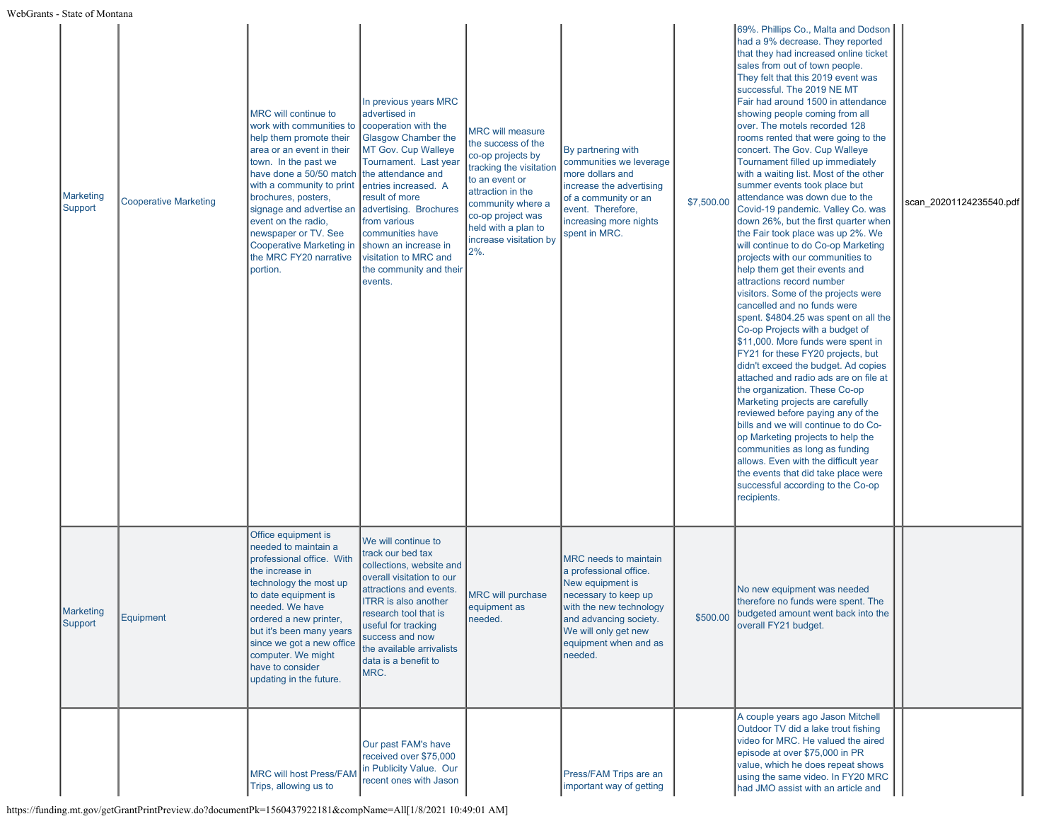| Marketing<br>Support | <b>Cooperative Marketing</b> | MRC will continue to<br>work with communities to<br>help them promote their<br>area or an event in their<br>town. In the past we<br>have done a 50/50 match the attendance and<br>with a community to print<br>brochures, posters,<br>signage and advertise an<br>event on the radio,<br>newspaper or TV. See<br>Cooperative Marketing in<br>the MRC FY20 narrative<br>portion. | In previous years MRC<br>advertised in<br>cooperation with the<br>Glasgow Chamber the<br><b>MT Gov. Cup Walleye</b><br>Tournament. Last year<br>entries increased. A<br>result of more<br>advertising. Brochures<br>from various<br>communities have<br>shown an increase in<br>visitation to MRC and<br>the community and their<br>events. | <b>MRC will measure</b><br>the success of the<br>co-op projects by<br>tracking the visitation<br>to an event or<br>attraction in the<br>community where a<br>co-op project was<br>held with a plan to<br>increase visitation by<br>$2%$ . | By partnering with<br>communities we leverage<br>more dollars and<br>increase the advertising<br>of a community or an<br>event. Therefore,<br>increasing more nights<br>spent in MRC.                               | \$7,500.00 | 69%. Phillips Co., Malta and Dodson<br>had a 9% decrease. They reported<br>that they had increased online ticket<br>sales from out of town people.<br>They felt that this 2019 event was<br>successful. The 2019 NE MT<br>Fair had around 1500 in attendance<br>showing people coming from all<br>over. The motels recorded 128<br>rooms rented that were going to the<br>concert. The Gov. Cup Walleye<br>Tournament filled up immediately<br>with a waiting list. Most of the other<br>summer events took place but<br>attendance was down due to the<br>Covid-19 pandemic. Valley Co. was<br>down 26%, but the first quarter when<br>the Fair took place was up 2%. We<br>will continue to do Co-op Marketing<br>projects with our communities to<br>help them get their events and<br>attractions record number<br>visitors. Some of the projects were<br>cancelled and no funds were<br>spent. \$4804.25 was spent on all the<br>Co-op Projects with a budget of<br>\$11,000. More funds were spent in<br>FY21 for these FY20 projects, but<br>didn't exceed the budget. Ad copies<br>attached and radio ads are on file at<br>the organization. These Co-op<br>Marketing projects are carefully<br>reviewed before paying any of the<br>bills and we will continue to do Co-<br>op Marketing projects to help the<br>communities as long as funding<br>allows. Even with the difficult year<br>the events that did take place were<br>successful according to the Co-op<br>recipients. | scan_20201124235540.pdf |
|----------------------|------------------------------|---------------------------------------------------------------------------------------------------------------------------------------------------------------------------------------------------------------------------------------------------------------------------------------------------------------------------------------------------------------------------------|---------------------------------------------------------------------------------------------------------------------------------------------------------------------------------------------------------------------------------------------------------------------------------------------------------------------------------------------|-------------------------------------------------------------------------------------------------------------------------------------------------------------------------------------------------------------------------------------------|---------------------------------------------------------------------------------------------------------------------------------------------------------------------------------------------------------------------|------------|----------------------------------------------------------------------------------------------------------------------------------------------------------------------------------------------------------------------------------------------------------------------------------------------------------------------------------------------------------------------------------------------------------------------------------------------------------------------------------------------------------------------------------------------------------------------------------------------------------------------------------------------------------------------------------------------------------------------------------------------------------------------------------------------------------------------------------------------------------------------------------------------------------------------------------------------------------------------------------------------------------------------------------------------------------------------------------------------------------------------------------------------------------------------------------------------------------------------------------------------------------------------------------------------------------------------------------------------------------------------------------------------------------------------------------------------------------------------------------------------|-------------------------|
| Marketing<br>Support | Equipment                    | Office equipment is<br>needed to maintain a<br>professional office. With<br>the increase in<br>technology the most up<br>to date equipment is<br>needed. We have<br>ordered a new printer,<br>but it's been many years<br>since we got a new office<br>computer. We might<br>have to consider<br>updating in the future.                                                        | We will continue to<br>track our bed tax<br>collections, website and<br>overall visitation to our<br>attractions and events.<br><b>ITRR</b> is also another<br>research tool that is<br>useful for tracking<br>success and now<br>the available arrivalists<br>data is a benefit to<br>MRC.                                                 | <b>MRC will purchase</b><br>equipment as<br>needed.                                                                                                                                                                                       | <b>MRC</b> needs to maintain<br>a professional office.<br>New equipment is<br>necessary to keep up<br>with the new technology<br>and advancing society.<br>We will only get new<br>equipment when and as<br>needed. |            | No new equipment was needed<br>therefore no funds were spent. The<br>\$500.00 budgeted amount went back into the<br>overall FY21 budget.                                                                                                                                                                                                                                                                                                                                                                                                                                                                                                                                                                                                                                                                                                                                                                                                                                                                                                                                                                                                                                                                                                                                                                                                                                                                                                                                                     |                         |
|                      |                              | <b>MRC will host Press/FAM</b><br>Trips, allowing us to                                                                                                                                                                                                                                                                                                                         | Our past FAM's have<br>received over \$75,000<br>in Publicity Value. Our<br>recent ones with Jason                                                                                                                                                                                                                                          |                                                                                                                                                                                                                                           | Press/FAM Trips are an<br>important way of getting                                                                                                                                                                  |            | A couple years ago Jason Mitchell<br>Outdoor TV did a lake trout fishing<br>video for MRC. He valued the aired<br>episode at over \$75,000 in PR<br>value, which he does repeat shows<br>using the same video. In FY20 MRC<br>had JMO assist with an article and                                                                                                                                                                                                                                                                                                                                                                                                                                                                                                                                                                                                                                                                                                                                                                                                                                                                                                                                                                                                                                                                                                                                                                                                                             |                         |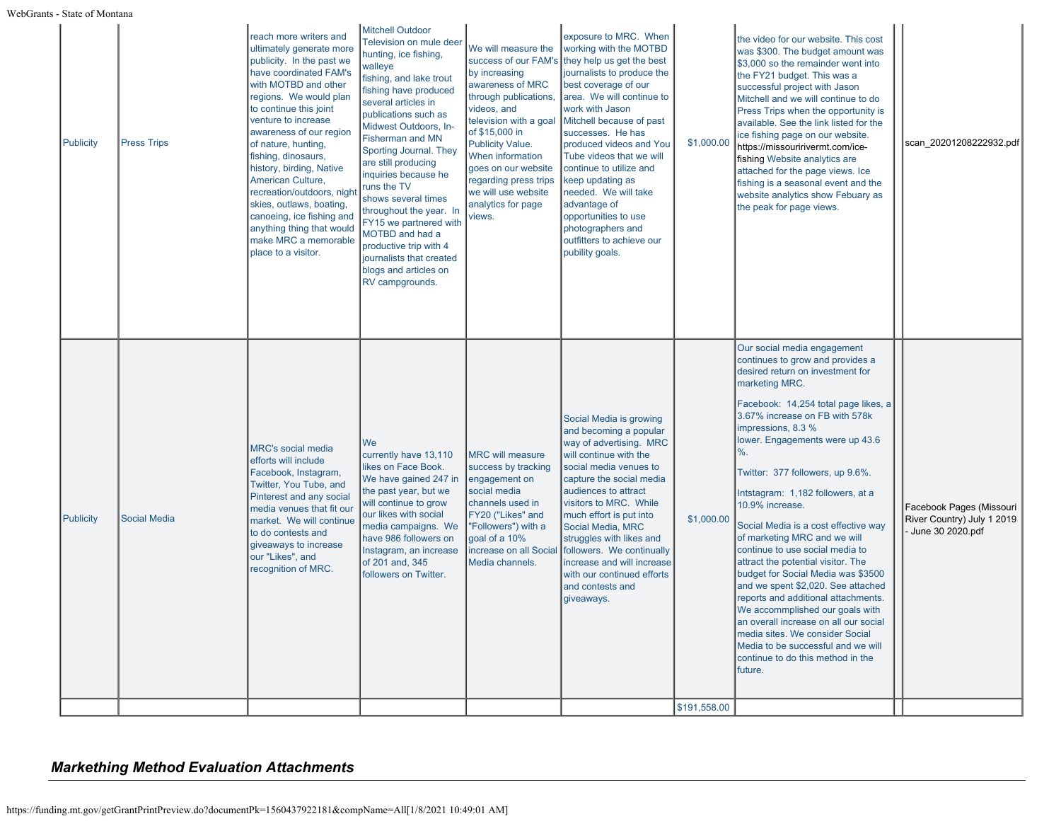WebGrants - State of Montana

| <b>Publicity</b> | <b>Press Trips</b>  | reach more writers and<br>ultimately generate more<br>publicity. In the past we<br>have coordinated FAM's<br>with MOTBD and other<br>regions. We would plan<br>to continue this joint<br>venture to increase<br>awareness of our region<br>of nature, hunting,<br>fishing, dinosaurs,<br>history, birding, Native<br>American Culture,<br>recreation/outdoors, night<br>skies, outlaws, boating,<br>canoeing, ice fishing and<br>anything thing that would<br>make MRC a memorable<br>place to a visitor. | <b>Mitchell Outdoor</b><br>Television on mule deer<br>hunting, ice fishing,<br>walleye<br>fishing, and lake trout<br>fishing have produced<br>several articles in<br>publications such as<br>Midwest Outdoors, In-<br><b>Fisherman and MN</b><br>Sporting Journal. They<br>are still producing<br>inquiries because he<br>runs the TV<br>shows several times<br>throughout the year. In<br>FY15 we partnered with<br>MOTBD and had a<br>productive trip with 4<br>journalists that created<br>blogs and articles on<br>RV campgrounds. | We will measure the<br>by increasing<br>awareness of MRC<br>through publications,<br>videos, and<br>television with a goal<br>of \$15,000 in<br>Publicity Value.<br>When information<br>goes on our website<br>regarding press trips<br>we will use website<br>analytics for page<br>views. | exposure to MRC. When<br>working with the MOTBD<br>success of our FAM's they help us get the best<br>journalists to produce the<br>best coverage of our<br>area. We will continue to<br>work with Jason<br>Mitchell because of past<br>successes. He has<br>produced videos and You<br>Tube videos that we will<br>continue to utilize and<br>keep updating as<br>needed. We will take<br>advantage of<br>opportunities to use<br>photographers and<br>outfitters to achieve our<br>pubility goals. | \$1,000.00                 | the video for our website. This cost<br>was \$300. The budget amount was<br>\$3,000 so the remainder went into<br>the FY21 budget. This was a<br>successful project with Jason<br>Mitchell and we will continue to do<br>Press Trips when the opportunity is<br>available. See the link listed for the<br>ice fishing page on our website.<br>https://missouririvermt.com/ice-<br>fishing Website analytics are<br>attached for the page views. Ice<br>fishing is a seasonal event and the<br>website analytics show Febuary as<br>the peak for page views.                                                                                                                                                                                                                                                                         | scan 20201208222932.pdf                                                    |
|------------------|---------------------|-----------------------------------------------------------------------------------------------------------------------------------------------------------------------------------------------------------------------------------------------------------------------------------------------------------------------------------------------------------------------------------------------------------------------------------------------------------------------------------------------------------|----------------------------------------------------------------------------------------------------------------------------------------------------------------------------------------------------------------------------------------------------------------------------------------------------------------------------------------------------------------------------------------------------------------------------------------------------------------------------------------------------------------------------------------|---------------------------------------------------------------------------------------------------------------------------------------------------------------------------------------------------------------------------------------------------------------------------------------------|-----------------------------------------------------------------------------------------------------------------------------------------------------------------------------------------------------------------------------------------------------------------------------------------------------------------------------------------------------------------------------------------------------------------------------------------------------------------------------------------------------|----------------------------|-------------------------------------------------------------------------------------------------------------------------------------------------------------------------------------------------------------------------------------------------------------------------------------------------------------------------------------------------------------------------------------------------------------------------------------------------------------------------------------------------------------------------------------------------------------------------------------------------------------------------------------------------------------------------------------------------------------------------------------------------------------------------------------------------------------------------------------|----------------------------------------------------------------------------|
| <b>Publicity</b> | <b>Social Media</b> | <b>MRC's social media</b><br>efforts will include<br>Facebook, Instagram,<br>Twitter, You Tube, and<br>Pinterest and any social<br>media venues that fit our<br>market. We will continue<br>to do contests and<br>giveaways to increase<br>our "Likes", and<br>recognition of MRC.                                                                                                                                                                                                                        | We<br>currently have 13,110<br>likes on Face Book.<br>We have gained 247 in<br>the past year, but we<br>will continue to grow<br>our likes with social<br>media campaigns. We<br>have 986 followers on<br>Instagram, an increase<br>of 201 and, 345<br>followers on Twitter.                                                                                                                                                                                                                                                           | <b>MRC will measure</b><br>success by tracking<br>engagement on<br>social media<br>channels used in<br>FY20 ("Likes" and<br>"Followers") with a<br>goal of a 10%<br>increase on all Social<br>Media channels.                                                                               | Social Media is growing<br>and becoming a popular<br>way of advertising. MRC<br>will continue with the<br>social media venues to<br>capture the social media<br>audiences to attract<br>visitors to MRC. While<br>much effort is put into<br>Social Media, MRC<br>struggles with likes and<br>followers. We continually<br>increase and will increase<br>with our continued efforts<br>and contests and<br>giveaways.                                                                               | \$1,000.00<br>\$191,558.00 | Our social media engagement<br>continues to grow and provides a<br>desired return on investment for<br>marketing MRC.<br>Facebook: 14,254 total page likes, a<br>3.67% increase on FB with 578k<br>impressions, 8.3 %<br>lower. Engagements were up 43.6<br>%.<br>Twitter: 377 followers, up 9.6%.<br>Intstagram: 1,182 followers, at a<br>10.9% increase.<br>Social Media is a cost effective way<br>of marketing MRC and we will<br>continue to use social media to<br>attract the potential visitor. The<br>budget for Social Media was \$3500<br>and we spent \$2,020. See attached<br>reports and additional attachments.<br>We accommplished our goals with<br>an overall increase on all our social<br>media sites. We consider Social<br>Media to be successful and we will<br>continue to do this method in the<br>future. | Facebook Pages (Missouri<br>River Country) July 1 2019<br>June 30 2020.pdf |

# *Markething Method Evaluation Attachments*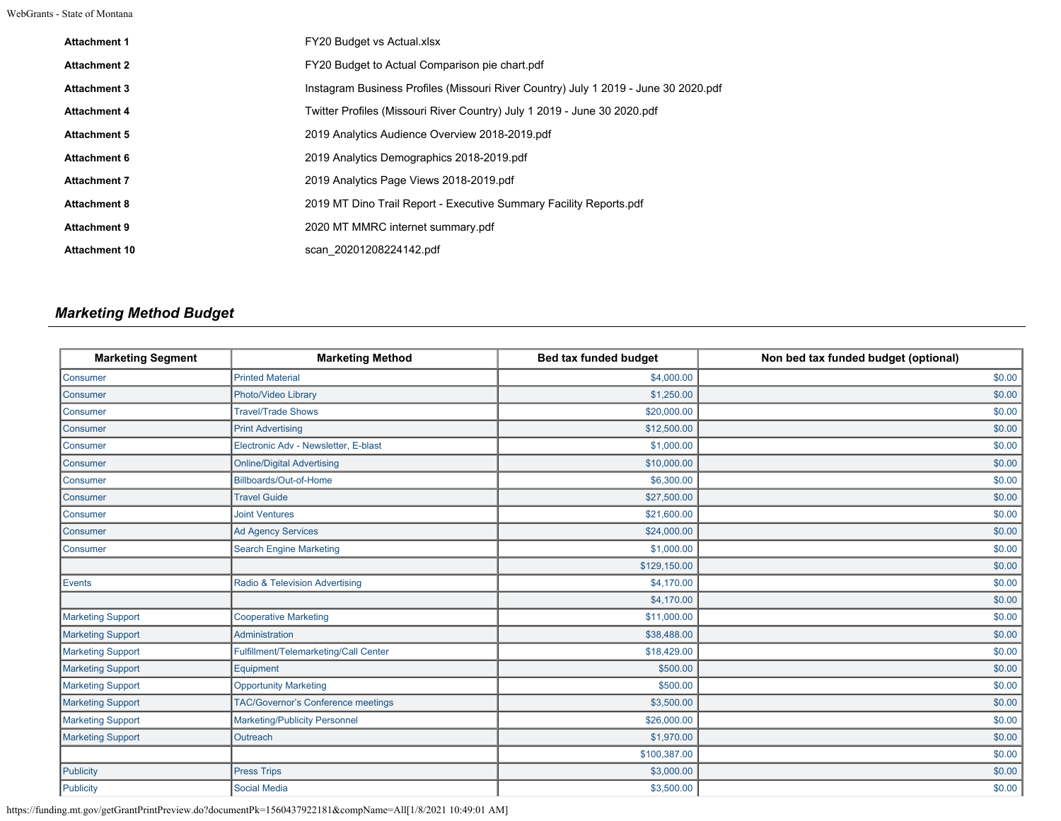WebGrants - State of Montana

| <b>Attachment 1</b>  | <b>FY20 Budget vs Actual xlsx</b>                                                   |
|----------------------|-------------------------------------------------------------------------------------|
| <b>Attachment 2</b>  | FY20 Budget to Actual Comparison pie chart.pdf                                      |
| <b>Attachment 3</b>  | Instagram Business Profiles (Missouri River Country) July 1 2019 - June 30 2020.pdf |
| <b>Attachment 4</b>  | Twitter Profiles (Missouri River Country) July 1 2019 - June 30 2020.pdf            |
| <b>Attachment 5</b>  | 2019 Analytics Audience Overview 2018-2019.pdf                                      |
| <b>Attachment 6</b>  | 2019 Analytics Demographics 2018-2019.pdf                                           |
| <b>Attachment 7</b>  | 2019 Analytics Page Views 2018-2019 pdf                                             |
| <b>Attachment 8</b>  | 2019 MT Dino Trail Report - Executive Summary Facility Reports.pdf                  |
| <b>Attachment 9</b>  | 2020 MT MMRC internet summary pdf                                                   |
| <b>Attachment 10</b> | scan 20201208224142.pdf                                                             |
|                      |                                                                                     |

# *Marketing Method Budget*

| <b>Marketing Segment</b> | <b>Marketing Method</b>                   | Bed tax funded budget | Non bed tax funded budget (optional) |
|--------------------------|-------------------------------------------|-----------------------|--------------------------------------|
| Consumer                 | <b>Printed Material</b>                   | \$4,000.00            | \$0.00                               |
| Consumer                 | Photo/Video Library                       | \$1,250.00            | \$0.00                               |
| Consumer                 | <b>Travel/Trade Shows</b>                 | \$20,000.00           | \$0.00                               |
| <b>Consumer</b>          | <b>Print Advertising</b>                  | \$12,500.00           | \$0.00                               |
| Consumer                 | Electronic Adv - Newsletter, E-blast      | \$1,000.00            | \$0.00                               |
| Consumer                 | <b>Online/Digital Advertising</b>         | \$10,000.00           | \$0.00                               |
| Consumer                 | Billboards/Out-of-Home                    | \$6,300.00            | \$0.00                               |
| <b>Consumer</b>          | <b>Travel Guide</b>                       | \$27,500.00           | \$0.00                               |
| Consumer                 | <b>Joint Ventures</b>                     | \$21,600.00           | \$0.00                               |
| Consumer                 | <b>Ad Agency Services</b>                 | \$24,000.00           | \$0.00                               |
| Consumer                 | <b>Search Engine Marketing</b>            | \$1,000.00            | \$0.00                               |
|                          |                                           | \$129,150.00          | \$0.00                               |
| Events                   | Radio & Television Advertising            | \$4,170.00            | \$0.00                               |
|                          |                                           | \$4,170.00            | \$0.00                               |
| <b>Marketing Support</b> | <b>Cooperative Marketing</b>              | \$11,000.00           | \$0.00                               |
| <b>Marketing Support</b> | <b>Administration</b>                     | \$38,488.00           | \$0.00                               |
| <b>Marketing Support</b> | Fulfillment/Telemarketing/Call Center     | \$18,429.00           | \$0.00                               |
| <b>Marketing Support</b> | Equipment                                 | \$500.00              | \$0.00                               |
| <b>Marketing Support</b> | <b>Opportunity Marketing</b>              | \$500.00              | \$0.00                               |
| <b>Marketing Support</b> | <b>TAC/Governor's Conference meetings</b> | \$3,500.00            | \$0.00                               |
| <b>Marketing Support</b> | <b>Marketing/Publicity Personnel</b>      | \$26,000.00           | \$0.00                               |
| <b>Marketing Support</b> | Outreach                                  | \$1,970.00            | \$0.00                               |
|                          |                                           | \$100,387.00          | \$0.00                               |
| Publicity                | <b>Press Trips</b>                        | \$3,000.00            | \$0.00                               |
| Publicity                | <b>Social Media</b>                       | \$3,500.00            | \$0.00                               |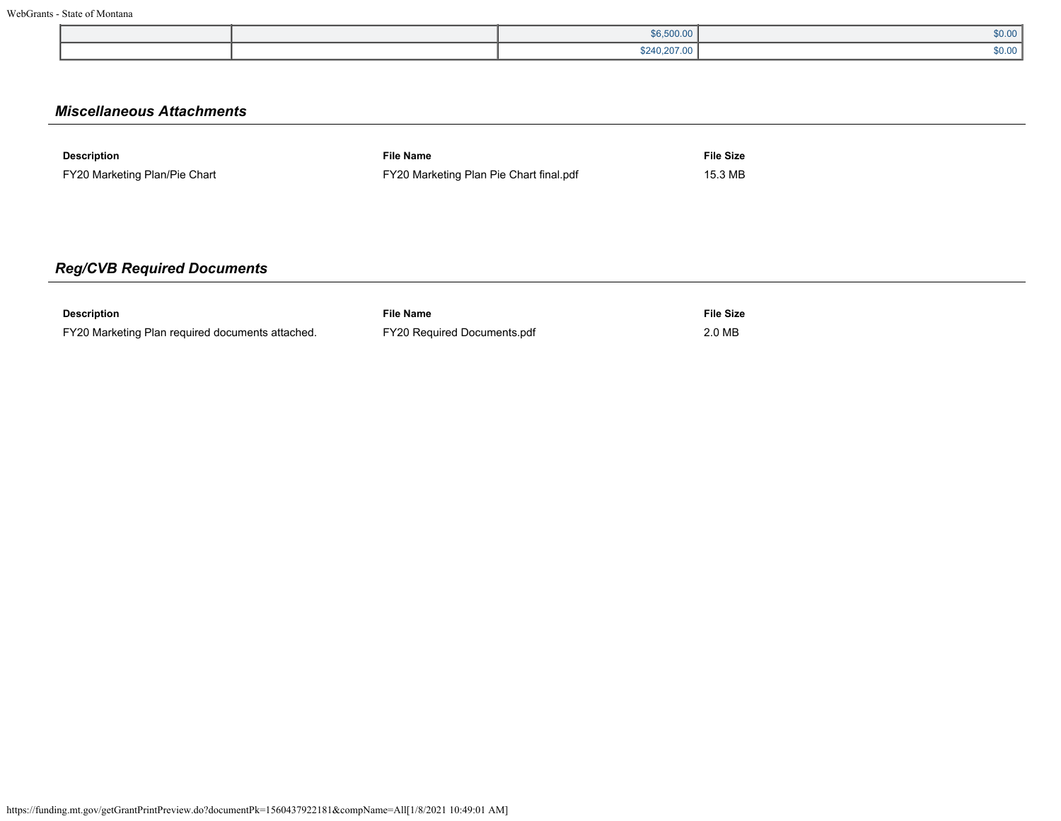|  | \$6,500.00   | \$0.00 |
|--|--------------|--------|
|  | \$240,207.00 | \$0.00 |

# *Miscellaneous Attachments*

| <b>Description</b>            | <b>File Name</b>                        | <b>File Size</b> |
|-------------------------------|-----------------------------------------|------------------|
| FY20 Marketing Plan/Pie Chart | FY20 Marketing Plan Pie Chart final.pdf | 15.3 MB          |

# *Reg/CVB Required Documents*

| <b>Description</b>                               | <b>File Name</b>                   | <b>File Size</b> |
|--------------------------------------------------|------------------------------------|------------------|
| FY20 Marketing Plan required documents attached. | <b>FY20 Required Documents.pdf</b> | 2.0 MB           |